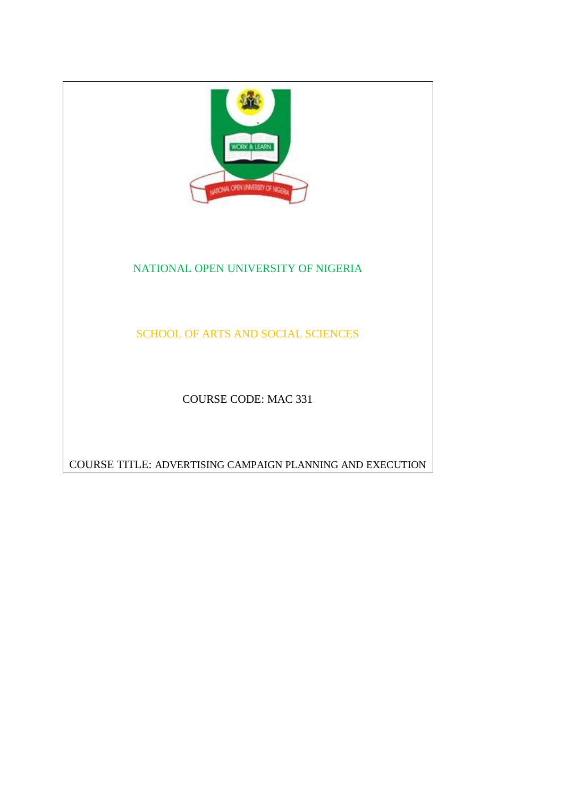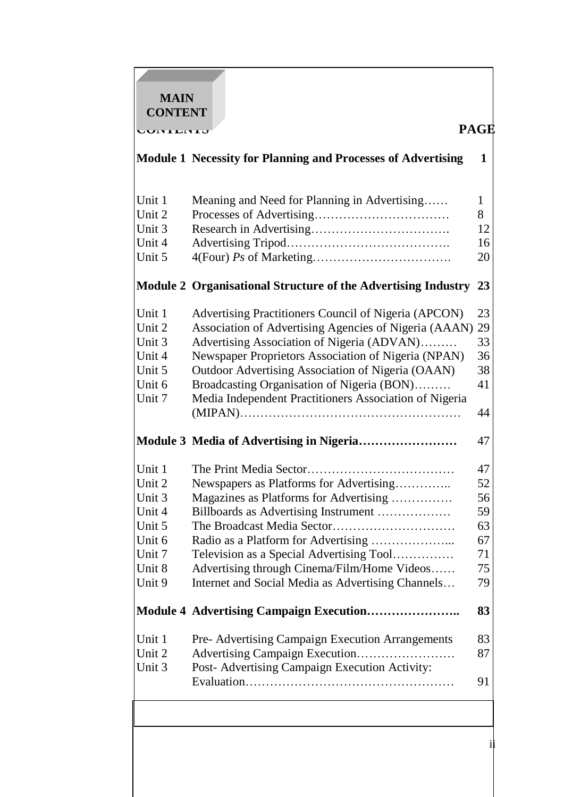**MAIN CONTENT**

**CONTENTS PAGE** 

|        | <b>Module 1 Necessity for Planning and Processes of Advertising</b> | 1  |
|--------|---------------------------------------------------------------------|----|
| Unit 1 | Meaning and Need for Planning in Advertising                        | 1  |
| Unit 2 |                                                                     | 8  |
| Unit 3 |                                                                     | 12 |
| Unit 4 |                                                                     | 16 |
| Unit 5 |                                                                     | 20 |
|        | Module 2 Organisational Structure of the Advertising Industry       | 23 |
| Unit 1 | Advertising Practitioners Council of Nigeria (APCON)                | 23 |
| Unit 2 | Association of Advertising Agencies of Nigeria (AAAN)               | 29 |
| Unit 3 | Advertising Association of Nigeria (ADVAN)                          | 33 |
| Unit 4 | Newspaper Proprietors Association of Nigeria (NPAN)                 | 36 |
| Unit 5 | Outdoor Advertising Association of Nigeria (OAAN)                   | 38 |
| Unit 6 | Broadcasting Organisation of Nigeria (BON)                          | 41 |
| Unit 7 | Media Independent Practitioners Association of Nigeria              |    |
|        |                                                                     | 44 |
|        | Module 3 Media of Advertising in Nigeria                            | 47 |
| Unit 1 |                                                                     | 47 |
| Unit 2 | Newspapers as Platforms for Advertising                             | 52 |
| Unit 3 | Magazines as Platforms for Advertising                              | 56 |
| Unit 4 | Billboards as Advertising Instrument                                | 59 |
| Unit 5 |                                                                     | 63 |
| Unit 6 |                                                                     | 67 |
| Unit 7 | Television as a Special Advertising Tool                            | 71 |
| Unit 8 | Advertising through Cinema/Film/Home Videos                         | 75 |
| Unit 9 | Internet and Social Media as Advertising Channels                   | 79 |
|        | Module 4 Advertising Campaign Execution                             | 83 |
| Unit 1 | <b>Pre-Advertising Campaign Execution Arrangements</b>              | 83 |
| Unit 2 | Advertising Campaign Execution                                      | 87 |
| Unit 3 | Post- Advertising Campaign Execution Activity:                      |    |
|        |                                                                     | 91 |
|        |                                                                     |    |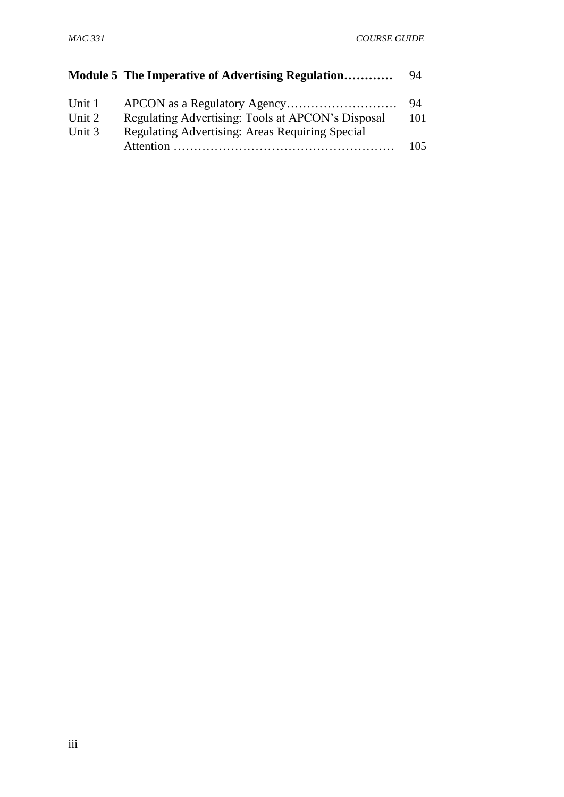|        | Module 5 The Imperative of Advertising Regulation | 94  |
|--------|---------------------------------------------------|-----|
| Unit 1 |                                                   | 94  |
| Unit 2 | Regulating Advertising: Tools at APCON's Disposal | 101 |
| Unit 3 | Regulating Advertising: Areas Requiring Special   |     |
|        |                                                   | 105 |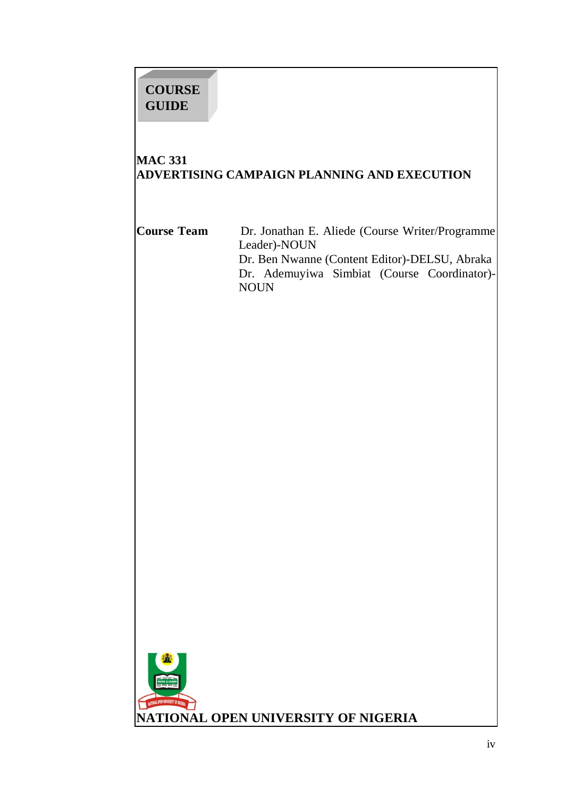# **COURSE GUIDE**

## **MAC 331 ADVERTISING CAMPAIGN PLANNING AND EXECUTION**

**Course Team** Dr. Jonathan E. Aliede (Course Writer/Programme Leader)-NOUN Dr. Ben Nwanne (Content Editor)-DELSU, Abraka Dr. Ademuyiwa Simbiat (Course Coordinator)- NOUN

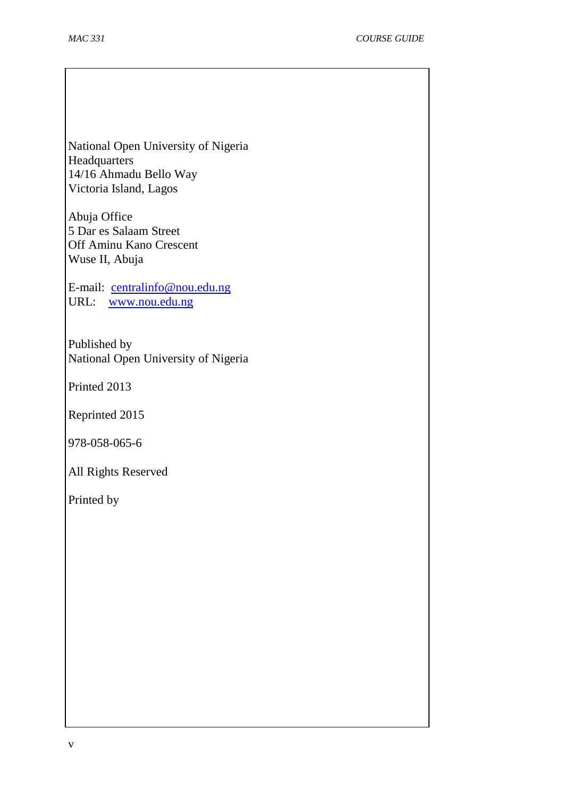National Open University of Nigeria **Headquarters** 14/16 Ahmadu Bello Way Victoria Island, Lagos

Abuja Office 5 Dar es Salaam Street Off Aminu Kano Crescent Wuse II, Abuja

E-mail: [centralinfo@nou.edu.ng](mailto:centralinfo@nou.edu.ng) URL: [www.nou.edu.ng](http://www.nou.edu.ng/)

Published by National Open University of Nigeria

Printed 2013

Reprinted 2015

978-058-065-6

All Rights Reserved

Printed by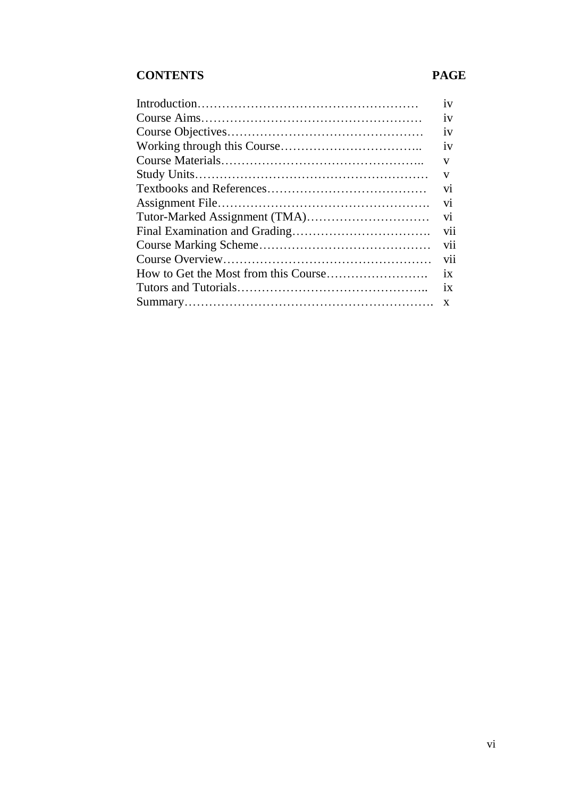## **CONTENTS PAGE**

|  | 1V  |  |
|--|-----|--|
|  | 1V  |  |
|  | 1V  |  |
|  | 1V  |  |
|  | V   |  |
|  | V   |  |
|  | V1  |  |
|  | V1  |  |
|  |     |  |
|  |     |  |
|  | V11 |  |
|  | V11 |  |
|  | 1X  |  |
|  | 1X  |  |
|  |     |  |
|  | X   |  |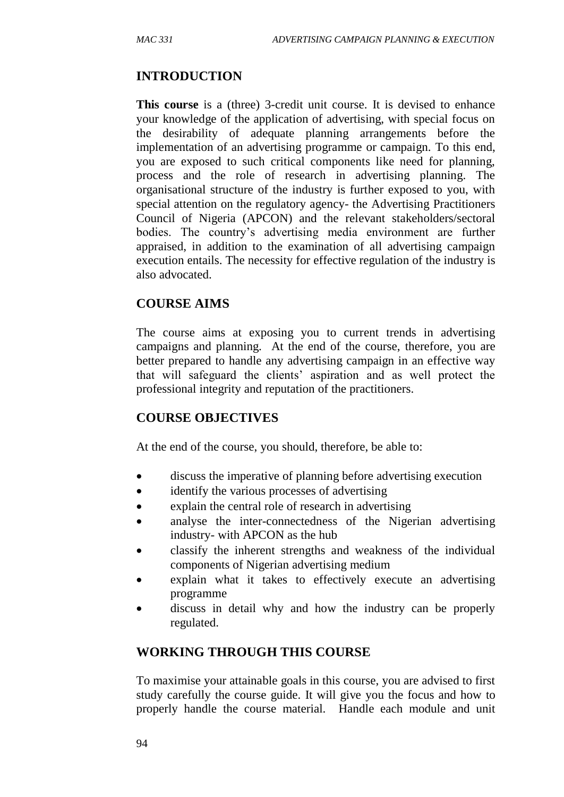## **INTRODUCTION**

**This course** is a (three) 3-credit unit course. It is devised to enhance your knowledge of the application of advertising, with special focus on the desirability of adequate planning arrangements before the implementation of an advertising programme or campaign. To this end, you are exposed to such critical components like need for planning, process and the role of research in advertising planning. The organisational structure of the industry is further exposed to you, with special attention on the regulatory agency- the Advertising Practitioners Council of Nigeria (APCON) and the relevant stakeholders/sectoral bodies. The country's advertising media environment are further appraised, in addition to the examination of all advertising campaign execution entails. The necessity for effective regulation of the industry is also advocated.

### **COURSE AIMS**

The course aims at exposing you to current trends in advertising campaigns and planning. At the end of the course, therefore, you are better prepared to handle any advertising campaign in an effective way that will safeguard the clients' aspiration and as well protect the professional integrity and reputation of the practitioners.

## **COURSE OBJECTIVES**

At the end of the course, you should, therefore, be able to:

- discuss the imperative of planning before advertising execution
- identify the various processes of advertising
- explain the central role of research in advertising
- analyse the inter-connectedness of the Nigerian advertising industry- with APCON as the hub
- classify the inherent strengths and weakness of the individual components of Nigerian advertising medium
- explain what it takes to effectively execute an advertising programme
- discuss in detail why and how the industry can be properly regulated.

## **WORKING THROUGH THIS COURSE**

To maximise your attainable goals in this course, you are advised to first study carefully the course guide. It will give you the focus and how to properly handle the course material. Handle each module and unit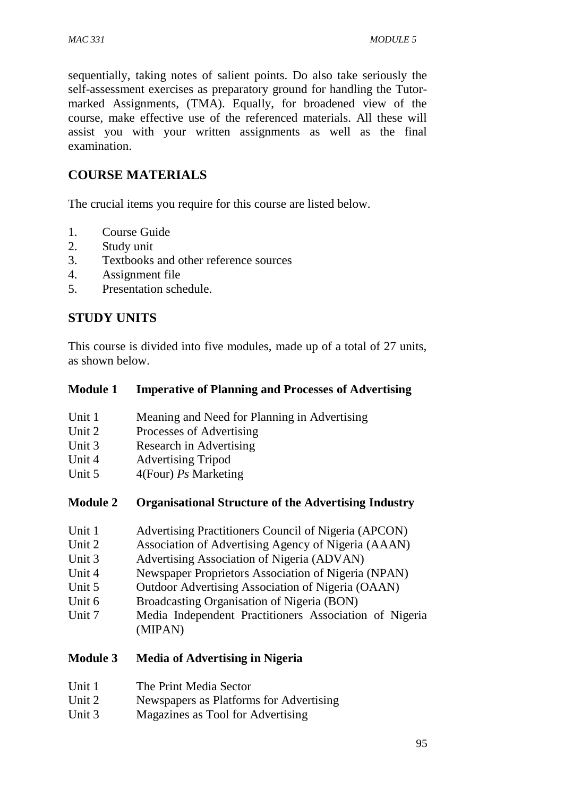sequentially, taking notes of salient points. Do also take seriously the self-assessment exercises as preparatory ground for handling the Tutormarked Assignments, (TMA). Equally, for broadened view of the course, make effective use of the referenced materials. All these will assist you with your written assignments as well as the final examination.

## **COURSE MATERIALS**

The crucial items you require for this course are listed below.

- 1. Course Guide
- 2. Study unit
- 3. Textbooks and other reference sources
- 4. Assignment file
- 5. Presentation schedule.

## **STUDY UNITS**

This course is divided into five modules, made up of a total of 27 units, as shown below.

#### **Module 1 Imperative of Planning and Processes of Advertising**

- Unit 1 Meaning and Need for Planning in Advertising
- Unit 2 Processes of Advertising
- Unit 3 Research in Advertising
- Unit 4 Advertising Tripod
- Unit 5 4(Four) *Ps* Marketing

#### **Module 2 Organisational Structure of the Advertising Industry**

- Unit 1 Advertising Practitioners Council of Nigeria (APCON)
- Unit 2 Association of Advertising Agency of Nigeria (AAAN)
- Unit 3 Advertising Association of Nigeria (ADVAN)
- Unit 4 Newspaper Proprietors Association of Nigeria (NPAN)
- Unit 5 Outdoor Advertising Association of Nigeria (OAAN)
- Unit 6 Broadcasting Organisation of Nigeria (BON)
- Unit 7 Media Independent Practitioners Association of Nigeria (MIPAN)

#### **Module 3 Media of Advertising in Nigeria**

- Unit 1 The Print Media Sector
- Unit 2 Newspapers as Platforms for Advertising
- Unit 3 Magazines as Tool for Advertising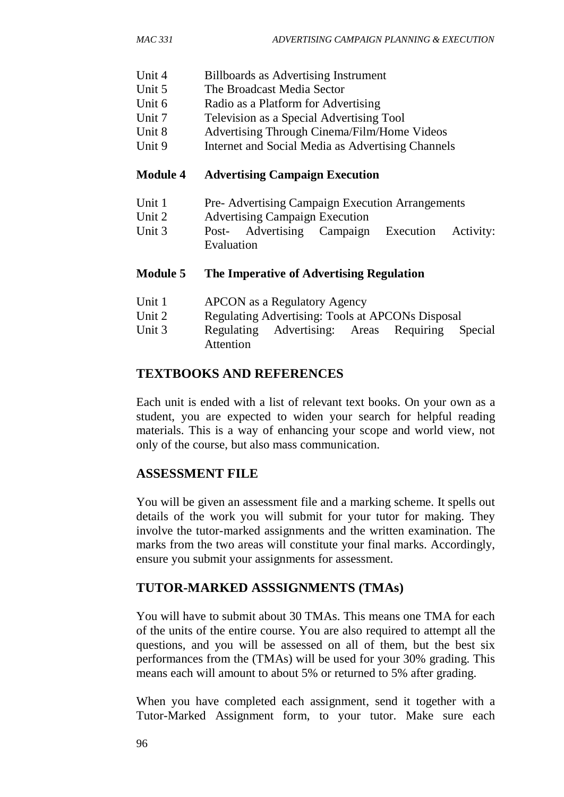- Unit 4 Billboards as Advertising Instrument
- Unit 5 The Broadcast Media Sector
- Unit 6 Radio as a Platform for Advertising
- Unit 7 Television as a Special Advertising Tool
- Unit 8 Advertising Through Cinema/Film/Home Videos
- Unit 9 Internet and Social Media as Advertising Channels

#### **Module 4 Advertising Campaign Execution**

- Unit 1 Pre- Advertising Campaign Execution Arrangements
- Unit 2 Advertising Campaign Execution
- Unit 3 Post- Advertising Campaign Execution Activity: Evaluation

#### **Module 5 The Imperative of Advertising Regulation**

- Unit 1 APCON as a Regulatory Agency
- Unit 2 Regulating Advertising: Tools at APCONs Disposal
- Unit 3 Regulating Advertising: Areas Requiring Special Attention

### **TEXTBOOKS AND REFERENCES**

Each unit is ended with a list of relevant text books. On your own as a student, you are expected to widen your search for helpful reading materials. This is a way of enhancing your scope and world view, not only of the course, but also mass communication.

## **ASSESSMENT FILE**

You will be given an assessment file and a marking scheme. It spells out details of the work you will submit for your tutor for making. They involve the tutor-marked assignments and the written examination. The marks from the two areas will constitute your final marks. Accordingly, ensure you submit your assignments for assessment.

## **TUTOR-MARKED ASSSIGNMENTS (TMAs)**

You will have to submit about 30 TMAs. This means one TMA for each of the units of the entire course. You are also required to attempt all the questions, and you will be assessed on all of them, but the best six performances from the (TMAs) will be used for your 30% grading. This means each will amount to about 5% or returned to 5% after grading.

When you have completed each assignment, send it together with a Tutor-Marked Assignment form, to your tutor. Make sure each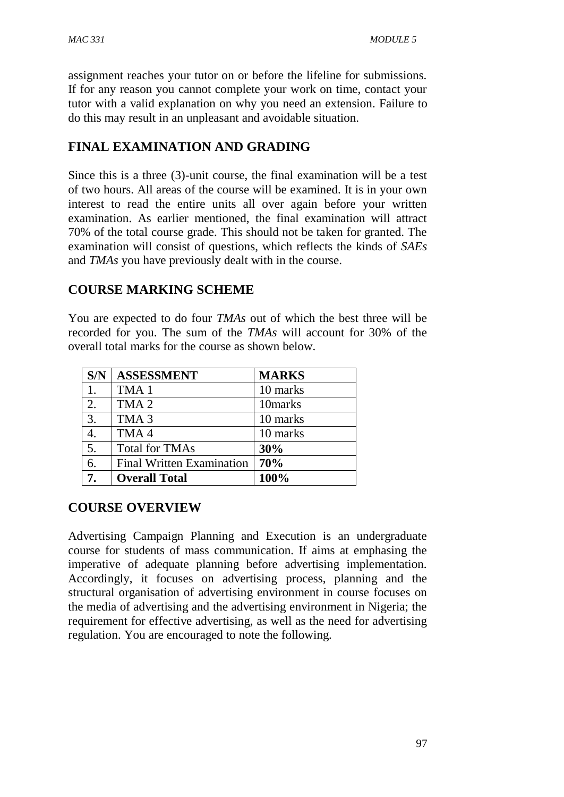assignment reaches your tutor on or before the lifeline for submissions. If for any reason you cannot complete your work on time, contact your tutor with a valid explanation on why you need an extension. Failure to do this may result in an unpleasant and avoidable situation.

## **FINAL EXAMINATION AND GRADING**

Since this is a three (3)-unit course, the final examination will be a test of two hours. All areas of the course will be examined. It is in your own interest to read the entire units all over again before your written examination. As earlier mentioned, the final examination will attract 70% of the total course grade. This should not be taken for granted. The examination will consist of questions, which reflects the kinds of *SAEs* and *TMAs* you have previously dealt with in the course.

## **COURSE MARKING SCHEME**

You are expected to do four *TMAs* out of which the best three will be recorded for you. The sum of the *TMAs* will account for 30% of the overall total marks for the course as shown below.

| S/N              | <b>ASSESSMENT</b>                | <b>MARKS</b> |
|------------------|----------------------------------|--------------|
| 1.               | TMA <sub>1</sub>                 | 10 marks     |
| 2.               | TMA <sub>2</sub>                 | 10marks      |
| $\overline{3}$ . | TMA <sub>3</sub>                 | 10 marks     |
| 4.               | TMA4                             | 10 marks     |
| $\overline{5}$ . | <b>Total for TMAs</b>            | 30%          |
| $\overline{6}$ . | <b>Final Written Examination</b> | 70%          |
| 7.               | <b>Overall Total</b>             | 100%         |

## **COURSE OVERVIEW**

Advertising Campaign Planning and Execution is an undergraduate course for students of mass communication. If aims at emphasing the imperative of adequate planning before advertising implementation. Accordingly, it focuses on advertising process, planning and the structural organisation of advertising environment in course focuses on the media of advertising and the advertising environment in Nigeria; the requirement for effective advertising, as well as the need for advertising regulation. You are encouraged to note the following.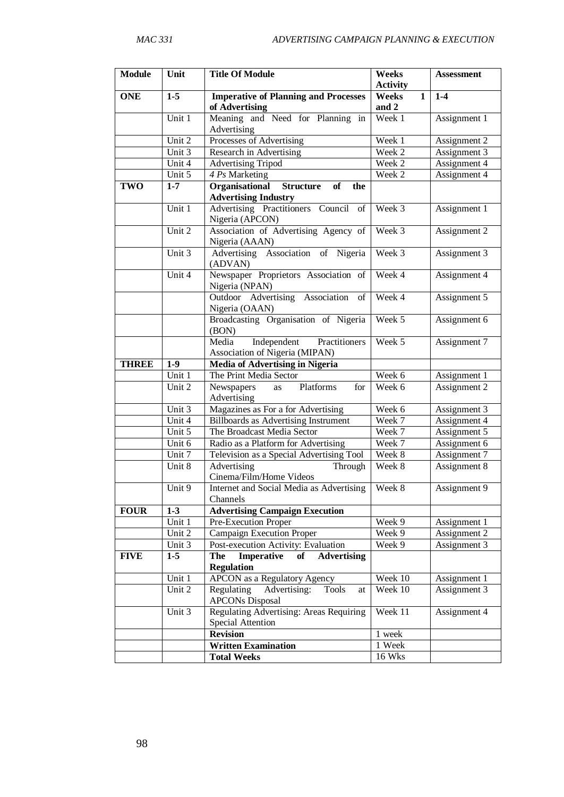| <b>Module</b> | Unit    | <b>Title Of Module</b>                                                  | Weeks<br><b>Activity</b> | <b>Assessment</b> |
|---------------|---------|-------------------------------------------------------------------------|--------------------------|-------------------|
| <b>ONE</b>    | $1-5$   | <b>Imperative of Planning and Processes</b>                             | Weeks<br>1               | $1-4$             |
|               |         | of Advertising                                                          | and 2                    |                   |
|               | Unit 1  | Meaning and Need for Planning in<br>Advertising                         | Week 1                   | Assignment 1      |
|               | Unit 2  | Processes of Advertising                                                | Week 1                   | Assignment 2      |
|               | Unit 3  | Research in Advertising                                                 | Week 2                   | Assignment 3      |
|               | Unit 4  | <b>Advertising Tripod</b>                                               | Week 2                   | Assignment 4      |
|               | Unit 5  | 4 Ps Marketing                                                          | Week 2                   | Assignment 4      |
| <b>TWO</b>    | $1 - 7$ | Organisational<br><b>Structure</b><br>of<br>the                         |                          |                   |
|               |         | <b>Advertising Industry</b>                                             |                          |                   |
|               | Unit 1  | Advertising Practitioners Council<br>of<br>Nigeria (APCON)              | Week 3                   | Assignment 1      |
|               | Unit 2  | Association of Advertising Agency of<br>Nigeria (AAAN)                  | Week 3                   | Assignment 2      |
|               | Unit 3  | Advertising Association of Nigeria<br>(ADVAN)                           | Week 3                   | Assignment 3      |
|               | Unit 4  | Newspaper Proprietors Association of<br>Nigeria (NPAN)                  | Week 4                   | Assignment 4      |
|               |         | Outdoor Advertising<br>Association<br>of<br>Nigeria (OAAN)              | Week 4                   | Assignment 5      |
|               |         | Broadcasting Organisation of Nigeria<br>(BON)                           | Week 5                   | Assignment 6      |
|               |         | Independent<br>Practitioners<br>Media<br>Association of Nigeria (MIPAN) | Week 5                   | Assignment 7      |
| <b>THREE</b>  | $1-9$   | <b>Media of Advertising in Nigeria</b>                                  |                          |                   |
|               | Unit 1  | The Print Media Sector                                                  | Week 6                   | Assignment 1      |
|               | Unit 2  | Platforms<br>Newspapers<br>for<br>as                                    | Week 6                   | Assignment 2      |
|               |         | Advertising                                                             |                          |                   |
|               | Unit 3  | Magazines as For a for Advertising                                      | Week 6                   | Assignment 3      |
|               | Unit 4  | <b>Billboards as Advertising Instrument</b>                             | Week 7                   | Assignment 4      |
|               | Unit 5  | The Broadcast Media Sector                                              | Week 7                   | Assignment 5      |
|               | Unit 6  | Radio as a Platform for Advertising                                     | Week 7                   | Assignment 6      |
|               | Unit 7  | Television as a Special Advertising Tool                                | Week 8                   | Assignment 7      |
|               | Unit 8  | Advertising<br>Through<br>Cinema/Film/Home Videos                       | Week 8                   | Assignment 8      |
|               | Unit 9  | Internet and Social Media as Advertising<br>Channels                    | Week 8                   | Assignment 9      |
| <b>FOUR</b>   | $1 - 3$ | <b>Advertising Campaign Execution</b>                                   |                          |                   |
|               | Unit 1  | Pre-Execution Proper                                                    | Week 9                   | Assignment 1      |
|               | Unit 2  | <b>Campaign Execution Proper</b>                                        | Week 9                   | Assignment 2      |
|               | Unit 3  | Post-execution Activity: Evaluation                                     | Week 9                   | Assignment 3      |
| <b>FIVE</b>   | $1-5$   | Imperative<br><b>Advertising</b><br>of<br>The<br><b>Regulation</b>      |                          |                   |
|               | Unit 1  | <b>APCON</b> as a Regulatory Agency                                     | Week 10                  | Assignment 1      |
|               | Unit 2  | Regulating<br>Advertising:<br>Tools<br>at<br><b>APCONs Disposal</b>     | Week 10                  | Assignment 3      |
|               | Unit 3  | Regulating Advertising: Areas Requiring<br><b>Special Attention</b>     | Week 11                  | Assignment 4      |
|               |         | <b>Revision</b>                                                         | 1 week                   |                   |
|               |         | <b>Written Examination</b>                                              | 1 Week                   |                   |
|               |         | <b>Total Weeks</b>                                                      | <b>16 Wks</b>            |                   |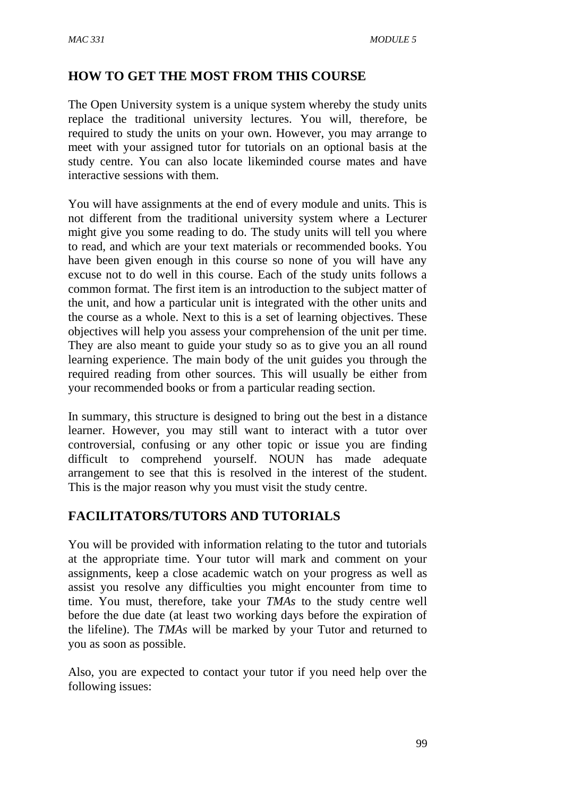## **HOW TO GET THE MOST FROM THIS COURSE**

The Open University system is a unique system whereby the study units replace the traditional university lectures. You will, therefore, be required to study the units on your own. However, you may arrange to meet with your assigned tutor for tutorials on an optional basis at the study centre. You can also locate likeminded course mates and have interactive sessions with them.

You will have assignments at the end of every module and units. This is not different from the traditional university system where a Lecturer might give you some reading to do. The study units will tell you where to read, and which are your text materials or recommended books. You have been given enough in this course so none of you will have any excuse not to do well in this course. Each of the study units follows a common format. The first item is an introduction to the subject matter of the unit, and how a particular unit is integrated with the other units and the course as a whole. Next to this is a set of learning objectives. These objectives will help you assess your comprehension of the unit per time. They are also meant to guide your study so as to give you an all round learning experience. The main body of the unit guides you through the required reading from other sources. This will usually be either from your recommended books or from a particular reading section.

In summary, this structure is designed to bring out the best in a distance learner. However, you may still want to interact with a tutor over controversial, confusing or any other topic or issue you are finding difficult to comprehend yourself. NOUN has made adequate arrangement to see that this is resolved in the interest of the student. This is the major reason why you must visit the study centre.

## **FACILITATORS/TUTORS AND TUTORIALS**

You will be provided with information relating to the tutor and tutorials at the appropriate time. Your tutor will mark and comment on your assignments, keep a close academic watch on your progress as well as assist you resolve any difficulties you might encounter from time to time. You must, therefore, take your *TMAs* to the study centre well before the due date (at least two working days before the expiration of the lifeline). The *TMAs* will be marked by your Tutor and returned to you as soon as possible.

Also, you are expected to contact your tutor if you need help over the following issues: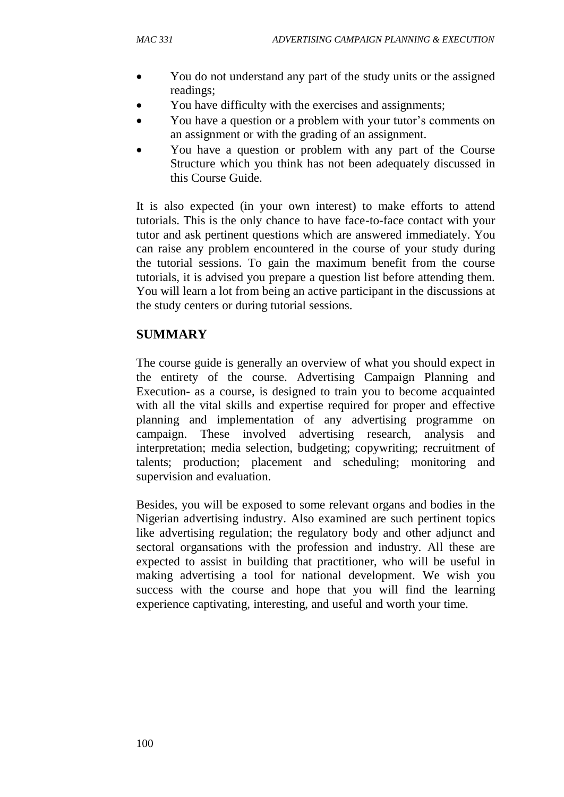- You do not understand any part of the study units or the assigned readings;
- You have difficulty with the exercises and assignments;
- You have a question or a problem with your tutor's comments on an assignment or with the grading of an assignment.
- You have a question or problem with any part of the Course Structure which you think has not been adequately discussed in this Course Guide.

It is also expected (in your own interest) to make efforts to attend tutorials. This is the only chance to have face-to-face contact with your tutor and ask pertinent questions which are answered immediately. You can raise any problem encountered in the course of your study during the tutorial sessions. To gain the maximum benefit from the course tutorials, it is advised you prepare a question list before attending them. You will learn a lot from being an active participant in the discussions at the study centers or during tutorial sessions.

### **SUMMARY**

The course guide is generally an overview of what you should expect in the entirety of the course. Advertising Campaign Planning and Execution- as a course, is designed to train you to become acquainted with all the vital skills and expertise required for proper and effective planning and implementation of any advertising programme on campaign. These involved advertising research, analysis and interpretation; media selection, budgeting; copywriting; recruitment of talents; production; placement and scheduling; monitoring and supervision and evaluation.

Besides, you will be exposed to some relevant organs and bodies in the Nigerian advertising industry. Also examined are such pertinent topics like advertising regulation; the regulatory body and other adjunct and sectoral organsations with the profession and industry. All these are expected to assist in building that practitioner, who will be useful in making advertising a tool for national development. We wish you success with the course and hope that you will find the learning experience captivating, interesting, and useful and worth your time.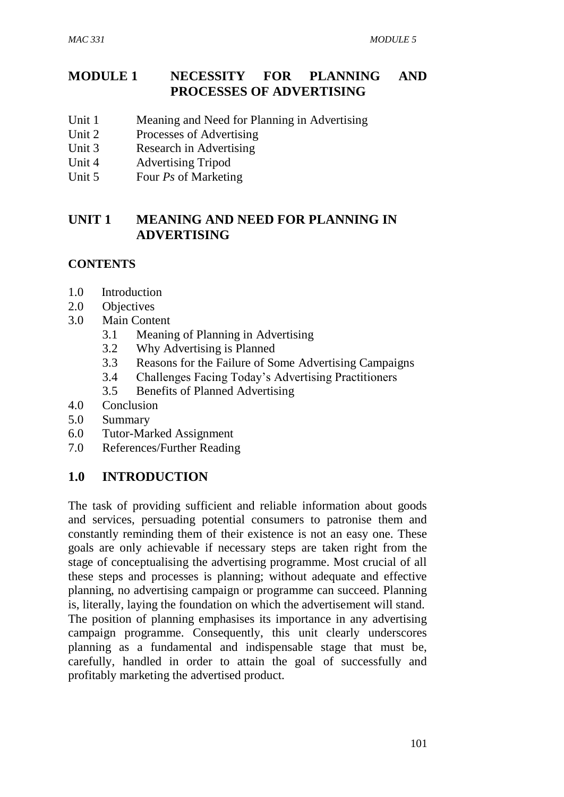## **MODULE 1 NECESSITY FOR PLANNING AND PROCESSES OF ADVERTISING**

- Unit 1 Meaning and Need for Planning in Advertising
- Unit 2 Processes of Advertising
- Unit 3 Research in Advertising
- Unit 4 Advertising Tripod
- Unit 5 Four *Ps* of Marketing

## **UNIT 1 MEANING AND NEED FOR PLANNING IN ADVERTISING**

## **CONTENTS**

- 1.0 Introduction
- 2.0 Objectives
- 3.0 Main Content
	- 3.1 Meaning of Planning in Advertising
	- 3.2 Why Advertising is Planned
	- 3.3 Reasons for the Failure of Some Advertising Campaigns
	- 3.4 Challenges Facing Today's Advertising Practitioners
	- 3.5 Benefits of Planned Advertising
- 4.0 Conclusion
- 5.0 Summary
- 6.0 Tutor-Marked Assignment
- 7.0 References/Further Reading

## **1.0 INTRODUCTION**

The task of providing sufficient and reliable information about goods and services, persuading potential consumers to patronise them and constantly reminding them of their existence is not an easy one. These goals are only achievable if necessary steps are taken right from the stage of conceptualising the advertising programme. Most crucial of all these steps and processes is planning; without adequate and effective planning, no advertising campaign or programme can succeed. Planning is, literally, laying the foundation on which the advertisement will stand. The position of planning emphasises its importance in any advertising campaign programme. Consequently, this unit clearly underscores planning as a fundamental and indispensable stage that must be, carefully, handled in order to attain the goal of successfully and profitably marketing the advertised product.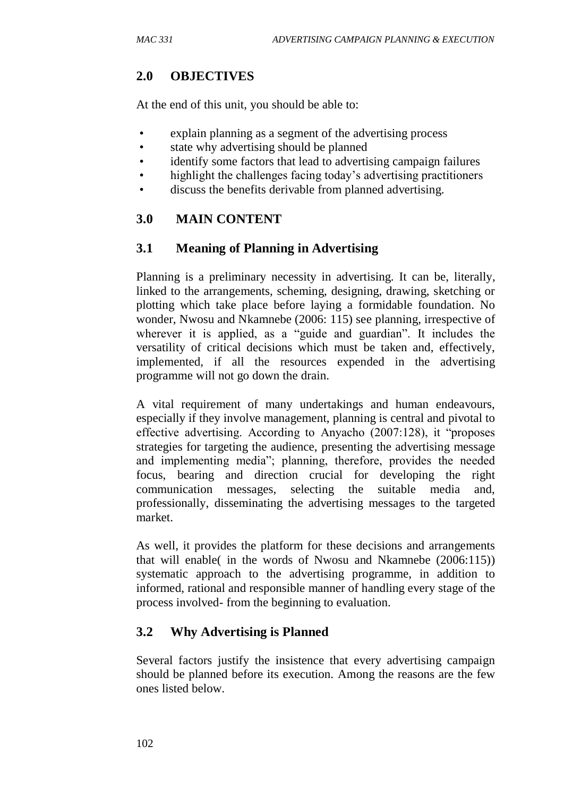## **2.0 OBJECTIVES**

At the end of this unit, you should be able to:

- explain planning as a segment of the advertising process
- state why advertising should be planned
- identify some factors that lead to advertising campaign failures
- highlight the challenges facing today's advertising practitioners
- discuss the benefits derivable from planned advertising.

## **3.0 MAIN CONTENT**

## **3.1 Meaning of Planning in Advertising**

Planning is a preliminary necessity in advertising. It can be, literally, linked to the arrangements, scheming, designing, drawing, sketching or plotting which take place before laying a formidable foundation. No wonder, Nwosu and Nkamnebe (2006: 115) see planning, irrespective of wherever it is applied, as a "guide and guardian". It includes the versatility of critical decisions which must be taken and, effectively, implemented, if all the resources expended in the advertising programme will not go down the drain.

A vital requirement of many undertakings and human endeavours, especially if they involve management, planning is central and pivotal to effective advertising. According to Anyacho (2007:128), it "proposes strategies for targeting the audience, presenting the advertising message and implementing media"; planning, therefore, provides the needed focus, bearing and direction crucial for developing the right communication messages, selecting the suitable media and, professionally, disseminating the advertising messages to the targeted market.

As well, it provides the platform for these decisions and arrangements that will enable( in the words of Nwosu and Nkamnebe (2006:115)) systematic approach to the advertising programme, in addition to informed, rational and responsible manner of handling every stage of the process involved- from the beginning to evaluation.

## **3.2 Why Advertising is Planned**

Several factors justify the insistence that every advertising campaign should be planned before its execution. Among the reasons are the few ones listed below.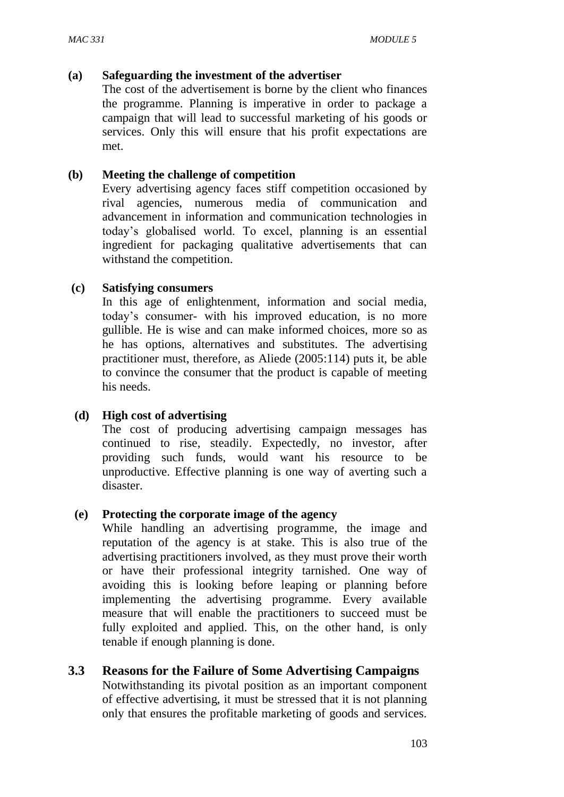#### **(a) Safeguarding the investment of the advertiser**

The cost of the advertisement is borne by the client who finances the programme. Planning is imperative in order to package a campaign that will lead to successful marketing of his goods or services. Only this will ensure that his profit expectations are met.

#### **(b) Meeting the challenge of competition**

Every advertising agency faces stiff competition occasioned by rival agencies, numerous media of communication and advancement in information and communication technologies in today's globalised world. To excel, planning is an essential ingredient for packaging qualitative advertisements that can withstand the competition.

#### **(c) Satisfying consumers**

In this age of enlightenment, information and social media, today's consumer- with his improved education, is no more gullible. He is wise and can make informed choices, more so as he has options, alternatives and substitutes. The advertising practitioner must, therefore, as Aliede (2005:114) puts it, be able to convince the consumer that the product is capable of meeting his needs.

#### **(d) High cost of advertising**

The cost of producing advertising campaign messages has continued to rise, steadily. Expectedly, no investor, after providing such funds, would want his resource to be unproductive. Effective planning is one way of averting such a disaster.

#### **(e) Protecting the corporate image of the agency**

While handling an advertising programme, the image and reputation of the agency is at stake. This is also true of the advertising practitioners involved, as they must prove their worth or have their professional integrity tarnished. One way of avoiding this is looking before leaping or planning before implementing the advertising programme. Every available measure that will enable the practitioners to succeed must be fully exploited and applied. This, on the other hand, is only tenable if enough planning is done.

#### **3.3 Reasons for the Failure of Some Advertising Campaigns**

Notwithstanding its pivotal position as an important component of effective advertising, it must be stressed that it is not planning only that ensures the profitable marketing of goods and services.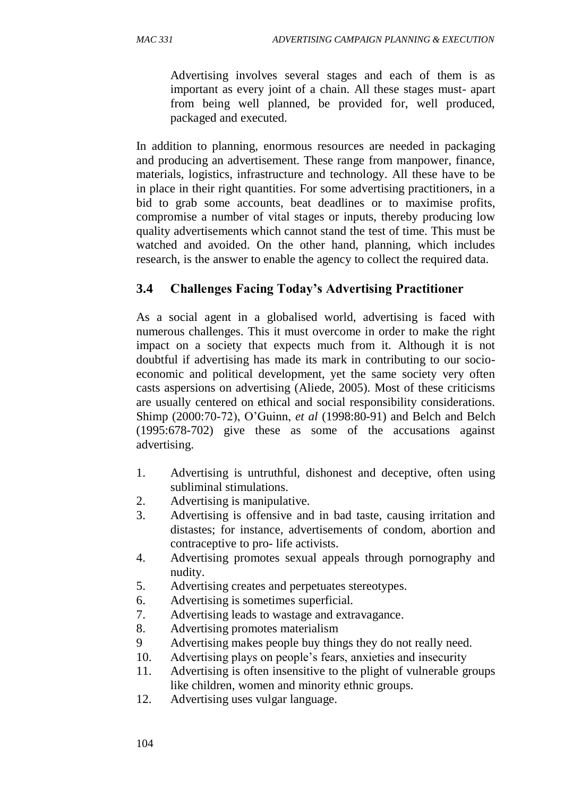Advertising involves several stages and each of them is as important as every joint of a chain. All these stages must- apart from being well planned, be provided for, well produced, packaged and executed.

In addition to planning, enormous resources are needed in packaging and producing an advertisement. These range from manpower, finance, materials, logistics, infrastructure and technology. All these have to be in place in their right quantities. For some advertising practitioners, in a bid to grab some accounts, beat deadlines or to maximise profits, compromise a number of vital stages or inputs, thereby producing low quality advertisements which cannot stand the test of time. This must be watched and avoided. On the other hand, planning, which includes research, is the answer to enable the agency to collect the required data.

## **3.4 Challenges Facing Today's Advertising Practitioner**

As a social agent in a globalised world, advertising is faced with numerous challenges. This it must overcome in order to make the right impact on a society that expects much from it. Although it is not doubtful if advertising has made its mark in contributing to our socioeconomic and political development, yet the same society very often casts aspersions on advertising (Aliede, 2005). Most of these criticisms are usually centered on ethical and social responsibility considerations. Shimp (2000:70-72), O'Guinn, *et al* (1998:80-91) and Belch and Belch (1995:678-702) give these as some of the accusations against advertising.

- 1. Advertising is untruthful, dishonest and deceptive, often using subliminal stimulations.
- 2. Advertising is manipulative.
- 3. Advertising is offensive and in bad taste, causing irritation and distastes; for instance, advertisements of condom, abortion and contraceptive to pro- life activists.
- 4. Advertising promotes sexual appeals through pornography and nudity.
- 5. Advertising creates and perpetuates stereotypes.
- 6. Advertising is sometimes superficial.
- 7. Advertising leads to wastage and extravagance.
- 8. Advertising promotes materialism
- 9 Advertising makes people buy things they do not really need.
- 10. Advertising plays on people's fears, anxieties and insecurity
- 11. Advertising is often insensitive to the plight of vulnerable groups like children, women and minority ethnic groups.
- 12. Advertising uses vulgar language.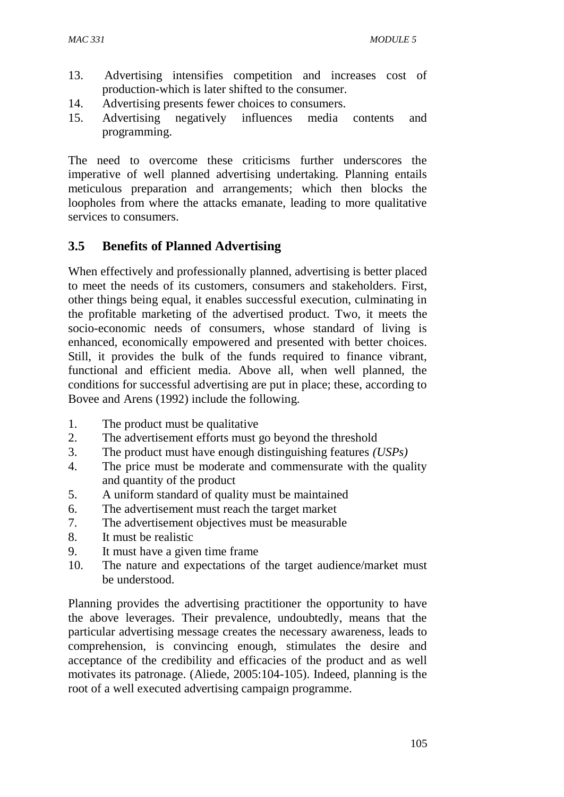- 13. Advertising intensifies competition and increases cost of production-which is later shifted to the consumer.
- 14. Advertising presents fewer choices to consumers.
- 15. Advertising negatively influences media contents and programming.

The need to overcome these criticisms further underscores the imperative of well planned advertising undertaking. Planning entails meticulous preparation and arrangements; which then blocks the loopholes from where the attacks emanate, leading to more qualitative services to consumers.

## **3.5 Benefits of Planned Advertising**

When effectively and professionally planned, advertising is better placed to meet the needs of its customers, consumers and stakeholders. First, other things being equal, it enables successful execution, culminating in the profitable marketing of the advertised product. Two, it meets the socio-economic needs of consumers, whose standard of living is enhanced, economically empowered and presented with better choices. Still, it provides the bulk of the funds required to finance vibrant, functional and efficient media. Above all, when well planned, the conditions for successful advertising are put in place; these, according to Bovee and Arens (1992) include the following.

- 1. The product must be qualitative
- 2. The advertisement efforts must go beyond the threshold
- 3. The product must have enough distinguishing features *(USPs)*
- 4. The price must be moderate and commensurate with the quality and quantity of the product
- 5. A uniform standard of quality must be maintained
- 6. The advertisement must reach the target market
- 7. The advertisement objectives must be measurable
- 8. It must be realistic
- 9. It must have a given time frame
- 10. The nature and expectations of the target audience/market must be understood.

Planning provides the advertising practitioner the opportunity to have the above leverages. Their prevalence, undoubtedly, means that the particular advertising message creates the necessary awareness, leads to comprehension, is convincing enough, stimulates the desire and acceptance of the credibility and efficacies of the product and as well motivates its patronage. (Aliede, 2005:104-105). Indeed, planning is the root of a well executed advertising campaign programme.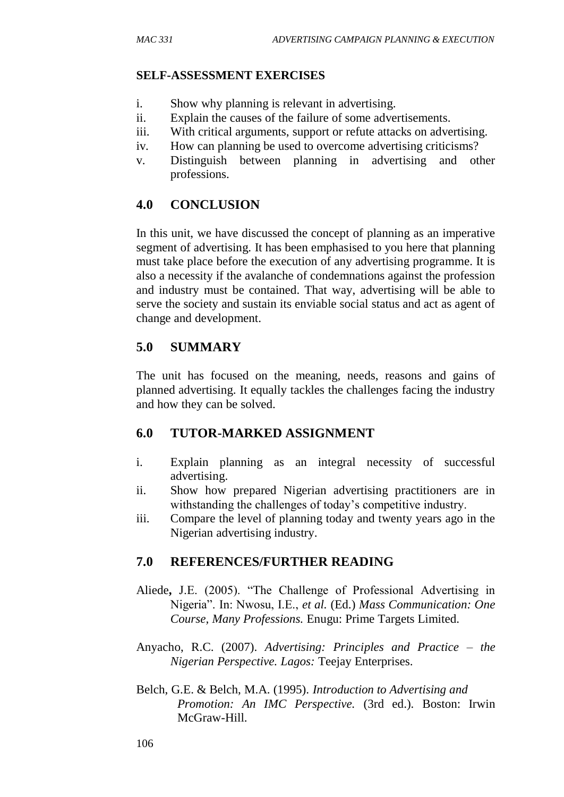#### **SELF-ASSESSMENT EXERCISES**

- i. Show why planning is relevant in advertising.
- ii. Explain the causes of the failure of some advertisements.
- iii. With critical arguments, support or refute attacks on advertising.
- iv. How can planning be used to overcome advertising criticisms?
- v. Distinguish between planning in advertising and other professions.

## **4.0 CONCLUSION**

In this unit, we have discussed the concept of planning as an imperative segment of advertising. It has been emphasised to you here that planning must take place before the execution of any advertising programme. It is also a necessity if the avalanche of condemnations against the profession and industry must be contained. That way, advertising will be able to serve the society and sustain its enviable social status and act as agent of change and development.

## **5.0 SUMMARY**

The unit has focused on the meaning, needs, reasons and gains of planned advertising. It equally tackles the challenges facing the industry and how they can be solved.

## **6.0 TUTOR-MARKED ASSIGNMENT**

- i. Explain planning as an integral necessity of successful advertising.
- ii. Show how prepared Nigerian advertising practitioners are in withstanding the challenges of today's competitive industry.
- iii. Compare the level of planning today and twenty years ago in the Nigerian advertising industry.

## **7.0 REFERENCES/FURTHER READING**

- Aliede**,** J.E. (2005). "The Challenge of Professional Advertising in Nigeria". In: Nwosu, I.E., *et al.* (Ed.) *Mass Communication: One Course, Many Professions.* Enugu: Prime Targets Limited.
- Anyacho, R.C. (2007). *Advertising: Principles and Practice – the Nigerian Perspective. Lagos:* Teejay Enterprises.
- Belch, G.E. & Belch, M.A. (1995). *Introduction to Advertising and Promotion: An IMC Perspective.* (3rd ed.)*.* Boston: Irwin McGraw-Hill.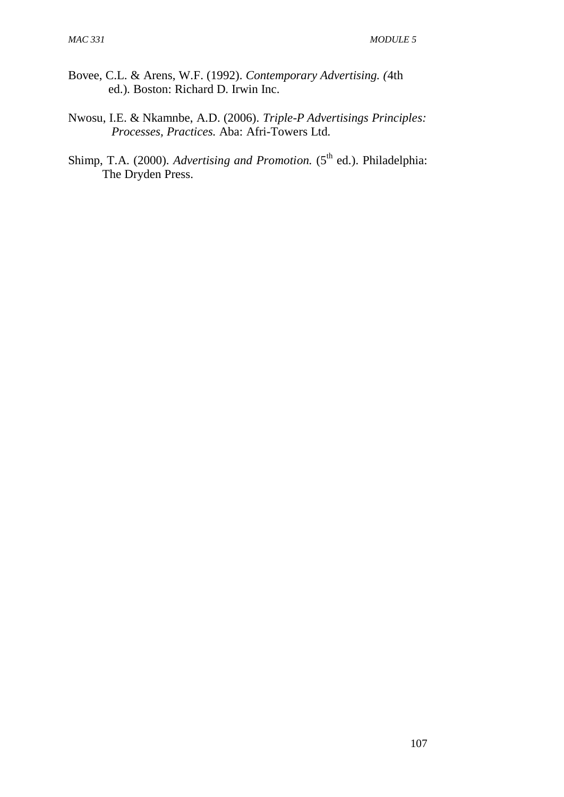- Bovee, C.L. & Arens, W.F. (1992). *Contemporary Advertising. (*4th ed.). Boston: Richard D. Irwin Inc.
- Nwosu, I.E. & Nkamnbe, A.D. (2006). *Triple-P Advertisings Principles: Processes, Practices.* Aba: Afri-Towers Ltd*.*
- Shimp, T.A. (2000). *Advertising and Promotion*. (5<sup>th</sup> ed.). Philadelphia: The Dryden Press.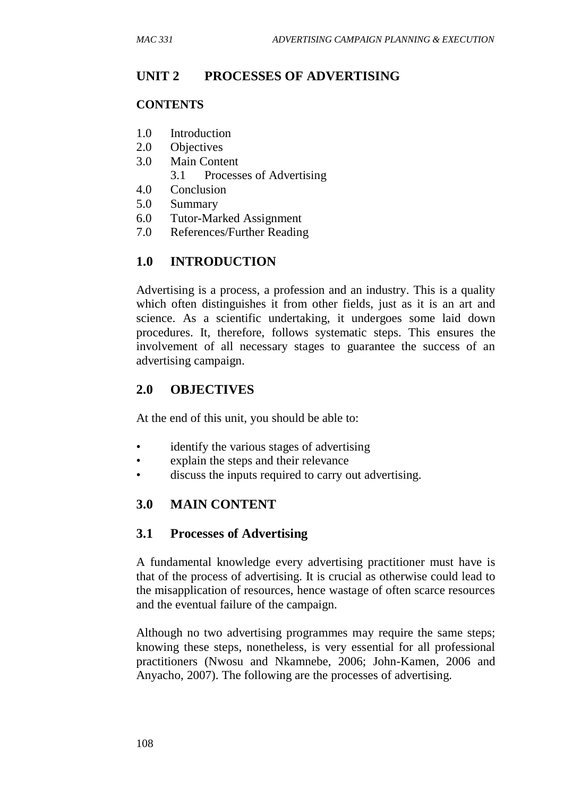## **UNIT 2 PROCESSES OF ADVERTISING**

#### **CONTENTS**

- 1.0 Introduction
- 2.0 Objectives
- 3.0 Main Content
	- 3.1 Processes of Advertising
- 4.0 Conclusion
- 5.0 Summary
- 6.0 Tutor-Marked Assignment
- 7.0 References/Further Reading

## **1.0 INTRODUCTION**

Advertising is a process, a profession and an industry. This is a quality which often distinguishes it from other fields, just as it is an art and science. As a scientific undertaking, it undergoes some laid down procedures. It, therefore, follows systematic steps. This ensures the involvement of all necessary stages to guarantee the success of an advertising campaign.

### **2.0 OBJECTIVES**

At the end of this unit, you should be able to:

- identify the various stages of advertising
- explain the steps and their relevance
- discuss the inputs required to carry out advertising.

#### **3.0 MAIN CONTENT**

#### **3.1 Processes of Advertising**

A fundamental knowledge every advertising practitioner must have is that of the process of advertising. It is crucial as otherwise could lead to the misapplication of resources, hence wastage of often scarce resources and the eventual failure of the campaign.

Although no two advertising programmes may require the same steps; knowing these steps, nonetheless, is very essential for all professional practitioners (Nwosu and Nkamnebe, 2006; John-Kamen, 2006 and Anyacho, 2007). The following are the processes of advertising.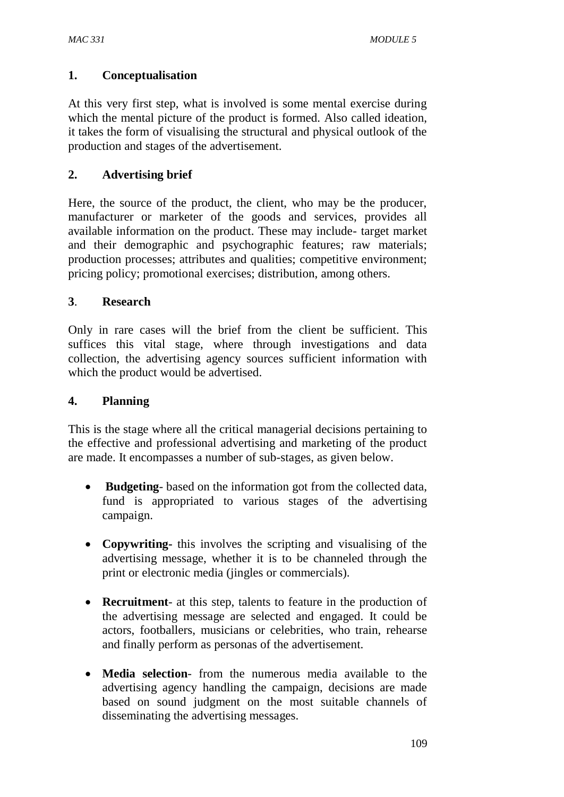## **1. Conceptualisation**

At this very first step, what is involved is some mental exercise during which the mental picture of the product is formed. Also called ideation, it takes the form of visualising the structural and physical outlook of the production and stages of the advertisement.

### **2. Advertising brief**

Here, the source of the product, the client, who may be the producer, manufacturer or marketer of the goods and services, provides all available information on the product. These may include- target market and their demographic and psychographic features; raw materials; production processes; attributes and qualities; competitive environment; pricing policy; promotional exercises; distribution, among others.

### **3**. **Research**

Only in rare cases will the brief from the client be sufficient. This suffices this vital stage, where through investigations and data collection, the advertising agency sources sufficient information with which the product would be advertised.

#### **4. Planning**

This is the stage where all the critical managerial decisions pertaining to the effective and professional advertising and marketing of the product are made. It encompasses a number of sub-stages, as given below.

- **Budgeting** based on the information got from the collected data, fund is appropriated to various stages of the advertising campaign.
- **Copywriting-** this involves the scripting and visualising of the advertising message, whether it is to be channeled through the print or electronic media (jingles or commercials).
- **Recruitment** at this step, talents to feature in the production of the advertising message are selected and engaged. It could be actors, footballers, musicians or celebrities, who train, rehearse and finally perform as personas of the advertisement.
- **Media selection** from the numerous media available to the advertising agency handling the campaign, decisions are made based on sound judgment on the most suitable channels of disseminating the advertising messages.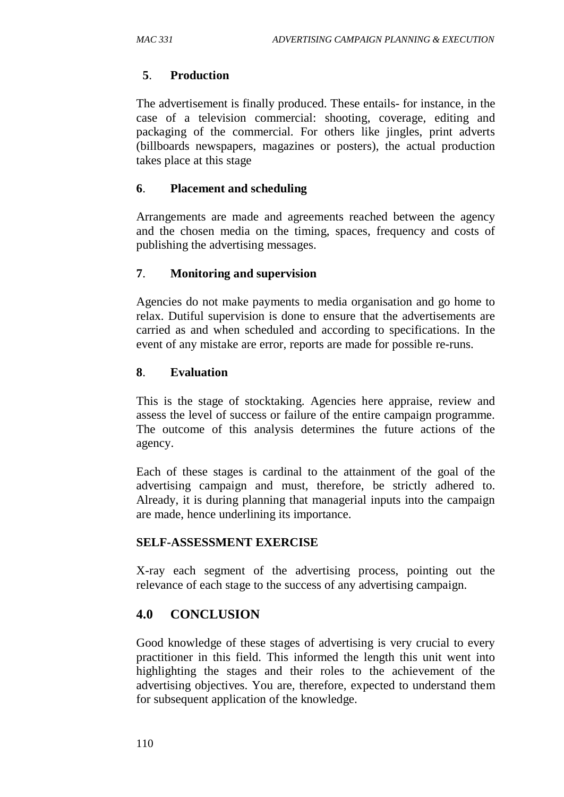#### **5**. **Production**

The advertisement is finally produced. These entails- for instance, in the case of a television commercial: shooting, coverage, editing and packaging of the commercial. For others like jingles, print adverts (billboards newspapers, magazines or posters), the actual production takes place at this stage

#### **6**. **Placement and scheduling**

Arrangements are made and agreements reached between the agency and the chosen media on the timing, spaces, frequency and costs of publishing the advertising messages.

### **7**. **Monitoring and supervision**

Agencies do not make payments to media organisation and go home to relax. Dutiful supervision is done to ensure that the advertisements are carried as and when scheduled and according to specifications. In the event of any mistake are error, reports are made for possible re-runs.

#### **8**. **Evaluation**

This is the stage of stocktaking. Agencies here appraise, review and assess the level of success or failure of the entire campaign programme. The outcome of this analysis determines the future actions of the agency.

Each of these stages is cardinal to the attainment of the goal of the advertising campaign and must, therefore, be strictly adhered to. Already, it is during planning that managerial inputs into the campaign are made, hence underlining its importance.

#### **SELF-ASSESSMENT EXERCISE**

X-ray each segment of the advertising process, pointing out the relevance of each stage to the success of any advertising campaign.

## **4.0 CONCLUSION**

Good knowledge of these stages of advertising is very crucial to every practitioner in this field. This informed the length this unit went into highlighting the stages and their roles to the achievement of the advertising objectives. You are, therefore, expected to understand them for subsequent application of the knowledge.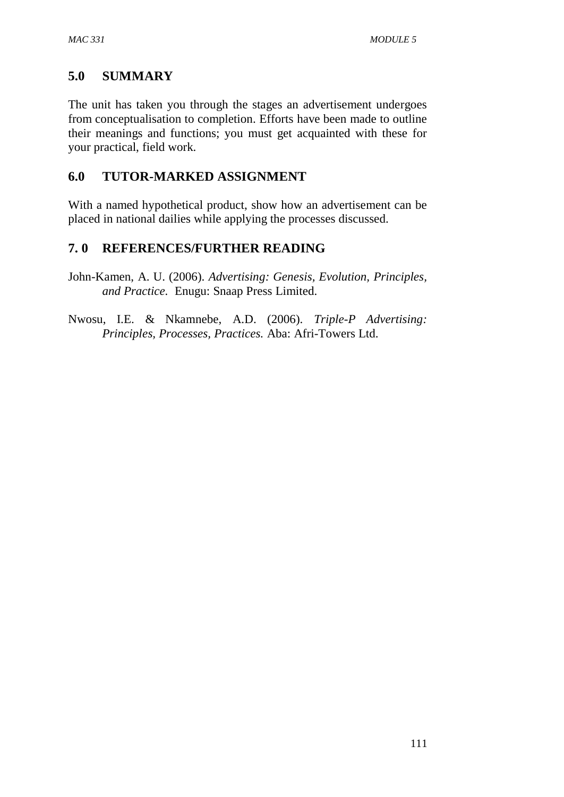## **5.0 SUMMARY**

The unit has taken you through the stages an advertisement undergoes from conceptualisation to completion. Efforts have been made to outline their meanings and functions; you must get acquainted with these for your practical, field work.

## **6.0 TUTOR-MARKED ASSIGNMENT**

With a named hypothetical product, show how an advertisement can be placed in national dailies while applying the processes discussed.

## **7. 0 REFERENCES/FURTHER READING**

- John-Kamen, A. U. (2006). *Advertising: Genesis, Evolution, Principles, and Practice.* Enugu: Snaap Press Limited.
- Nwosu, I.E. & Nkamnebe, A.D. (2006). *Triple-P Advertising: Principles, Processes, Practices.* Aba: Afri-Towers Ltd.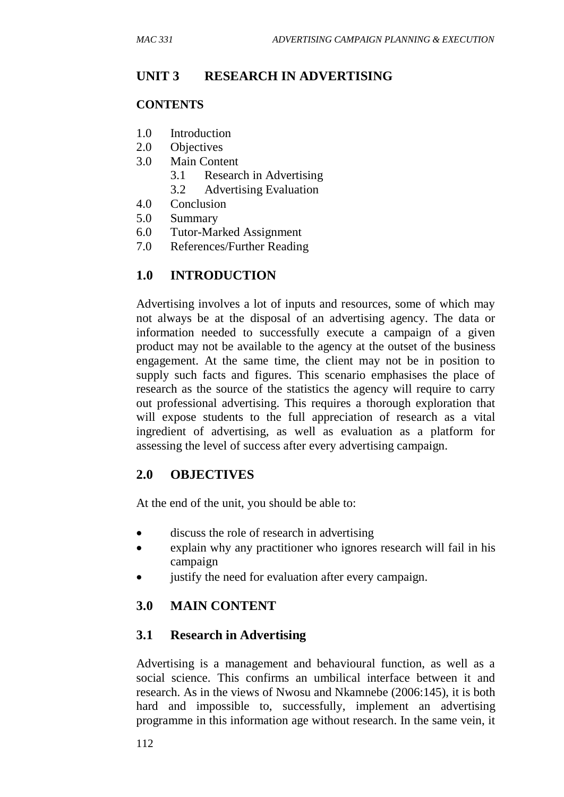#### **UNIT 3 RESEARCH IN ADVERTISING**

#### **CONTENTS**

- 1.0 Introduction
- 2.0 Objectives
- 3.0 Main Content
	- 3.1 Research in Advertising
	- 3.2 Advertising Evaluation
- 4.0 Conclusion
- 5.0 Summary
- 6.0 Tutor-Marked Assignment
- 7.0 References/Further Reading

#### **1.0 INTRODUCTION**

Advertising involves a lot of inputs and resources, some of which may not always be at the disposal of an advertising agency. The data or information needed to successfully execute a campaign of a given product may not be available to the agency at the outset of the business engagement. At the same time, the client may not be in position to supply such facts and figures. This scenario emphasises the place of research as the source of the statistics the agency will require to carry out professional advertising. This requires a thorough exploration that will expose students to the full appreciation of research as a vital ingredient of advertising, as well as evaluation as a platform for assessing the level of success after every advertising campaign.

#### **2.0 OBJECTIVES**

At the end of the unit, you should be able to:

- discuss the role of research in advertising
- explain why any practitioner who ignores research will fail in his campaign
- justify the need for evaluation after every campaign.

#### **3.0 MAIN CONTENT**

#### **3.1 Research in Advertising**

Advertising is a management and behavioural function, as well as a social science. This confirms an umbilical interface between it and research. As in the views of Nwosu and Nkamnebe (2006:145), it is both hard and impossible to, successfully, implement an advertising programme in this information age without research. In the same vein, it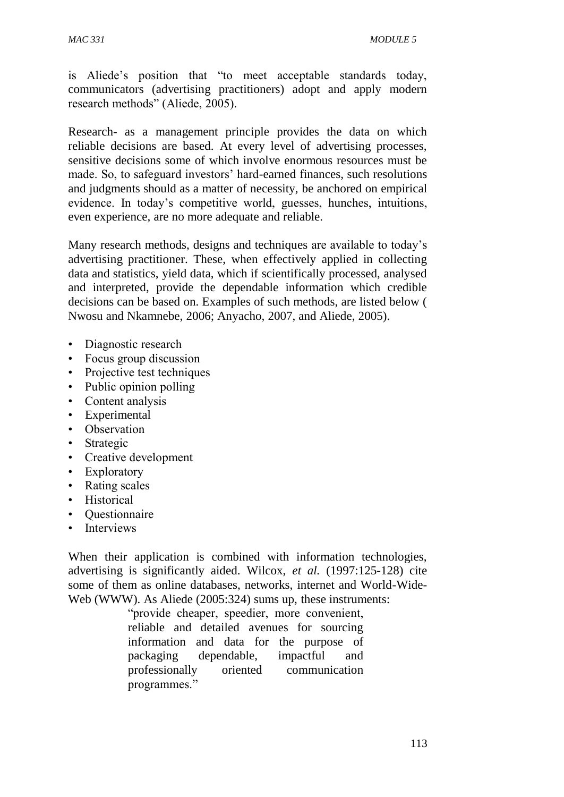is Aliede's position that "to meet acceptable standards today, communicators (advertising practitioners) adopt and apply modern research methods" (Aliede, 2005).

Research- as a management principle provides the data on which reliable decisions are based. At every level of advertising processes, sensitive decisions some of which involve enormous resources must be made. So, to safeguard investors' hard-earned finances, such resolutions and judgments should as a matter of necessity, be anchored on empirical evidence. In today's competitive world, guesses, hunches, intuitions, even experience, are no more adequate and reliable.

Many research methods, designs and techniques are available to today's advertising practitioner. These, when effectively applied in collecting data and statistics, yield data, which if scientifically processed, analysed and interpreted, provide the dependable information which credible decisions can be based on. Examples of such methods, are listed below ( Nwosu and Nkamnebe, 2006; Anyacho, 2007, and Aliede, 2005).

- Diagnostic research
- Focus group discussion
- Projective test techniques
- Public opinion polling
- Content analysis
- Experimental
- Observation
- Strategic
- Creative development
- Exploratory
- Rating scales
- Historical
- Questionnaire
- Interviews

When their application is combined with information technologies, advertising is significantly aided. Wilcox, *et al.* (1997:125-128) cite some of them as online databases, networks, internet and World-Wide-Web (WWW). As Aliede (2005:324) sums up, these instruments:

> "provide cheaper, speedier, more convenient, reliable and detailed avenues for sourcing information and data for the purpose of packaging dependable, impactful and professionally oriented communication programmes."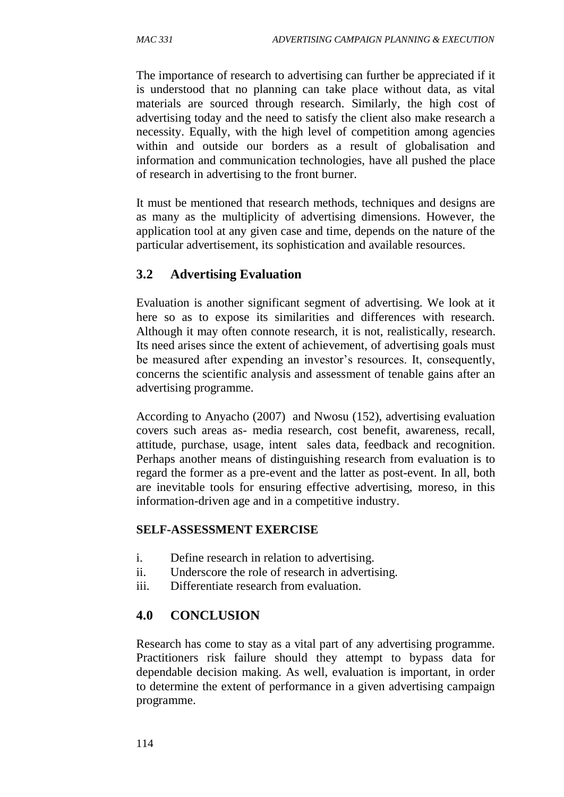The importance of research to advertising can further be appreciated if it is understood that no planning can take place without data, as vital materials are sourced through research. Similarly, the high cost of advertising today and the need to satisfy the client also make research a necessity. Equally, with the high level of competition among agencies within and outside our borders as a result of globalisation and information and communication technologies, have all pushed the place of research in advertising to the front burner.

It must be mentioned that research methods, techniques and designs are as many as the multiplicity of advertising dimensions. However, the application tool at any given case and time, depends on the nature of the particular advertisement, its sophistication and available resources.

## **3.2 Advertising Evaluation**

Evaluation is another significant segment of advertising. We look at it here so as to expose its similarities and differences with research. Although it may often connote research, it is not, realistically, research. Its need arises since the extent of achievement, of advertising goals must be measured after expending an investor's resources. It, consequently, concerns the scientific analysis and assessment of tenable gains after an advertising programme.

According to Anyacho (2007) and Nwosu (152), advertising evaluation covers such areas as- media research, cost benefit, awareness, recall, attitude, purchase, usage, intent sales data, feedback and recognition. Perhaps another means of distinguishing research from evaluation is to regard the former as a pre-event and the latter as post-event. In all, both are inevitable tools for ensuring effective advertising, moreso, in this information-driven age and in a competitive industry.

#### **SELF-ASSESSMENT EXERCISE**

- i. Define research in relation to advertising.
- ii. Underscore the role of research in advertising.
- iii. Differentiate research from evaluation.

#### **4.0 CONCLUSION**

Research has come to stay as a vital part of any advertising programme. Practitioners risk failure should they attempt to bypass data for dependable decision making. As well, evaluation is important, in order to determine the extent of performance in a given advertising campaign programme.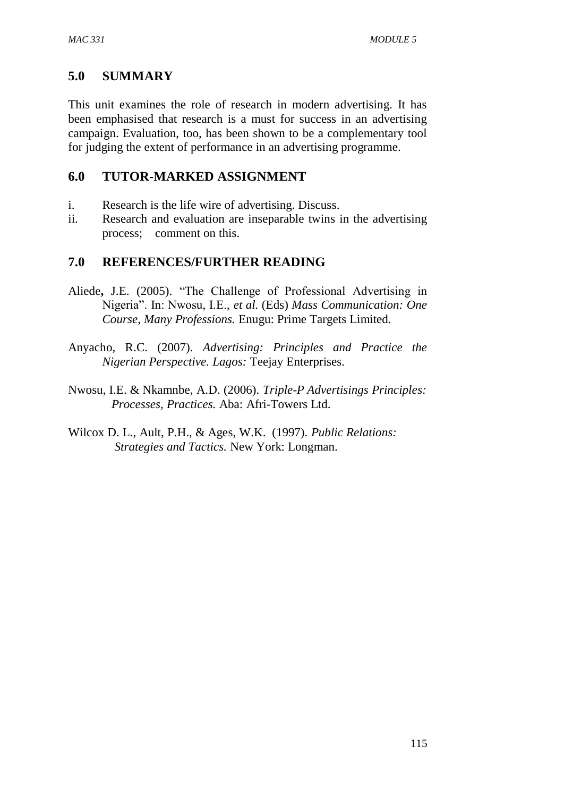## **5.0 SUMMARY**

This unit examines the role of research in modern advertising. It has been emphasised that research is a must for success in an advertising campaign. Evaluation, too, has been shown to be a complementary tool for judging the extent of performance in an advertising programme.

#### **6.0 TUTOR-MARKED ASSIGNMENT**

- i. Research is the life wire of advertising. Discuss.
- ii. Research and evaluation are inseparable twins in the advertising process; comment on this.

### **7.0 REFERENCES/FURTHER READING**

- Aliede**,** J.E. (2005). "The Challenge of Professional Advertising in Nigeria". In: Nwosu, I.E., *et al.* (Eds) *Mass Communication: One Course, Many Professions.* Enugu: Prime Targets Limited.
- Anyacho, R.C. (2007). *Advertising: Principles and Practice the Nigerian Perspective. Lagos:* Teejay Enterprises.
- Nwosu, I.E. & Nkamnbe, A.D. (2006). *Triple-P Advertisings Principles: Processes, Practices.* Aba: Afri-Towers Ltd.
- Wilcox D. L., Ault, P.H., & Ages, W.K. (1997). *Public Relations: Strategies and Tactics.* New York: Longman.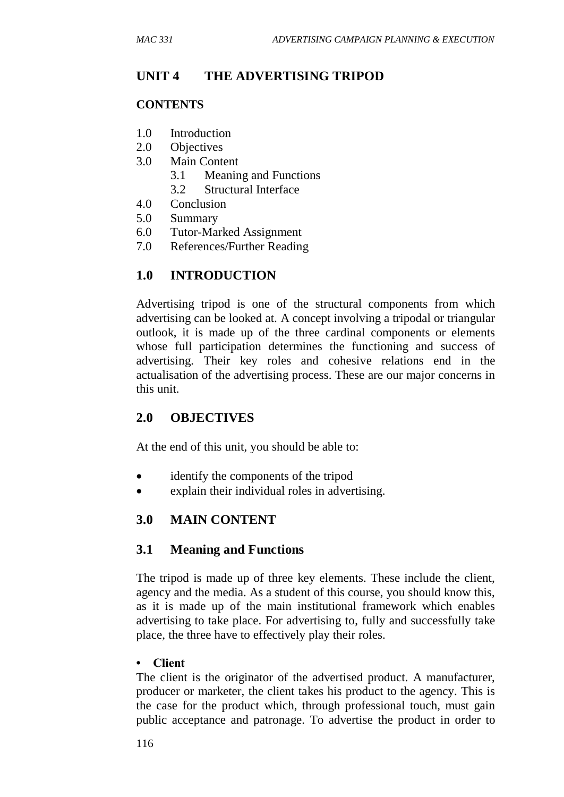## **UNIT 4 THE ADVERTISING TRIPOD**

#### **CONTENTS**

- 1.0 Introduction
- 2.0 Objectives
- 3.0 Main Content
	- 3.1 Meaning and Functions
	- 3.2 Structural Interface
- 4.0 Conclusion
- 5.0 Summary
- 6.0 Tutor-Marked Assignment
- 7.0 References/Further Reading

## **1.0 INTRODUCTION**

Advertising tripod is one of the structural components from which advertising can be looked at. A concept involving a tripodal or triangular outlook, it is made up of the three cardinal components or elements whose full participation determines the functioning and success of advertising. Their key roles and cohesive relations end in the actualisation of the advertising process. These are our major concerns in this unit.

#### **2.0 OBJECTIVES**

At the end of this unit, you should be able to:

- identify the components of the tripod
- explain their individual roles in advertising.

#### **3.0 MAIN CONTENT**

#### **3.1 Meaning and Functions**

The tripod is made up of three key elements. These include the client, agency and the media. As a student of this course, you should know this, as it is made up of the main institutional framework which enables advertising to take place. For advertising to, fully and successfully take place, the three have to effectively play their roles.

#### **• Client**

The client is the originator of the advertised product. A manufacturer, producer or marketer, the client takes his product to the agency. This is the case for the product which, through professional touch, must gain public acceptance and patronage. To advertise the product in order to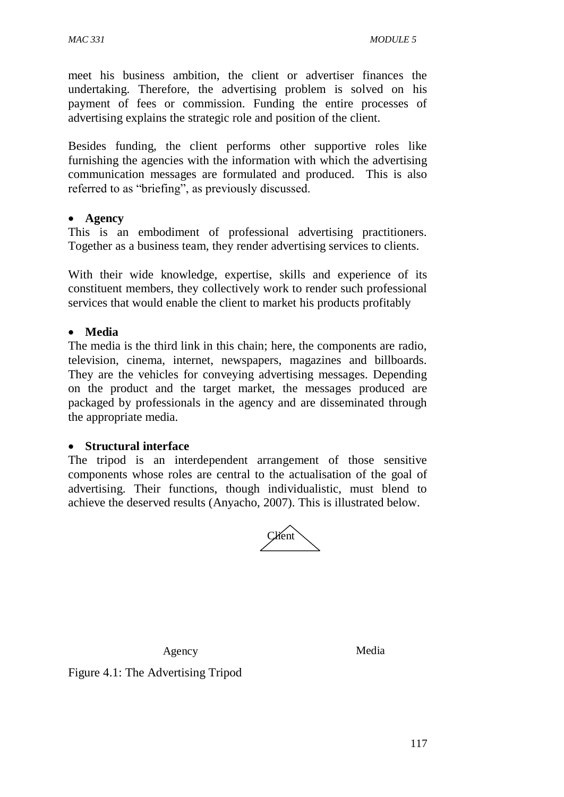meet his business ambition, the client or advertiser finances the undertaking. Therefore, the advertising problem is solved on his payment of fees or commission. Funding the entire processes of advertising explains the strategic role and position of the client.

Besides funding, the client performs other supportive roles like furnishing the agencies with the information with which the advertising communication messages are formulated and produced. This is also referred to as "briefing", as previously discussed.

#### **Agency**

This is an embodiment of professional advertising practitioners. Together as a business team, they render advertising services to clients.

With their wide knowledge, expertise, skills and experience of its constituent members, they collectively work to render such professional services that would enable the client to market his products profitably

#### **Media**

The media is the third link in this chain; here, the components are radio, television, cinema, internet, newspapers, magazines and billboards. They are the vehicles for conveying advertising messages. Depending on the product and the target market, the messages produced are packaged by professionals in the agency and are disseminated through the appropriate media.

#### **Structural interface**

The tripod is an interdependent arrangement of those sensitive components whose roles are central to the actualisation of the goal of advertising. Their functions, though individualistic, must blend to achieve the deserved results (Anyacho, 2007). This is illustrated below.



Agency Media

Figure 4.1: The Advertising Tripod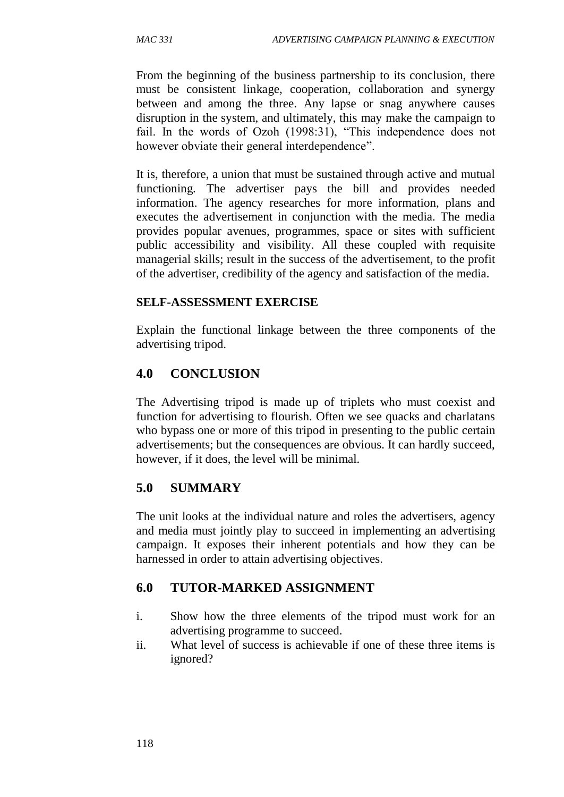From the beginning of the business partnership to its conclusion, there must be consistent linkage, cooperation, collaboration and synergy between and among the three. Any lapse or snag anywhere causes disruption in the system, and ultimately, this may make the campaign to fail. In the words of Ozoh (1998:31), "This independence does not however obviate their general interdependence".

It is, therefore, a union that must be sustained through active and mutual functioning. The advertiser pays the bill and provides needed information. The agency researches for more information, plans and executes the advertisement in conjunction with the media. The media provides popular avenues, programmes, space or sites with sufficient public accessibility and visibility. All these coupled with requisite managerial skills; result in the success of the advertisement, to the profit of the advertiser, credibility of the agency and satisfaction of the media.

#### **SELF-ASSESSMENT EXERCISE**

Explain the functional linkage between the three components of the advertising tripod.

## **4.0 CONCLUSION**

The Advertising tripod is made up of triplets who must coexist and function for advertising to flourish. Often we see quacks and charlatans who bypass one or more of this tripod in presenting to the public certain advertisements; but the consequences are obvious. It can hardly succeed, however, if it does, the level will be minimal.

## **5.0 SUMMARY**

The unit looks at the individual nature and roles the advertisers, agency and media must jointly play to succeed in implementing an advertising campaign. It exposes their inherent potentials and how they can be harnessed in order to attain advertising objectives.

## **6.0 TUTOR-MARKED ASSIGNMENT**

- i. Show how the three elements of the tripod must work for an advertising programme to succeed.
- ii. What level of success is achievable if one of these three items is ignored?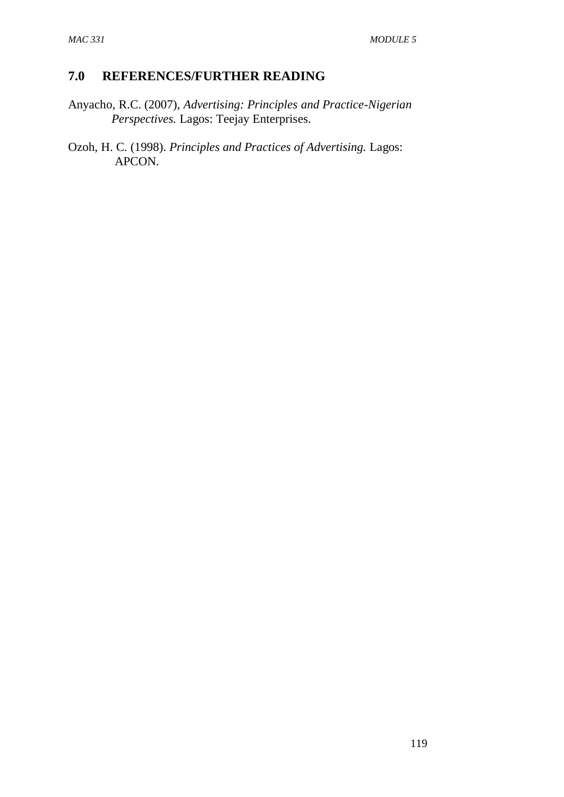## **7.0 REFERENCES/FURTHER READING**

- Anyacho, R.C. (2007), *Advertising: Principles and Practice-Nigerian Perspectives.* Lagos: Teejay Enterprises.
- Ozoh, H. C. (1998). *Principles and Practices of Advertising.* Lagos: APCON.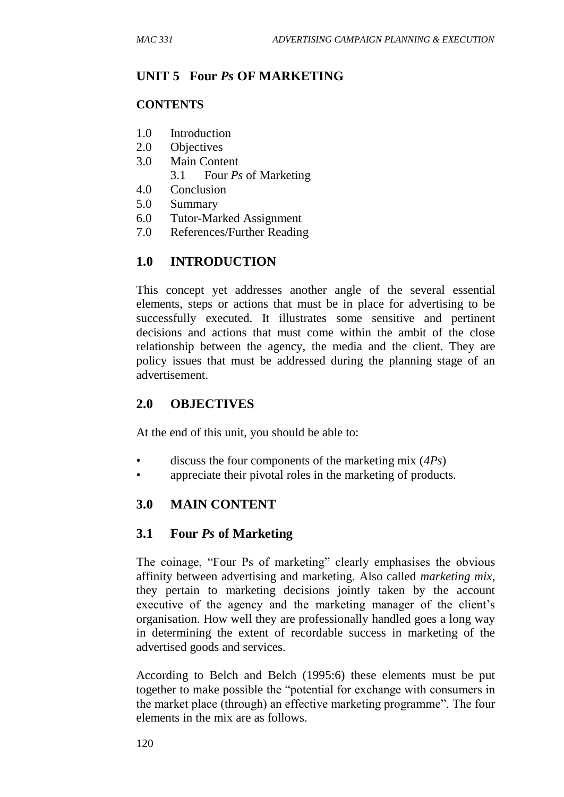## **UNIT 5 Four** *Ps* **OF MARKETING**

## **CONTENTS**

- 1.0 Introduction
- 2.0 Objectives
- 3.0 Main Content
	- 3.1 Four *Ps* of Marketing
- 4.0 Conclusion
- 5.0 Summary
- 6.0 Tutor-Marked Assignment
- 7.0 References/Further Reading

## **1.0 INTRODUCTION**

This concept yet addresses another angle of the several essential elements, steps or actions that must be in place for advertising to be successfully executed. It illustrates some sensitive and pertinent decisions and actions that must come within the ambit of the close relationship between the agency, the media and the client. They are policy issues that must be addressed during the planning stage of an advertisement.

## **2.0 OBJECTIVES**

At the end of this unit, you should be able to:

- discuss the four components of the marketing mix (*4Ps*)
- appreciate their pivotal roles in the marketing of products.

## **3.0 MAIN CONTENT**

## **3.1 Four** *Ps* **of Marketing**

The coinage, "Four Ps of marketing" clearly emphasises the obvious affinity between advertising and marketing. Also called *marketing mix*, they pertain to marketing decisions jointly taken by the account executive of the agency and the marketing manager of the client's organisation. How well they are professionally handled goes a long way in determining the extent of recordable success in marketing of the advertised goods and services.

According to Belch and Belch (1995:6) these elements must be put together to make possible the "potential for exchange with consumers in the market place (through) an effective marketing programme". The four elements in the mix are as follows.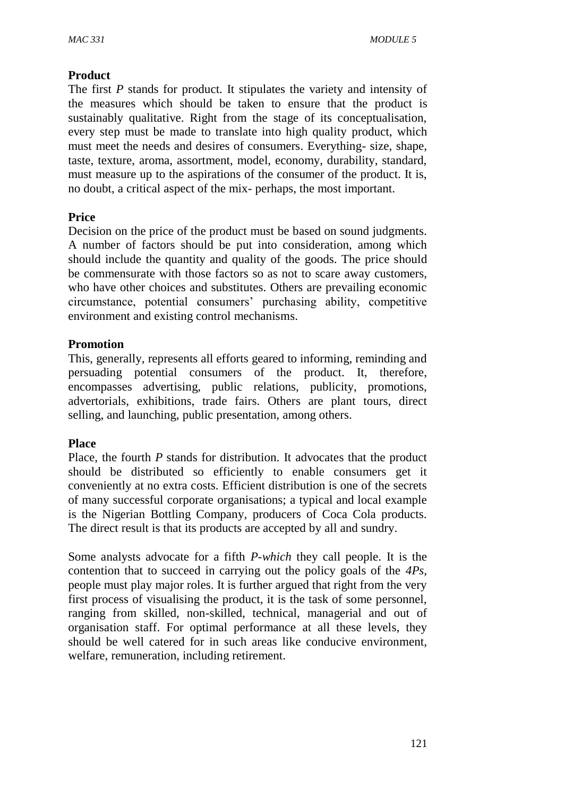#### **Product**

The first *P* stands for product. It stipulates the variety and intensity of the measures which should be taken to ensure that the product is sustainably qualitative. Right from the stage of its conceptualisation, every step must be made to translate into high quality product, which must meet the needs and desires of consumers. Everything- size, shape, taste, texture, aroma, assortment, model, economy, durability, standard, must measure up to the aspirations of the consumer of the product. It is, no doubt, a critical aspect of the mix- perhaps, the most important.

#### **Price**

Decision on the price of the product must be based on sound judgments. A number of factors should be put into consideration, among which should include the quantity and quality of the goods. The price should be commensurate with those factors so as not to scare away customers, who have other choices and substitutes. Others are prevailing economic circumstance, potential consumers' purchasing ability, competitive environment and existing control mechanisms.

### **Promotion**

This, generally, represents all efforts geared to informing, reminding and persuading potential consumers of the product. It, therefore, encompasses advertising, public relations, publicity, promotions, advertorials, exhibitions, trade fairs. Others are plant tours, direct selling, and launching, public presentation, among others.

#### **Place**

Place, the fourth *P* stands for distribution. It advocates that the product should be distributed so efficiently to enable consumers get it conveniently at no extra costs. Efficient distribution is one of the secrets of many successful corporate organisations; a typical and local example is the Nigerian Bottling Company, producers of Coca Cola products. The direct result is that its products are accepted by all and sundry.

Some analysts advocate for a fifth *P-which* they call people. It is the contention that to succeed in carrying out the policy goals of the *4Ps*, people must play major roles. It is further argued that right from the very first process of visualising the product, it is the task of some personnel, ranging from skilled, non-skilled, technical, managerial and out of organisation staff. For optimal performance at all these levels, they should be well catered for in such areas like conducive environment, welfare, remuneration, including retirement.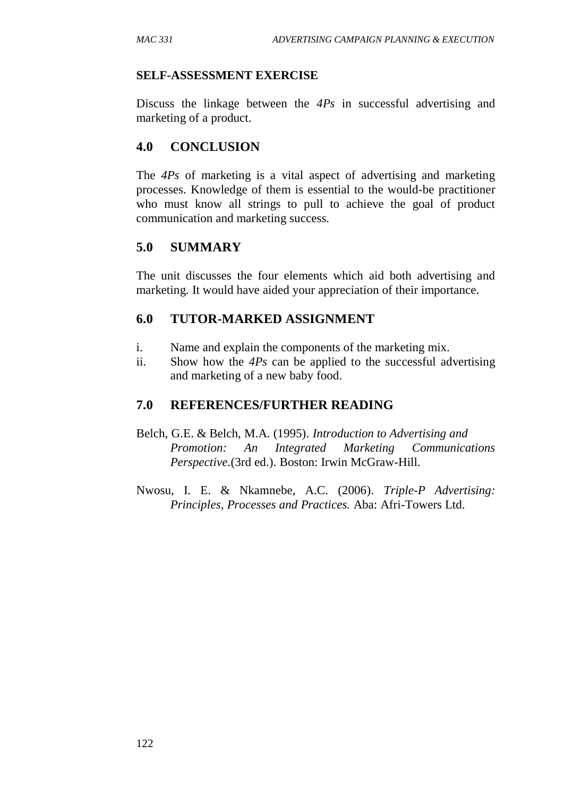#### **SELF-ASSESSMENT EXERCISE**

Discuss the linkage between the *4Ps* in successful advertising and marketing of a product.

## **4.0 CONCLUSION**

The *4Ps* of marketing is a vital aspect of advertising and marketing processes. Knowledge of them is essential to the would-be practitioner who must know all strings to pull to achieve the goal of product communication and marketing success.

### **5.0 SUMMARY**

The unit discusses the four elements which aid both advertising and marketing. It would have aided your appreciation of their importance.

#### **6.0 TUTOR-MARKED ASSIGNMENT**

- i. Name and explain the components of the marketing mix.
- ii. Show how the *4Ps* can be applied to the successful advertising and marketing of a new baby food.

#### **7.0 REFERENCES/FURTHER READING**

- Belch, G.E. & Belch, M.A. (1995). *Introduction to Advertising and Promotion: An Integrated Marketing Communications Perspective.*(3rd ed.). Boston: Irwin McGraw-Hill.
- Nwosu, I. E. & Nkamnebe, A.C. (2006). *Triple-P Advertising: Principles, Processes and Practices.* Aba: Afri-Towers Ltd.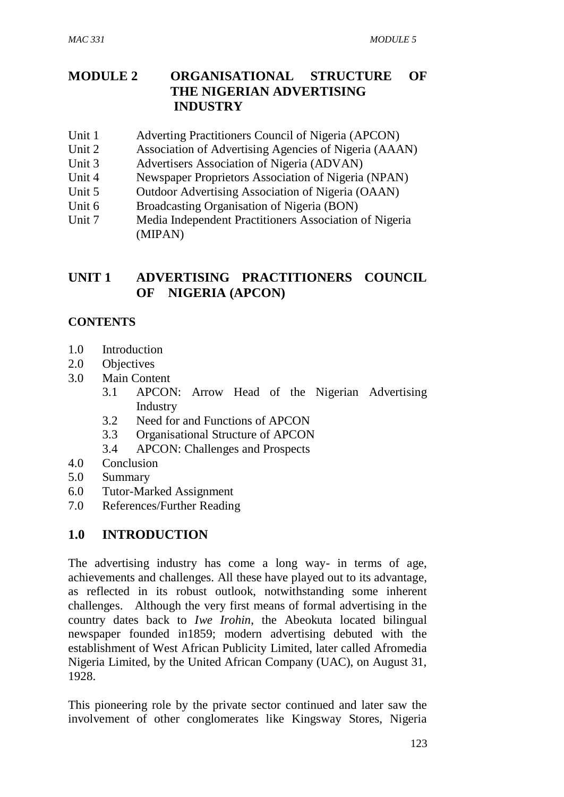# **MODULE 2 ORGANISATIONAL STRUCTURE OF THE NIGERIAN ADVERTISING INDUSTRY**

- Unit 1 Adverting Practitioners Council of Nigeria (APCON)
- Unit 2 Association of Advertising Agencies of Nigeria (AAAN)
- Unit 3 Advertisers Association of Nigeria (ADVAN)
- Unit 4 Newspaper Proprietors Association of Nigeria (NPAN)
- Unit 5 Outdoor Advertising Association of Nigeria (OAAN)
- Unit 6 Broadcasting Organisation of Nigeria (BON)
- Unit 7 Media Independent Practitioners Association of Nigeria (MIPAN)

# **UNIT 1 ADVERTISING PRACTITIONERS COUNCIL OF NIGERIA (APCON)**

# **CONTENTS**

- 1.0 Introduction
- 2.0 Objectives
- 3.0 Main Content
	- 3.1 APCON: Arrow Head of the Nigerian Advertising Industry
	- 3.2 Need for and Functions of APCON
	- 3.3 Organisational Structure of APCON
	- 3.4 APCON: Challenges and Prospects
- 4.0 Conclusion
- 5.0 Summary
- 6.0 Tutor-Marked Assignment
- 7.0 References/Further Reading

# **1.0 INTRODUCTION**

The advertising industry has come a long way- in terms of age, achievements and challenges. All these have played out to its advantage, as reflected in its robust outlook, notwithstanding some inherent challenges. Although the very first means of formal advertising in the country dates back to *Iwe Irohin*, the Abeokuta located bilingual newspaper founded in1859; modern advertising debuted with the establishment of West African Publicity Limited, later called Afromedia Nigeria Limited, by the United African Company (UAC), on August 31, 1928.

This pioneering role by the private sector continued and later saw the involvement of other conglomerates like Kingsway Stores, Nigeria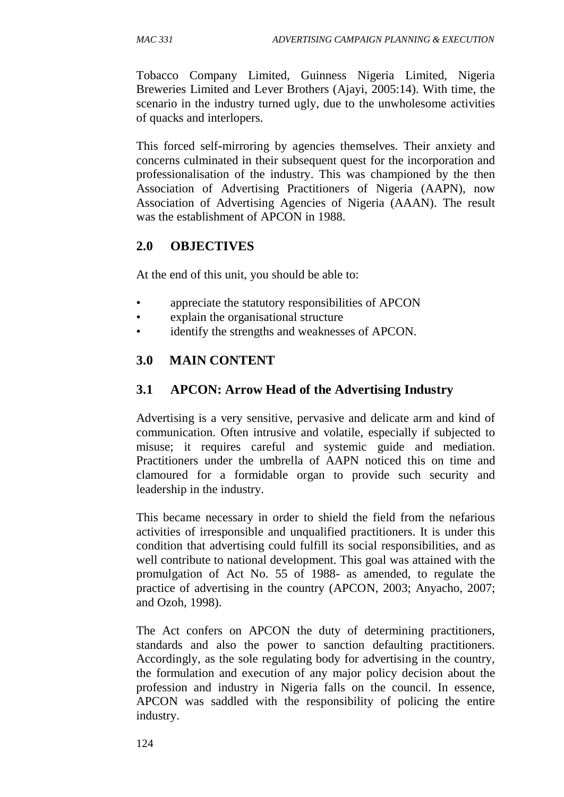Tobacco Company Limited, Guinness Nigeria Limited, Nigeria Breweries Limited and Lever Brothers (Ajayi, 2005:14). With time, the scenario in the industry turned ugly, due to the unwholesome activities of quacks and interlopers.

This forced self**-**mirroring by agencies themselves. Their anxiety and concerns culminated in their subsequent quest for the incorporation and professionalisation of the industry. This was championed by the then Association of Advertising Practitioners of Nigeria (AAPN), now Association of Advertising Agencies of Nigeria (AAAN). The result was the establishment of APCON in 1988.

### **2.0 OBJECTIVES**

At the end of this unit, you should be able to:

- appreciate the statutory responsibilities of APCON
- explain the organisational structure
- identify the strengths and weaknesses of APCON.

# **3.0 MAIN CONTENT**

### **3.1 APCON: Arrow Head of the Advertising Industry**

Advertising is a very sensitive, pervasive and delicate arm and kind of communication. Often intrusive and volatile, especially if subjected to misuse; it requires careful and systemic guide and mediation. Practitioners under the umbrella of AAPN noticed this on time and clamoured for a formidable organ to provide such security and leadership in the industry.

This became necessary in order to shield the field from the nefarious activities of irresponsible and unqualified practitioners. It is under this condition that advertising could fulfill its social responsibilities, and as well contribute to national development. This goal was attained with the promulgation of Act No. 55 of 1988- as amended, to regulate the practice of advertising in the country (APCON, 2003; Anyacho, 2007; and Ozoh, 1998).

The Act confers on APCON the duty of determining practitioners, standards and also the power to sanction defaulting practitioners. Accordingly, as the sole regulating body for advertising in the country, the formulation and execution of any major policy decision about the profession and industry in Nigeria falls on the council. In essence, APCON was saddled with the responsibility of policing the entire industry.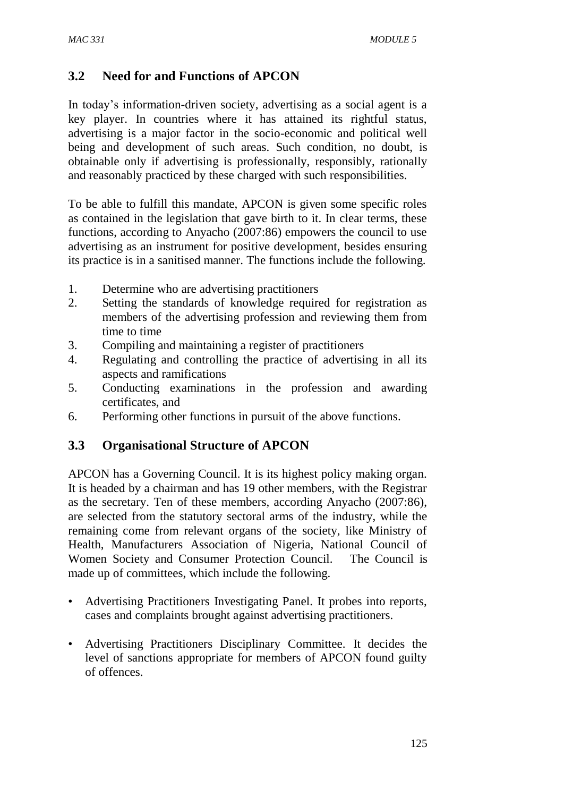# **3.2 Need for and Functions of APCON**

In today's information-driven society, advertising as a social agent is a key player. In countries where it has attained its rightful status, advertising is a major factor in the socio-economic and political well being and development of such areas. Such condition, no doubt, is obtainable only if advertising is professionally, responsibly, rationally and reasonably practiced by these charged with such responsibilities.

To be able to fulfill this mandate, APCON is given some specific roles as contained in the legislation that gave birth to it. In clear terms, these functions, according to Anyacho (2007:86) empowers the council to use advertising as an instrument for positive development, besides ensuring its practice is in a sanitised manner. The functions include the following.

- 1. Determine who are advertising practitioners
- 2. Setting the standards of knowledge required for registration as members of the advertising profession and reviewing them from time to time
- 3. Compiling and maintaining a register of practitioners
- 4. Regulating and controlling the practice of advertising in all its aspects and ramifications
- 5. Conducting examinations in the profession and awarding certificates, and
- 6. Performing other functions in pursuit of the above functions.

# **3.3 Organisational Structure of APCON**

APCON has a Governing Council. It is its highest policy making organ. It is headed by a chairman and has 19 other members, with the Registrar as the secretary. Ten of these members, according Anyacho (2007:86), are selected from the statutory sectoral arms of the industry, while the remaining come from relevant organs of the society, like Ministry of Health, Manufacturers Association of Nigeria, National Council of Women Society and Consumer Protection Council. The Council is made up of committees, which include the following.

- Advertising Practitioners Investigating Panel. It probes into reports, cases and complaints brought against advertising practitioners.
- Advertising Practitioners Disciplinary Committee. It decides the level of sanctions appropriate for members of APCON found guilty of offences.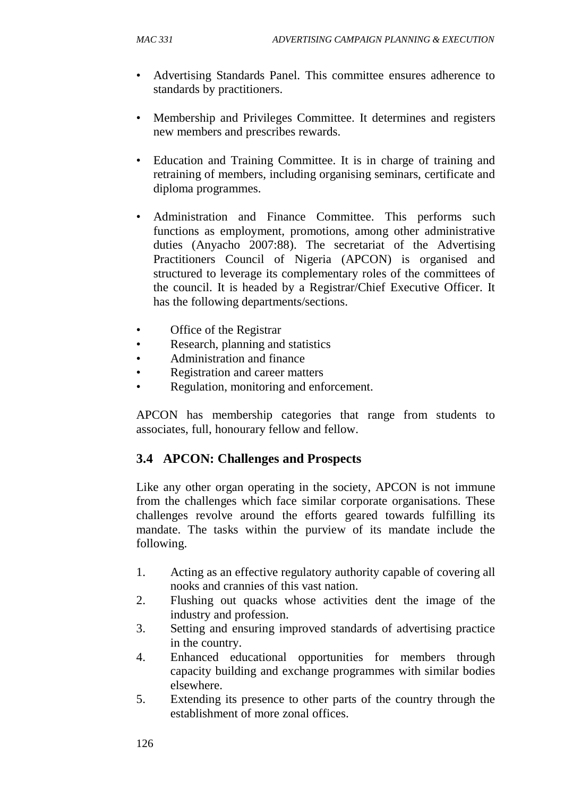- Advertising Standards Panel. This committee ensures adherence to standards by practitioners.
- Membership and Privileges Committee. It determines and registers new members and prescribes rewards.
- Education and Training Committee. It is in charge of training and retraining of members, including organising seminars, certificate and diploma programmes.
- Administration and Finance Committee. This performs such functions as employment, promotions, among other administrative duties (Anyacho 2007:88). The secretariat of the Advertising Practitioners Council of Nigeria (APCON) is organised and structured to leverage its complementary roles of the committees of the council. It is headed by a Registrar/Chief Executive Officer. It has the following departments/sections.
- Office of the Registrar
- Research, planning and statistics
- Administration and finance
- Registration and career matters
- Regulation, monitoring and enforcement.

APCON has membership categories that range from students to associates, full, honourary fellow and fellow.

# **3.4 APCON: Challenges and Prospects**

Like any other organ operating in the society, APCON is not immune from the challenges which face similar corporate organisations. These challenges revolve around the efforts geared towards fulfilling its mandate. The tasks within the purview of its mandate include the following.

- 1. Acting as an effective regulatory authority capable of covering all nooks and crannies of this vast nation.
- 2. Flushing out quacks whose activities dent the image of the industry and profession.
- 3. Setting and ensuring improved standards of advertising practice in the country.
- 4. Enhanced educational opportunities for members through capacity building and exchange programmes with similar bodies elsewhere.
- 5. Extending its presence to other parts of the country through the establishment of more zonal offices.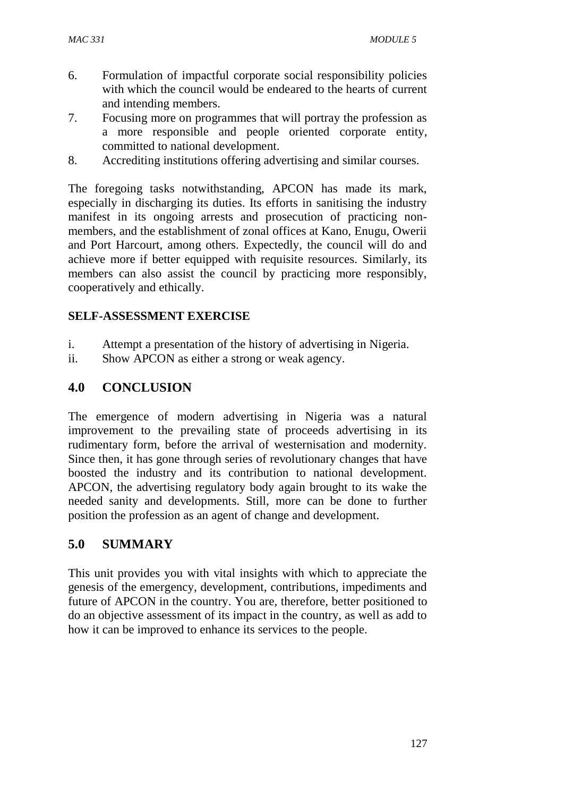- 6. Formulation of impactful corporate social responsibility policies with which the council would be endeared to the hearts of current and intending members.
- 7. Focusing more on programmes that will portray the profession as a more responsible and people oriented corporate entity, committed to national development.
- 8. Accrediting institutions offering advertising and similar courses.

The foregoing tasks notwithstanding, APCON has made its mark, especially in discharging its duties. Its efforts in sanitising the industry manifest in its ongoing arrests and prosecution of practicing nonmembers, and the establishment of zonal offices at Kano, Enugu, Owerii and Port Harcourt, among others. Expectedly, the council will do and achieve more if better equipped with requisite resources. Similarly, its members can also assist the council by practicing more responsibly, cooperatively and ethically.

# **SELF-ASSESSMENT EXERCISE**

- i. Attempt a presentation of the history of advertising in Nigeria.
- ii. Show APCON as either a strong or weak agency.

# **4.0 CONCLUSION**

The emergence of modern advertising in Nigeria was a natural improvement to the prevailing state of proceeds advertising in its rudimentary form, before the arrival of westernisation and modernity. Since then, it has gone through series of revolutionary changes that have boosted the industry and its contribution to national development. APCON, the advertising regulatory body again brought to its wake the needed sanity and developments. Still, more can be done to further position the profession as an agent of change and development.

# **5.0 SUMMARY**

This unit provides you with vital insights with which to appreciate the genesis of the emergency, development, contributions, impediments and future of APCON in the country. You are, therefore, better positioned to do an objective assessment of its impact in the country, as well as add to how it can be improved to enhance its services to the people.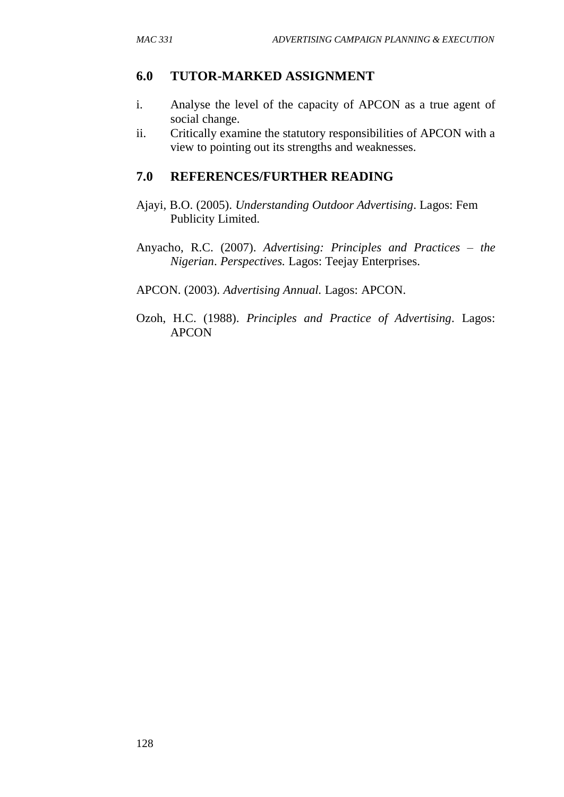### **6.0 TUTOR-MARKED ASSIGNMENT**

- i. Analyse the level of the capacity of APCON as a true agent of social change.
- ii. Critically examine the statutory responsibilities of APCON with a view to pointing out its strengths and weaknesses.

### **7.0 REFERENCES/FURTHER READING**

- Ajayi, B.O. (2005). *Understanding Outdoor Advertising*. Lagos: Fem Publicity Limited.
- Anyacho, R.C. (2007). *Advertising: Principles and Practices – the Nigerian*. *Perspectives.* Lagos: Teejay Enterprises.
- APCON. (2003). *Advertising Annual.* Lagos: APCON.
- Ozoh, H.C. (1988). *Principles and Practice of Advertising*. Lagos: APCON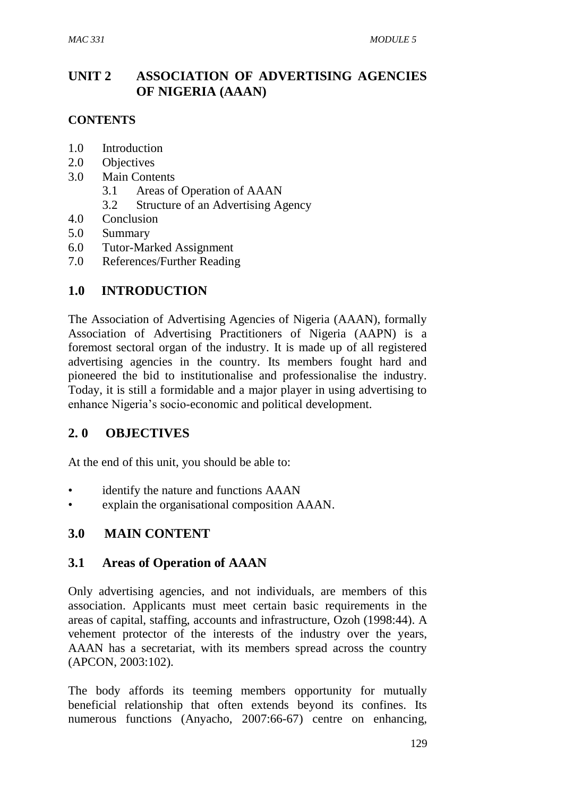# **UNIT 2 ASSOCIATION OF ADVERTISING AGENCIES OF NIGERIA (AAAN)**

### **CONTENTS**

- 1.0 Introduction
- 2.0 Objectives
- 3.0 Main Contents
	- 3.1 Areas of Operation of AAAN
	- 3.2 Structure of an Advertising Agency
- 4.0 Conclusion
- 5.0 Summary
- 6.0 Tutor-Marked Assignment
- 7.0 References/Further Reading

# **1.0 INTRODUCTION**

The Association of Advertising Agencies of Nigeria (AAAN), formally Association of Advertising Practitioners of Nigeria (AAPN) is a foremost sectoral organ of the industry. It is made up of all registered advertising agencies in the country. Its members fought hard and pioneered the bid to institutionalise and professionalise the industry. Today, it is still a formidable and a major player in using advertising to enhance Nigeria's socio-economic and political development.

# **2. 0 OBJECTIVES**

At the end of this unit, you should be able to:

- identify the nature and functions AAAN
- explain the organisational composition AAAN.

# **3.0 MAIN CONTENT**

### **3.1 Areas of Operation of AAAN**

Only advertising agencies, and not individuals, are members of this association. Applicants must meet certain basic requirements in the areas of capital, staffing, accounts and infrastructure, Ozoh (1998:44). A vehement protector of the interests of the industry over the years, AAAN has a secretariat, with its members spread across the country (APCON, 2003:102).

The body affords its teeming members opportunity for mutually beneficial relationship that often extends beyond its confines. Its numerous functions (Anyacho, 2007:66-67) centre on enhancing,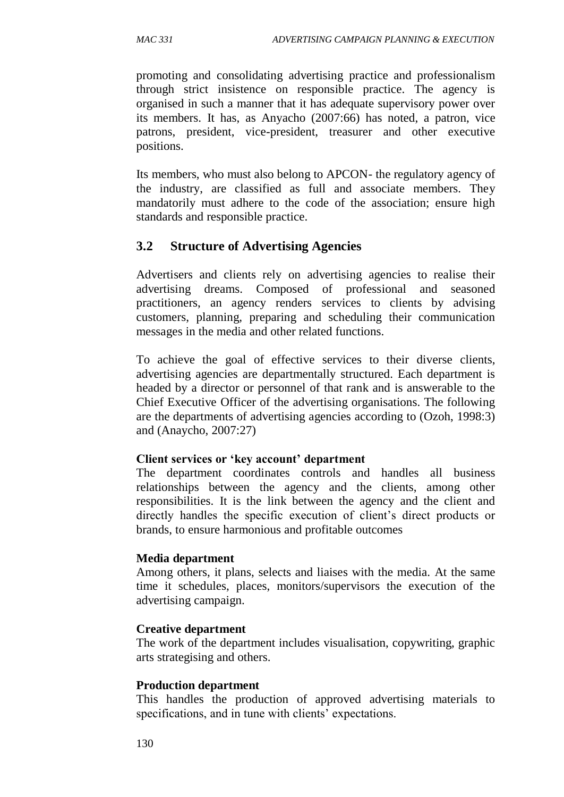promoting and consolidating advertising practice and professionalism through strict insistence on responsible practice. The agency is organised in such a manner that it has adequate supervisory power over its members. It has, as Anyacho (2007:66) has noted, a patron, vice patrons, president, vice-president, treasurer and other executive positions.

Its members, who must also belong to APCON- the regulatory agency of the industry, are classified as full and associate members. They mandatorily must adhere to the code of the association; ensure high standards and responsible practice.

# **3.2 Structure of Advertising Agencies**

Advertisers and clients rely on advertising agencies to realise their advertising dreams. Composed of professional and seasoned practitioners, an agency renders services to clients by advising customers, planning, preparing and scheduling their communication messages in the media and other related functions.

To achieve the goal of effective services to their diverse clients, advertising agencies are departmentally structured. Each department is headed by a director or personnel of that rank and is answerable to the Chief Executive Officer of the advertising organisations. The following are the departments of advertising agencies according to (Ozoh, 1998:3) and (Anaycho, 2007:27)

#### **Client services or 'key account' department**

The department coordinates controls and handles all business relationships between the agency and the clients, among other responsibilities. It is the link between the agency and the client and directly handles the specific execution of client's direct products or brands, to ensure harmonious and profitable outcomes

#### **Media department**

Among others, it plans, selects and liaises with the media. At the same time it schedules, places, monitors/supervisors the execution of the advertising campaign.

#### **Creative department**

The work of the department includes visualisation, copywriting, graphic arts strategising and others.

#### **Production department**

This handles the production of approved advertising materials to specifications, and in tune with clients' expectations.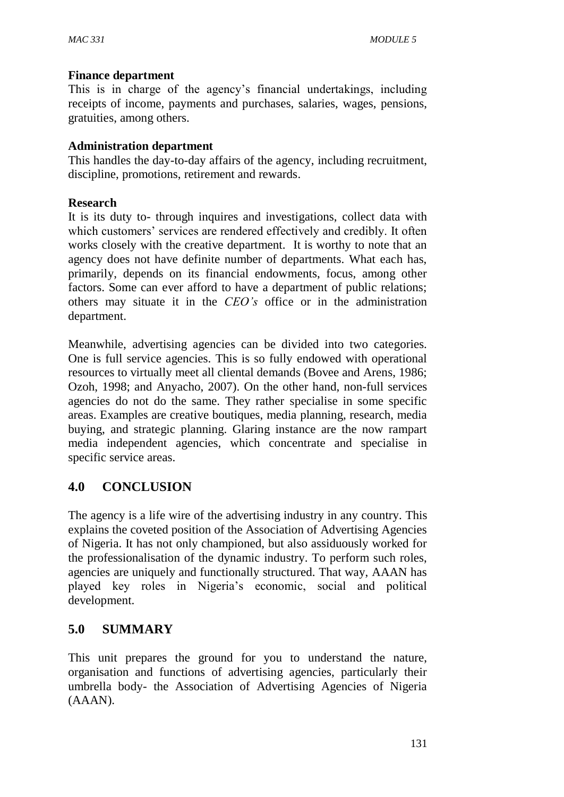### **Finance department**

This is in charge of the agency's financial undertakings, including receipts of income, payments and purchases, salaries, wages, pensions, gratuities, among others.

### **Administration department**

This handles the day-to-day affairs of the agency, including recruitment, discipline, promotions, retirement and rewards.

### **Research**

It is its duty to- through inquires and investigations, collect data with which customers' services are rendered effectively and credibly. It often works closely with the creative department. It is worthy to note that an agency does not have definite number of departments. What each has, primarily, depends on its financial endowments, focus, among other factors. Some can ever afford to have a department of public relations; others may situate it in the *CEO's* office or in the administration department.

Meanwhile, advertising agencies can be divided into two categories. One is full service agencies. This is so fully endowed with operational resources to virtually meet all cliental demands (Bovee and Arens, 1986; Ozoh, 1998; and Anyacho, 2007). On the other hand, non-full services agencies do not do the same. They rather specialise in some specific areas. Examples are creative boutiques, media planning, research, media buying, and strategic planning. Glaring instance are the now rampart media independent agencies, which concentrate and specialise in specific service areas.

# **4.0 CONCLUSION**

The agency is a life wire of the advertising industry in any country. This explains the coveted position of the Association of Advertising Agencies of Nigeria. It has not only championed, but also assiduously worked for the professionalisation of the dynamic industry. To perform such roles, agencies are uniquely and functionally structured. That way, AAAN has played key roles in Nigeria's economic, social and political development.

# **5.0 SUMMARY**

This unit prepares the ground for you to understand the nature, organisation and functions of advertising agencies, particularly their umbrella body- the Association of Advertising Agencies of Nigeria (AAAN).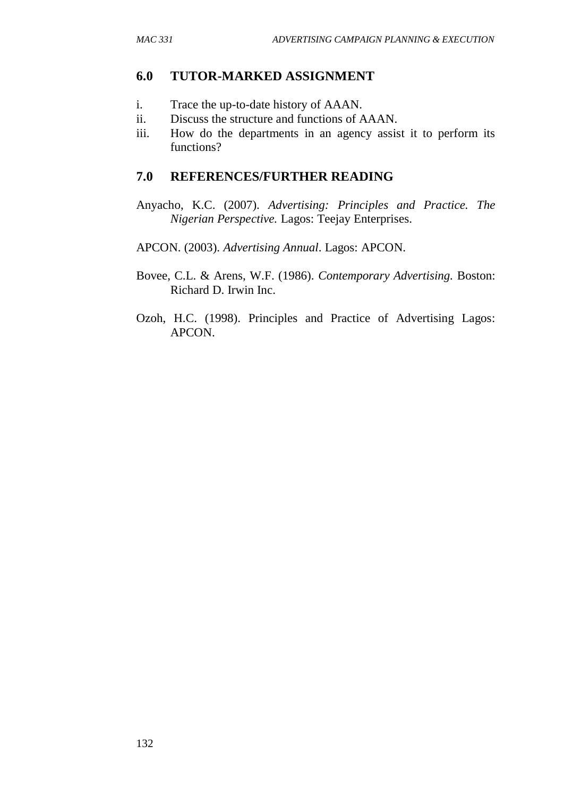### **6.0 TUTOR-MARKED ASSIGNMENT**

- i. Trace the up-to-date history of AAAN.
- ii. Discuss the structure and functions of AAAN.
- iii. How do the departments in an agency assist it to perform its functions?

### **7.0 REFERENCES/FURTHER READING**

- Anyacho, K.C. (2007). *Advertising: Principles and Practice. The Nigerian Perspective.* Lagos: Teejay Enterprises.
- APCON. (2003). *Advertising Annual*. Lagos: APCON.
- Bovee, C.L. & Arens, W.F. (1986). *Contemporary Advertising.* Boston: Richard D. Irwin Inc.
- Ozoh, H.C. (1998). Principles and Practice of Advertising Lagos: APCON.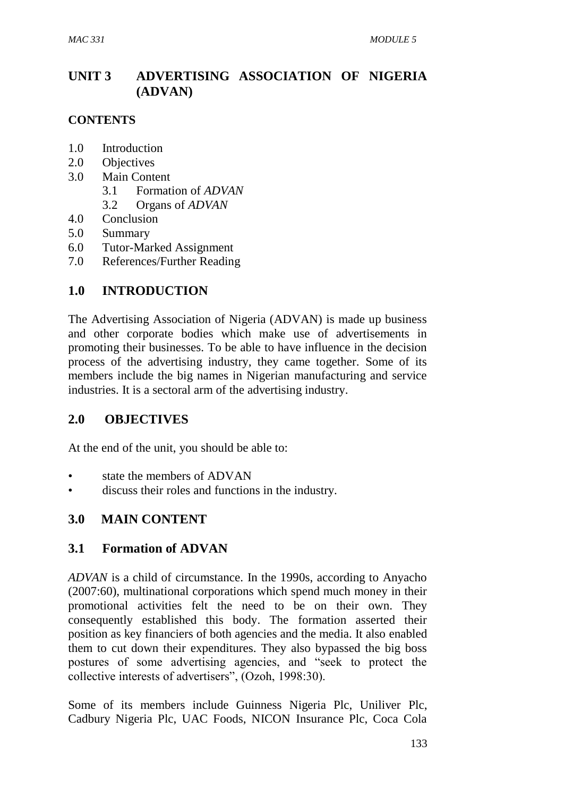# **UNIT 3 ADVERTISING ASSOCIATION OF NIGERIA (ADVAN)**

### **CONTENTS**

- 1.0 Introduction
- 2.0 Objectives
- 3.0 Main Content
	- 3.1 Formation of *ADVAN*
	- 3.2 Organs of *ADVAN*
- 4.0 Conclusion
- 5.0 Summary
- 6.0 Tutor-Marked Assignment
- 7.0 References/Further Reading

# **1.0 INTRODUCTION**

The Advertising Association of Nigeria (ADVAN) is made up business and other corporate bodies which make use of advertisements in promoting their businesses. To be able to have influence in the decision process of the advertising industry, they came together. Some of its members include the big names in Nigerian manufacturing and service industries. It is a sectoral arm of the advertising industry.

# **2.0 OBJECTIVES**

At the end of the unit, you should be able to:

- state the members of ADVAN
- discuss their roles and functions in the industry.

# **3.0 MAIN CONTENT**

# **3.1 Formation of ADVAN**

*ADVAN* is a child of circumstance. In the 1990s, according to Anyacho (2007:60), multinational corporations which spend much money in their promotional activities felt the need to be on their own. They consequently established this body. The formation asserted their position as key financiers of both agencies and the media. It also enabled them to cut down their expenditures. They also bypassed the big boss postures of some advertising agencies, and "seek to protect the collective interests of advertisers", (Ozoh, 1998:30).

Some of its members include Guinness Nigeria Plc, Uniliver Plc, Cadbury Nigeria Plc, UAC Foods, NICON Insurance Plc, Coca Cola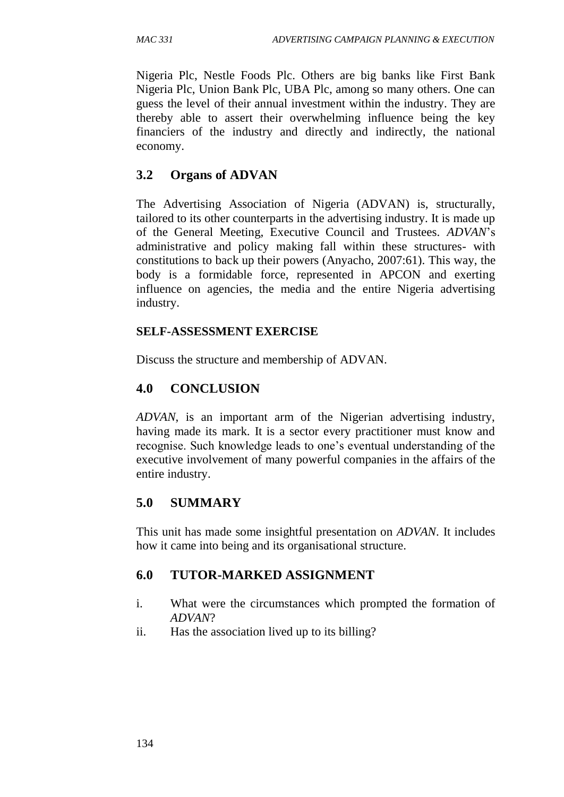Nigeria Plc, Nestle Foods Plc. Others are big banks like First Bank Nigeria Plc, Union Bank Plc, UBA Plc, among so many others. One can guess the level of their annual investment within the industry. They are thereby able to assert their overwhelming influence being the key financiers of the industry and directly and indirectly, the national economy.

# **3.2 Organs of ADVAN**

The Advertising Association of Nigeria (ADVAN) is, structurally, tailored to its other counterparts in the advertising industry. It is made up of the General Meeting, Executive Council and Trustees. *ADVAN*'s administrative and policy making fall within these structures- with constitutions to back up their powers (Anyacho, 2007:61). This way, the body is a formidable force, represented in APCON and exerting influence on agencies, the media and the entire Nigeria advertising industry.

### **SELF-ASSESSMENT EXERCISE**

Discuss the structure and membership of ADVAN.

# **4.0 CONCLUSION**

*ADVAN*, is an important arm of the Nigerian advertising industry, having made its mark. It is a sector every practitioner must know and recognise. Such knowledge leads to one's eventual understanding of the executive involvement of many powerful companies in the affairs of the entire industry.

# **5.0 SUMMARY**

This unit has made some insightful presentation on *ADVAN*. It includes how it came into being and its organisational structure.

# **6.0 TUTOR-MARKED ASSIGNMENT**

- i. What were the circumstances which prompted the formation of *ADVAN*?
- ii. Has the association lived up to its billing?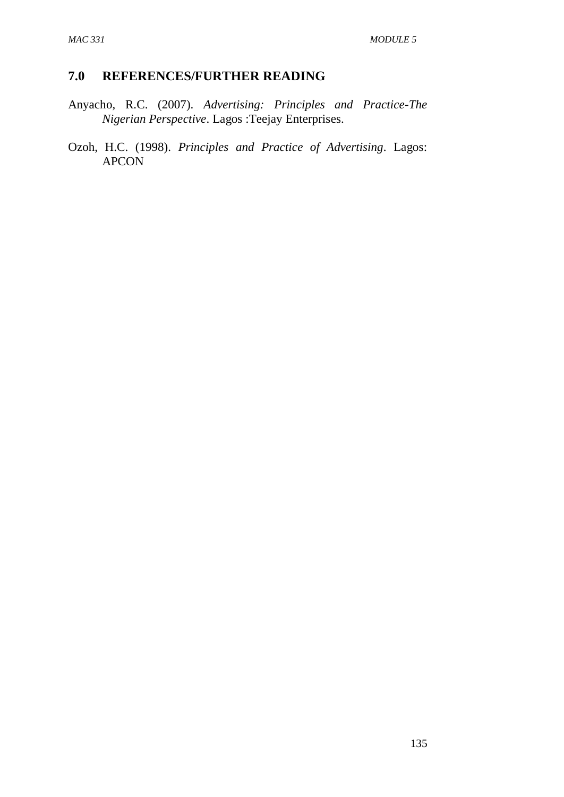# **7.0 REFERENCES/FURTHER READING**

- Anyacho, R.C. (2007). *Advertising: Principles and Practice-The Nigerian Perspective*. Lagos :Teejay Enterprises.
- Ozoh, H.C. (1998). *Principles and Practice of Advertising*. Lagos: APCON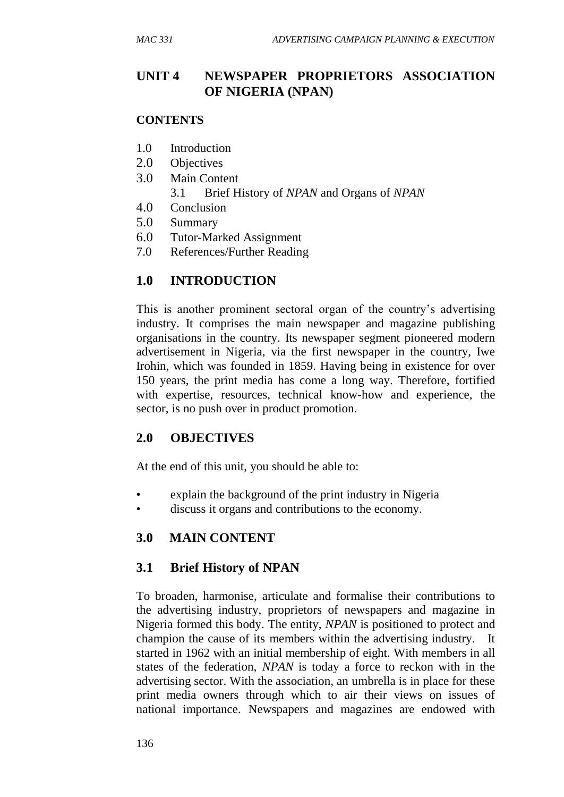# **UNIT 4 NEWSPAPER PROPRIETORS ASSOCIATION OF NIGERIA (NPAN)**

#### **CONTENTS**

- 1.0 Introduction
- 2.0 Objectives
- 3.0 Main Content
	- 3.1 Brief History of *NPAN* and Organs of *NPAN*
- 4.0 Conclusion
- 5.0 Summary
- 6.0 Tutor-Marked Assignment
- 7.0 References/Further Reading

### **1.0 INTRODUCTION**

This is another prominent sectoral organ of the country's advertising industry. It comprises the main newspaper and magazine publishing organisations in the country. Its newspaper segment pioneered modern advertisement in Nigeria, via the first newspaper in the country, Iwe Irohin, which was founded in 1859. Having being in existence for over 150 years, the print media has come a long way. Therefore, fortified with expertise, resources, technical know-how and experience, the sector, is no push over in product promotion.

### **2.0 OBJECTIVES**

At the end of this unit, you should be able to:

- explain the background of the print industry in Nigeria
- discuss it organs and contributions to the economy.

### **3.0 MAIN CONTENT**

### **3.1 Brief History of NPAN**

To broaden, harmonise, articulate and formalise their contributions to the advertising industry, proprietors of newspapers and magazine in Nigeria formed this body. The entity, *NPAN* is positioned to protect and champion the cause of its members within the advertising industry. It started in 1962 with an initial membership of eight. With members in all states of the federation, *NPAN* is today a force to reckon with in the advertising sector. With the association, an umbrella is in place for these print media owners through which to air their views on issues of national importance. Newspapers and magazines are endowed with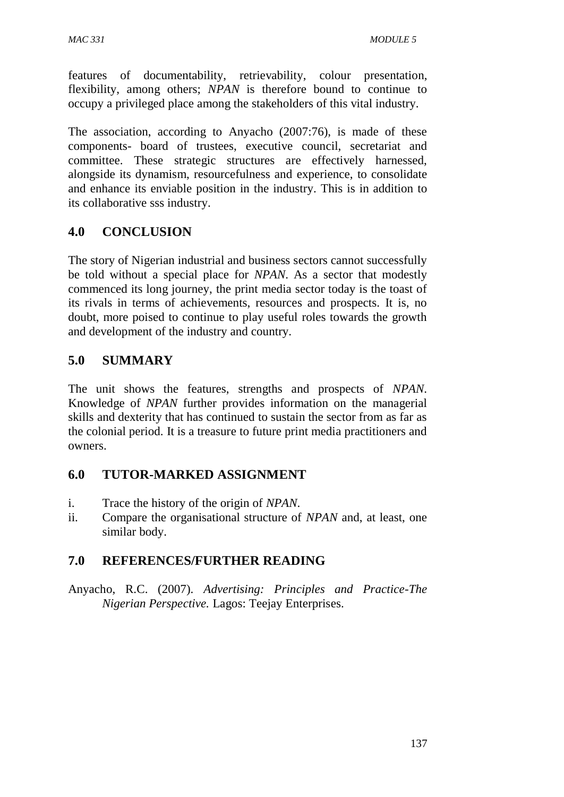features of documentability, retrievability, colour presentation, flexibility, among others; *NPAN* is therefore bound to continue to occupy a privileged place among the stakeholders of this vital industry.

The association, according to Anyacho (2007:76), is made of these components- board of trustees, executive council, secretariat and committee. These strategic structures are effectively harnessed, alongside its dynamism, resourcefulness and experience, to consolidate and enhance its enviable position in the industry. This is in addition to its collaborative sss industry.

# **4.0 CONCLUSION**

The story of Nigerian industrial and business sectors cannot successfully be told without a special place for *NPAN*. As a sector that modestly commenced its long journey, the print media sector today is the toast of its rivals in terms of achievements, resources and prospects. It is, no doubt, more poised to continue to play useful roles towards the growth and development of the industry and country.

# **5.0 SUMMARY**

The unit shows the features, strengths and prospects of *NPAN*. Knowledge of *NPAN* further provides information on the managerial skills and dexterity that has continued to sustain the sector from as far as the colonial period. It is a treasure to future print media practitioners and owners.

# **6.0 TUTOR-MARKED ASSIGNMENT**

- i. Trace the history of the origin of *NPAN*.
- ii. Compare the organisational structure of *NPAN* and, at least, one similar body.

# **7.0 REFERENCES/FURTHER READING**

Anyacho, R.C. (2007). *Advertising: Principles and Practice-The Nigerian Perspective.* Lagos: Teejay Enterprises.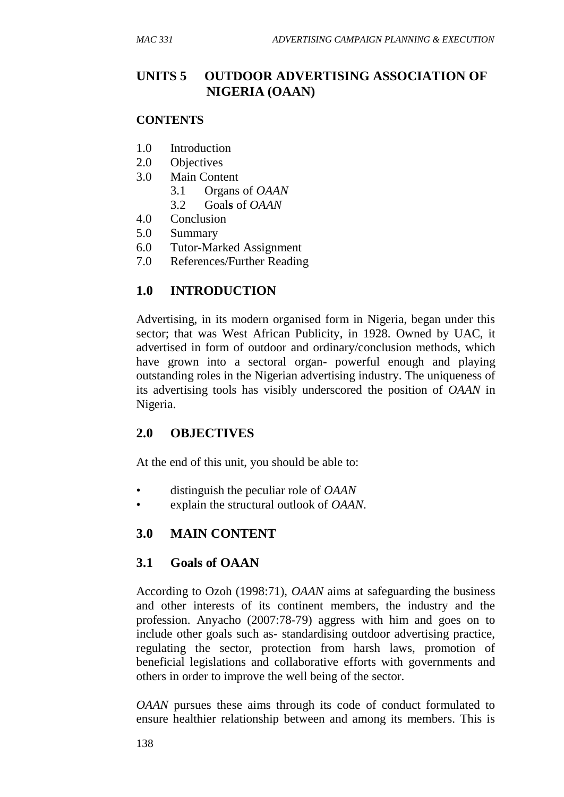# **UNITS 5 OUTDOOR ADVERTISING ASSOCIATION OF NIGERIA (OAAN)**

#### **CONTENTS**

- 1.0 Introduction
- 2.0 Objectives
- 3.0 Main Content
	- 3.1 Organs of *OAAN*
	- 3.2 Goal**s** of *OAAN*
- 4.0 Conclusion
- 5.0 Summary
- 6.0 Tutor-Marked Assignment
- 7.0 References/Further Reading

# **1.0 INTRODUCTION**

Advertising, in its modern organised form in Nigeria, began under this sector; that was West African Publicity, in 1928. Owned by UAC, it advertised in form of outdoor and ordinary/conclusion methods, which have grown into a sectoral organ- powerful enough and playing outstanding roles in the Nigerian advertising industry. The uniqueness of its advertising tools has visibly underscored the position of *OAAN* in Nigeria.

# **2.0 OBJECTIVES**

At the end of this unit, you should be able to:

- distinguish the peculiar role of *OAAN*
- explain the structural outlook of *OAAN*.

# **3.0 MAIN CONTENT**

# **3.1 Goals of OAAN**

According to Ozoh (1998:71), *OAAN* aims at safeguarding the business and other interests of its continent members, the industry and the profession. Anyacho (2007:78-79) aggress with him and goes on to include other goals such as- standardising outdoor advertising practice, regulating the sector, protection from harsh laws, promotion of beneficial legislations and collaborative efforts with governments and others in order to improve the well being of the sector.

*OAAN* pursues these aims through its code of conduct formulated to ensure healthier relationship between and among its members. This is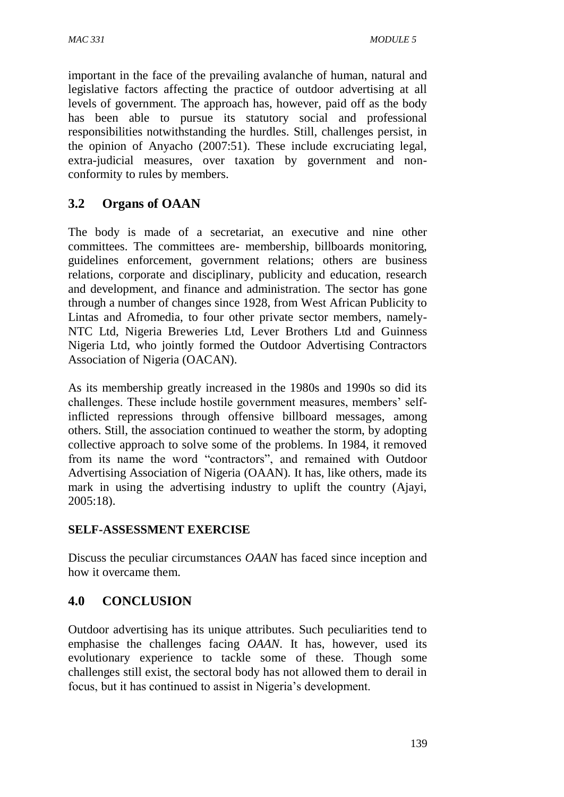important in the face of the prevailing avalanche of human, natural and legislative factors affecting the practice of outdoor advertising at all levels of government. The approach has, however, paid off as the body has been able to pursue its statutory social and professional responsibilities notwithstanding the hurdles. Still, challenges persist, in the opinion of Anyacho (2007:51). These include excruciating legal, extra-judicial measures, over taxation by government and nonconformity to rules by members.

# **3.2 Organs of OAAN**

The body is made of a secretariat, an executive and nine other committees. The committees are- membership, billboards monitoring, guidelines enforcement, government relations; others are business relations, corporate and disciplinary, publicity and education, research and development, and finance and administration. The sector has gone through a number of changes since 1928, from West African Publicity to Lintas and Afromedia, to four other private sector members, namely-NTC Ltd, Nigeria Breweries Ltd, Lever Brothers Ltd and Guinness Nigeria Ltd, who jointly formed the Outdoor Advertising Contractors Association of Nigeria (OACAN).

As its membership greatly increased in the 1980s and 1990s so did its challenges. These include hostile government measures, members' selfinflicted repressions through offensive billboard messages, among others. Still, the association continued to weather the storm, by adopting collective approach to solve some of the problems. In 1984, it removed from its name the word "contractors", and remained with Outdoor Advertising Association of Nigeria (OAAN). It has, like others, made its mark in using the advertising industry to uplift the country (Ajayi, 2005:18).

# **SELF-ASSESSMENT EXERCISE**

Discuss the peculiar circumstances *OAAN* has faced since inception and how it overcame them.

# **4.0 CONCLUSION**

Outdoor advertising has its unique attributes. Such peculiarities tend to emphasise the challenges facing *OAAN*. It has, however, used its evolutionary experience to tackle some of these. Though some challenges still exist, the sectoral body has not allowed them to derail in focus, but it has continued to assist in Nigeria's development.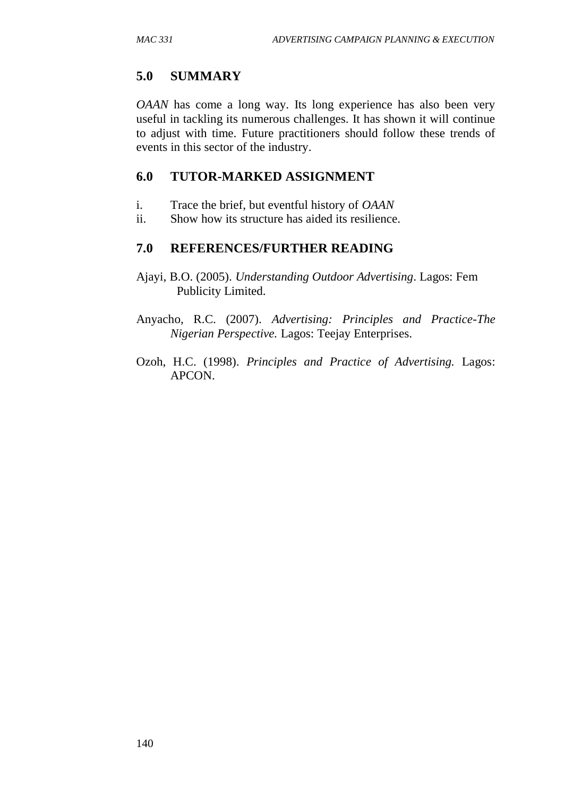# **5.0 SUMMARY**

*OAAN* has come a long way. Its long experience has also been very useful in tackling its numerous challenges. It has shown it will continue to adjust with time. Future practitioners should follow these trends of events in this sector of the industry.

# **6.0 TUTOR-MARKED ASSIGNMENT**

- i. Trace the brief, but eventful history of *OAAN*
- ii. Show how its structure has aided its resilience.

# **7.0 REFERENCES/FURTHER READING**

- Ajayi, B.O. (2005). *Understanding Outdoor Advertising*. Lagos: Fem Publicity Limited.
- Anyacho, R.C. (2007). *Advertising: Principles and Practice-The Nigerian Perspective.* Lagos: Teejay Enterprises.
- Ozoh, H.C. (1998). *Principles and Practice of Advertising.* Lagos: APCON.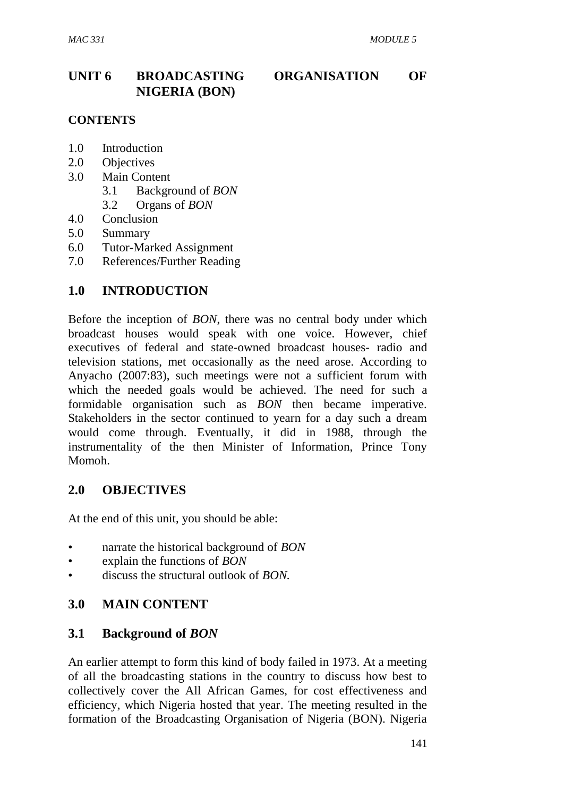# **UNIT 6 BROADCASTING ORGANISATION OF NIGERIA (BON)**

#### **CONTENTS**

- 1.0 Introduction
- 2.0 Objectives
- 3.0 Main Content
	- 3.1 Background of *BON*
	- 3.2 Organs of *BON*
- 4.0 Conclusion
- 5.0 Summary
- 6.0 Tutor-Marked Assignment
- 7.0 References/Further Reading

### **1.0 INTRODUCTION**

Before the inception of *BON*, there was no central body under which broadcast houses would speak with one voice. However, chief executives of federal and state-owned broadcast houses- radio and television stations, met occasionally as the need arose. According to Anyacho (2007:83), such meetings were not a sufficient forum with which the needed goals would be achieved. The need for such a formidable organisation such as *BON* then became imperative. Stakeholders in the sector continued to yearn for a day such a dream would come through. Eventually, it did in 1988, through the instrumentality of the then Minister of Information, Prince Tony Momoh.

### **2.0 OBJECTIVES**

At the end of this unit, you should be able:

- narrate the historical background of *BON*
- explain the functions of *BON*
- discuss the structural outlook of *BON.*

# **3.0 MAIN CONTENT**

### **3.1 Background of** *BON*

An earlier attempt to form this kind of body failed in 1973. At a meeting of all the broadcasting stations in the country to discuss how best to collectively cover the All African Games, for cost effectiveness and efficiency, which Nigeria hosted that year. The meeting resulted in the formation of the Broadcasting Organisation of Nigeria (BON). Nigeria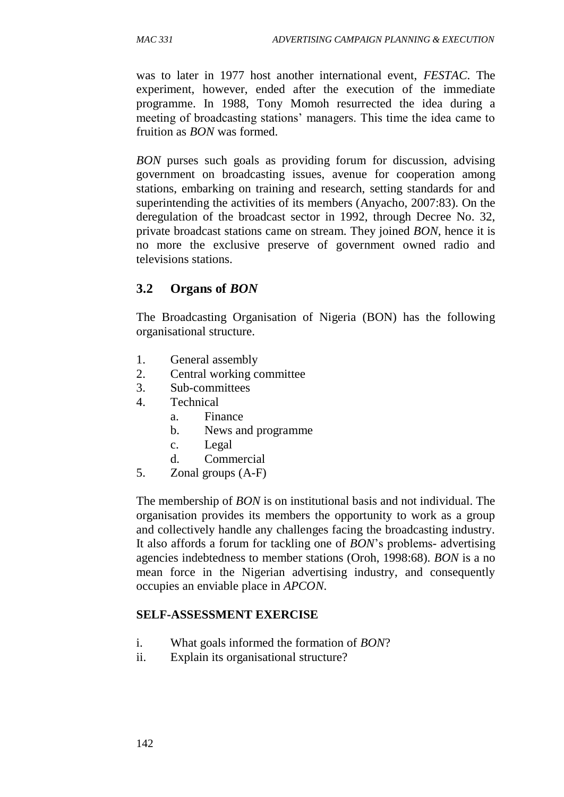was to later in 1977 host another international event, *FESTAC*. The experiment, however, ended after the execution of the immediate programme. In 1988, Tony Momoh resurrected the idea during a meeting of broadcasting stations' managers. This time the idea came to fruition as *BON* was formed.

*BON* purses such goals as providing forum for discussion, advising government on broadcasting issues, avenue for cooperation among stations, embarking on training and research, setting standards for and superintending the activities of its members (Anyacho, 2007:83). On the deregulation of the broadcast sector in 1992, through Decree No. 32, private broadcast stations came on stream. They joined *BON*, hence it is no more the exclusive preserve of government owned radio and televisions stations.

### **3.2 Organs of** *BON*

The Broadcasting Organisation of Nigeria (BON) has the following organisational structure.

- 1. General assembly
- 2. Central working committee
- 3. Sub-committees
- 4. Technical
	- a. Finance
	- b. News and programme
	- c. Legal
	- d. Commercial
- 5. Zonal groups (A-F)

The membership of *BON* is on institutional basis and not individual. The organisation provides its members the opportunity to work as a group and collectively handle any challenges facing the broadcasting industry. It also affords a forum for tackling one of *BON*'s problems- advertising agencies indebtedness to member stations (Oroh, 1998:68). *BON* is a no mean force in the Nigerian advertising industry, and consequently occupies an enviable place in *APCON*.

#### **SELF-ASSESSMENT EXERCISE**

- i. What goals informed the formation of *BON*?
- ii. Explain its organisational structure?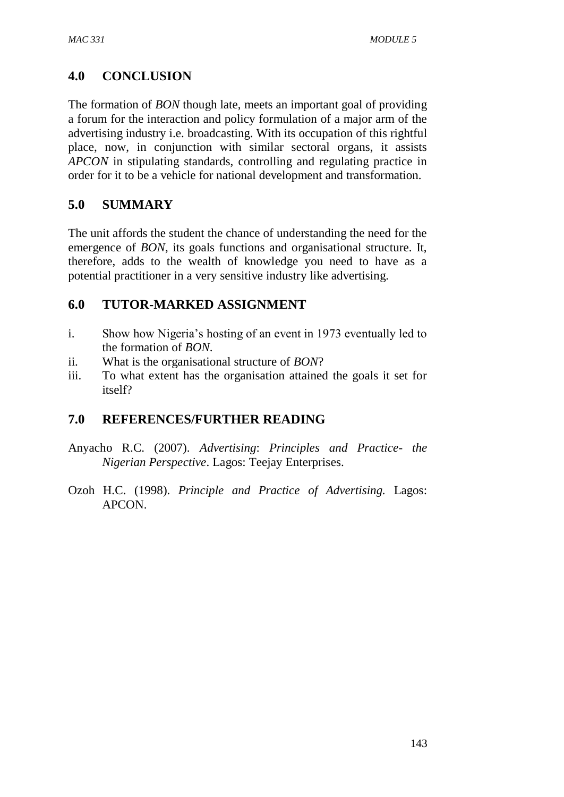# **4.0 CONCLUSION**

The formation of *BON* though late, meets an important goal of providing a forum for the interaction and policy formulation of a major arm of the advertising industry i.e. broadcasting. With its occupation of this rightful place, now, in conjunction with similar sectoral organs, it assists *APCON* in stipulating standards, controlling and regulating practice in order for it to be a vehicle for national development and transformation.

# **5.0 SUMMARY**

The unit affords the student the chance of understanding the need for the emergence of *BON*, its goals functions and organisational structure. It, therefore, adds to the wealth of knowledge you need to have as a potential practitioner in a very sensitive industry like advertising.

# **6.0 TUTOR-MARKED ASSIGNMENT**

- i. Show how Nigeria's hosting of an event in 1973 eventually led to the formation of *BON*.
- ii. What is the organisational structure of *BON*?
- iii. To what extent has the organisation attained the goals it set for itself?

# **7.0 REFERENCES/FURTHER READING**

- Anyacho R.C. (2007). *Advertising*: *Principles and Practice- the Nigerian Perspective*. Lagos: Teejay Enterprises.
- Ozoh H.C. (1998). *Principle and Practice of Advertising.* Lagos: APCON.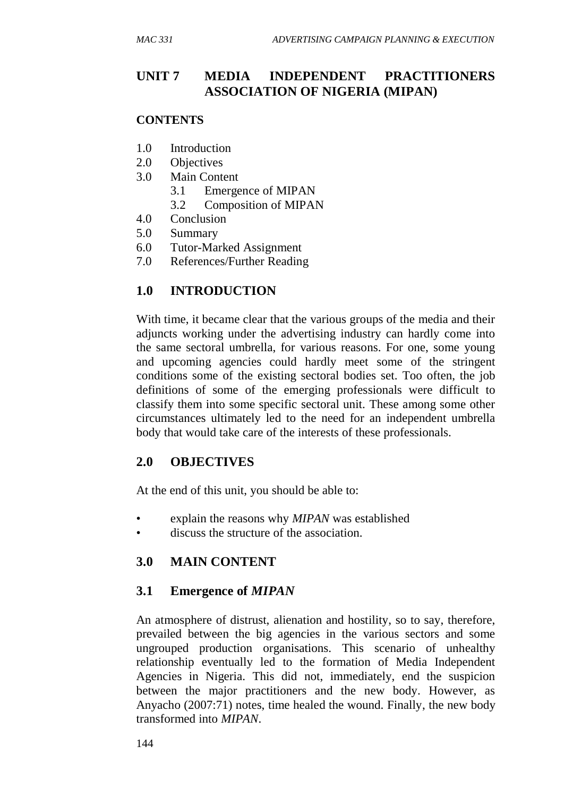# **UNIT 7 MEDIA INDEPENDENT PRACTITIONERS ASSOCIATION OF NIGERIA (MIPAN)**

#### **CONTENTS**

- 1.0 Introduction
- 2.0 Objectives
- 3.0 Main Content
	- 3.1 Emergence of MIPAN
	- 3.2 Composition of MIPAN
- 4.0 Conclusion
- 5.0 Summary
- 6.0 Tutor-Marked Assignment
- 7.0 References/Further Reading

### **1.0 INTRODUCTION**

With time, it became clear that the various groups of the media and their adjuncts working under the advertising industry can hardly come into the same sectoral umbrella, for various reasons. For one, some young and upcoming agencies could hardly meet some of the stringent conditions some of the existing sectoral bodies set. Too often, the job definitions of some of the emerging professionals were difficult to classify them into some specific sectoral unit. These among some other circumstances ultimately led to the need for an independent umbrella body that would take care of the interests of these professionals.

#### **2.0 OBJECTIVES**

At the end of this unit, you should be able to:

- explain the reasons why *MIPAN* was established
- discuss the structure of the association.

### **3.0 MAIN CONTENT**

### **3.1 Emergence of** *MIPAN*

An atmosphere of distrust, alienation and hostility, so to say, therefore, prevailed between the big agencies in the various sectors and some ungrouped production organisations. This scenario of unhealthy relationship eventually led to the formation of Media Independent Agencies in Nigeria. This did not, immediately, end the suspicion between the major practitioners and the new body. However, as Anyacho (2007:71) notes, time healed the wound. Finally, the new body transformed into *MIPAN*.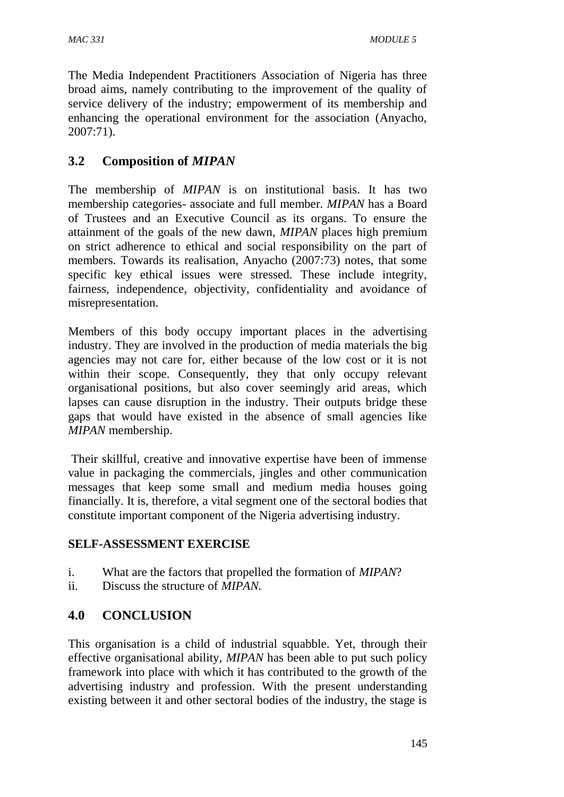The Media Independent Practitioners Association of Nigeria has three broad aims, namely contributing to the improvement of the quality of service delivery of the industry; empowerment of its membership and enhancing the operational environment for the association (Anyacho, 2007:71).

# **3.2 Composition of** *MIPAN*

The membership of *MIPAN* is on institutional basis. It has two membership categories- associate and full member. *MIPAN* has a Board of Trustees and an Executive Council as its organs. To ensure the attainment of the goals of the new dawn, *MIPAN* places high premium on strict adherence to ethical and social responsibility on the part of members. Towards its realisation, Anyacho (2007:73) notes, that some specific key ethical issues were stressed. These include integrity, fairness, independence, objectivity, confidentiality and avoidance of misrepresentation.

Members of this body occupy important places in the advertising industry. They are involved in the production of media materials the big agencies may not care for, either because of the low cost or it is not within their scope. Consequently, they that only occupy relevant organisational positions, but also cover seemingly arid areas, which lapses can cause disruption in the industry. Their outputs bridge these gaps that would have existed in the absence of small agencies like *MIPAN* membership.

Their skillful, creative and innovative expertise have been of immense value in packaging the commercials, jingles and other communication messages that keep some small and medium media houses going financially. It is, therefore, a vital segment one of the sectoral bodies that constitute important component of the Nigeria advertising industry.

### **SELF-ASSESSMENT EXERCISE**

- i. What are the factors that propelled the formation of *MIPAN*?
- ii. Discuss the structure of *MIPAN.*

# **4.0 CONCLUSION**

This organisation is a child of industrial squabble. Yet, through their effective organisational ability, *MIPAN* has been able to put such policy framework into place with which it has contributed to the growth of the advertising industry and profession. With the present understanding existing between it and other sectoral bodies of the industry, the stage is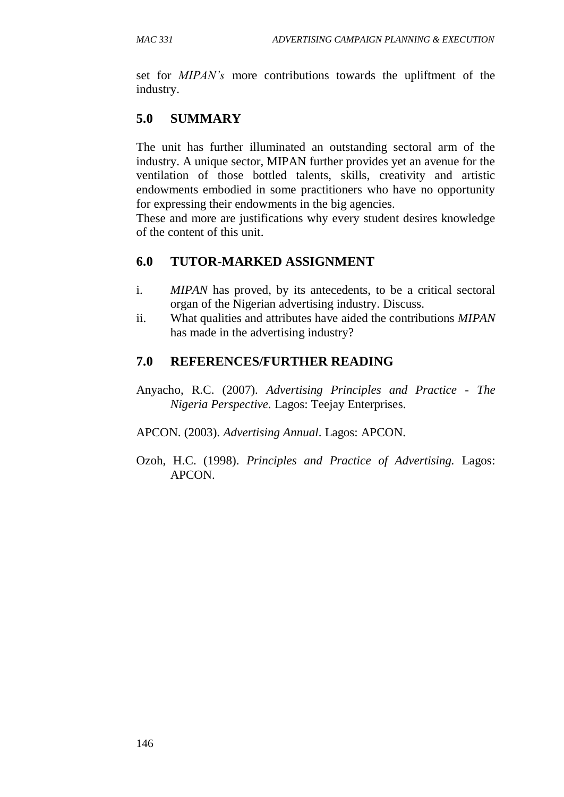set for *MIPAN's* more contributions towards the upliftment of the industry.

# **5.0 SUMMARY**

The unit has further illuminated an outstanding sectoral arm of the industry. A unique sector, MIPAN further provides yet an avenue for the ventilation of those bottled talents, skills, creativity and artistic endowments embodied in some practitioners who have no opportunity for expressing their endowments in the big agencies.

These and more are justifications why every student desires knowledge of the content of this unit.

# **6.0 TUTOR-MARKED ASSIGNMENT**

- i. *MIPAN* has proved, by its antecedents, to be a critical sectoral organ of the Nigerian advertising industry. Discuss.
- ii. What qualities and attributes have aided the contributions *MIPAN* has made in the advertising industry?

# **7.0 REFERENCES/FURTHER READING**

- Anyacho, R.C. (2007). *Advertising Principles and Practice - The Nigeria Perspective.* Lagos: Teejay Enterprises.
- APCON. (2003). *Advertising Annual*. Lagos: APCON.
- Ozoh, H.C. (1998). *Principles and Practice of Advertising.* Lagos: APCON.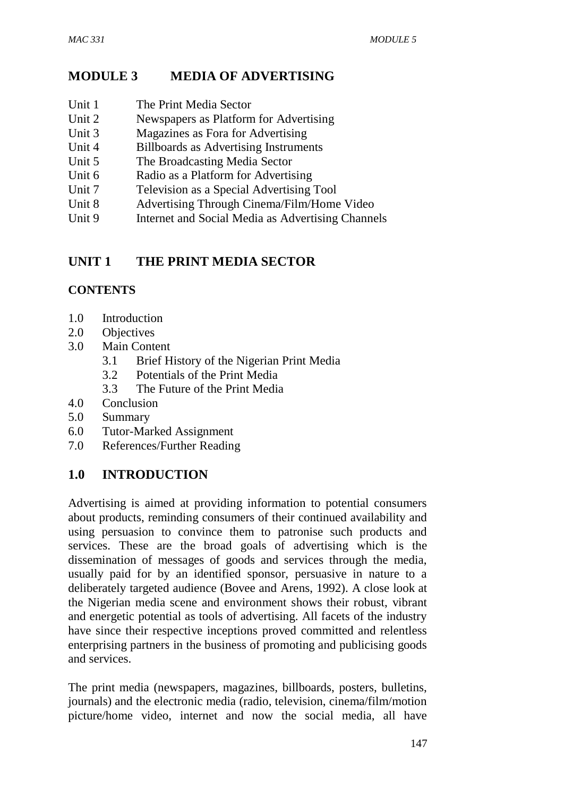# **MODULE 3 MEDIA OF ADVERTISING**

- Unit 1 The Print Media Sector
- Unit 2 Newspapers as Platform for Advertising
- Unit 3 Magazines as Fora for Advertising
- Unit 4 Billboards as Advertising Instruments
- Unit 5 The Broadcasting Media Sector
- Unit 6 Radio as a Platform for Advertising
- Unit 7 Television as a Special Advertising Tool
- Unit 8 Advertising Through Cinema/Film/Home Video
- Unit 9 Internet and Social Media as Advertising Channels

# **UNIT 1 THE PRINT MEDIA SECTOR**

# **CONTENTS**

- 1.0 Introduction
- 2.0 Objectives
- 3.0 Main Content
	- 3.1 Brief History of the Nigerian Print Media
	- 3.2 Potentials of the Print Media
	- 3.3 The Future of the Print Media
- 4.0 Conclusion
- 5.0 Summary
- 6.0 Tutor-Marked Assignment
- 7.0 References/Further Reading

# **1.0 INTRODUCTION**

Advertising is aimed at providing information to potential consumers about products, reminding consumers of their continued availability and using persuasion to convince them to patronise such products and services. These are the broad goals of advertising which is the dissemination of messages of goods and services through the media, usually paid for by an identified sponsor, persuasive in nature to a deliberately targeted audience (Bovee and Arens, 1992). A close look at the Nigerian media scene and environment shows their robust, vibrant and energetic potential as tools of advertising. All facets of the industry have since their respective inceptions proved committed and relentless enterprising partners in the business of promoting and publicising goods and services.

The print media (newspapers, magazines, billboards, posters, bulletins, journals) and the electronic media (radio, television, cinema/film/motion picture/home video, internet and now the social media, all have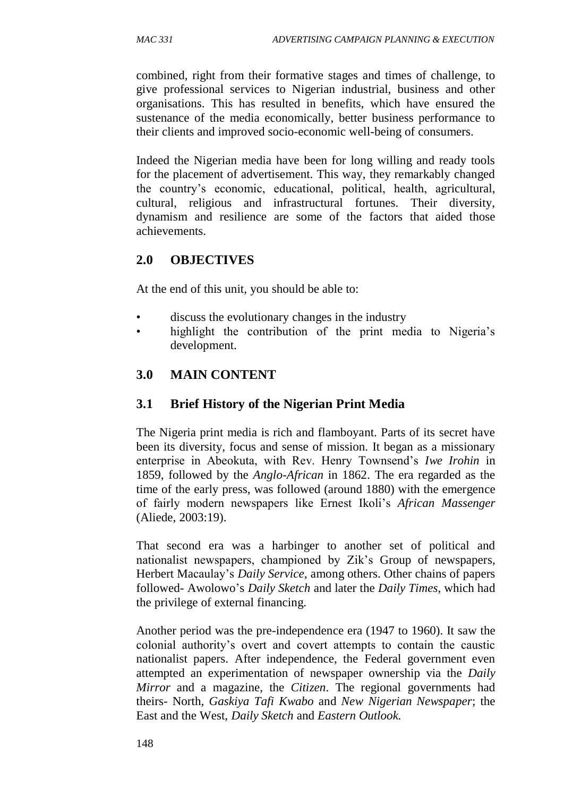combined, right from their formative stages and times of challenge, to give professional services to Nigerian industrial, business and other organisations. This has resulted in benefits, which have ensured the sustenance of the media economically, better business performance to their clients and improved socio-economic well-being of consumers.

Indeed the Nigerian media have been for long willing and ready tools for the placement of advertisement. This way, they remarkably changed the country's economic, educational, political, health, agricultural, cultural, religious and infrastructural fortunes. Their diversity, dynamism and resilience are some of the factors that aided those achievements.

# **2.0 OBJECTIVES**

At the end of this unit, you should be able to:

- discuss the evolutionary changes in the industry
- highlight the contribution of the print media to Nigeria's development.

# **3.0 MAIN CONTENT**

### **3.1 Brief History of the Nigerian Print Media**

The Nigeria print media is rich and flamboyant. Parts of its secret have been its diversity, focus and sense of mission. It began as a missionary enterprise in Abeokuta, with Rev. Henry Townsend's *Iwe Irohin* in 1859, followed by the *Anglo-African* in 1862. The era regarded as the time of the early press, was followed (around 1880) with the emergence of fairly modern newspapers like Ernest Ikoli's *African Massenger* (Aliede, 2003:19).

That second era was a harbinger to another set of political and nationalist newspapers, championed by Zik's Group of newspapers, Herbert Macaulay's *Daily Service*, among others. Other chains of papers followed- Awolowo's *Daily Sketch* and later the *Daily Times*, which had the privilege of external financing.

Another period was the pre-independence era (1947 to 1960). It saw the colonial authority's overt and covert attempts to contain the caustic nationalist papers. After independence, the Federal government even attempted an experimentation of newspaper ownership via the *Daily Mirror* and a magazine, the *Citizen*. The regional governments had theirs- North, *Gaskiya Tafi Kwabo* and *New Nigerian Newspaper*; the East and the West, *Daily Sketch* and *Eastern Outlook.*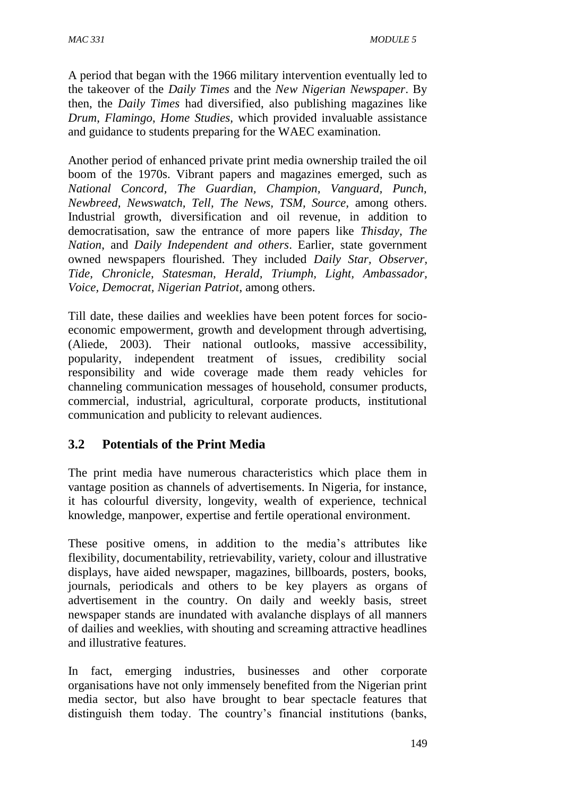A period that began with the 1966 military intervention eventually led to the takeover of the *Daily Times* and the *New Nigerian Newspaper*. By then, the *Daily Times* had diversified, also publishing magazines like *Drum*, *Flamingo*, *Home Studies,* which provided invaluable assistance and guidance to students preparing for the WAEC examination*.*

Another period of enhanced private print media ownership trailed the oil boom of the 1970s. Vibrant papers and magazines emerged, such as *National Concord, The Guardian, Champion, Vanguard, Punch, Newbreed, Newswatch, Tell, The News, TSM, Source,* among others. Industrial growth, diversification and oil revenue, in addition to democratisation, saw the entrance of more papers like *Thisday*, *The Nation*, and *Daily Independent and others*. Earlier, state government owned newspapers flourished. They included *Daily Star, Observer, Tide, Chronicle, Statesman, Herald, Triumph, Light, Ambassador, Voice, Democrat, Nigerian Patriot*, among others.

Till date, these dailies and weeklies have been potent forces for socioeconomic empowerment, growth and development through advertising, (Aliede, 2003). Their national outlooks, massive accessibility, popularity, independent treatment of issues, credibility social responsibility and wide coverage made them ready vehicles for channeling communication messages of household, consumer products, commercial, industrial, agricultural, corporate products, institutional communication and publicity to relevant audiences.

# **3.2 Potentials of the Print Media**

The print media have numerous characteristics which place them in vantage position as channels of advertisements. In Nigeria, for instance, it has colourful diversity, longevity, wealth of experience, technical knowledge, manpower, expertise and fertile operational environment.

These positive omens, in addition to the media's attributes like flexibility, documentability, retrievability, variety, colour and illustrative displays, have aided newspaper, magazines, billboards, posters, books, journals, periodicals and others to be key players as organs of advertisement in the country. On daily and weekly basis, street newspaper stands are inundated with avalanche displays of all manners of dailies and weeklies, with shouting and screaming attractive headlines and illustrative features.

In fact, emerging industries, businesses and other corporate organisations have not only immensely benefited from the Nigerian print media sector, but also have brought to bear spectacle features that distinguish them today. The country's financial institutions (banks,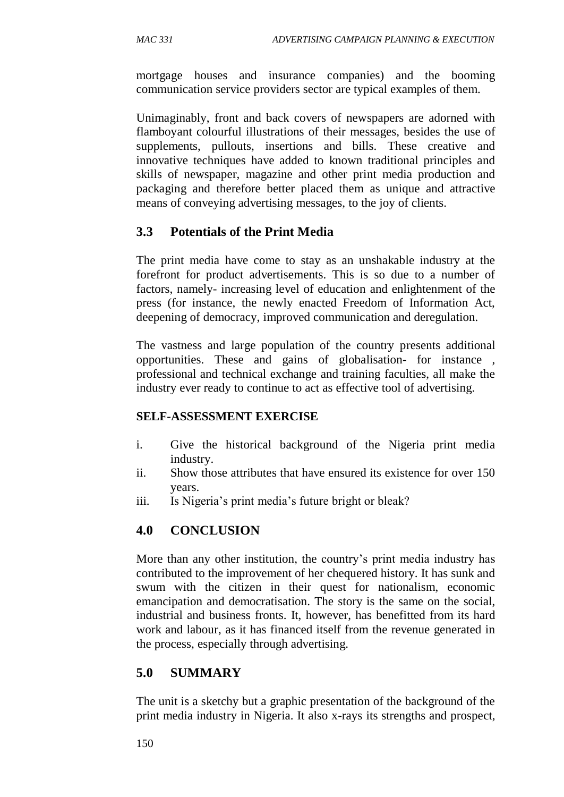mortgage houses and insurance companies) and the booming communication service providers sector are typical examples of them.

Unimaginably, front and back covers of newspapers are adorned with flamboyant colourful illustrations of their messages, besides the use of supplements, pullouts, insertions and bills. These creative and innovative techniques have added to known traditional principles and skills of newspaper, magazine and other print media production and packaging and therefore better placed them as unique and attractive means of conveying advertising messages, to the joy of clients.

# **3.3 Potentials of the Print Media**

The print media have come to stay as an unshakable industry at the forefront for product advertisements. This is so due to a number of factors, namely- increasing level of education and enlightenment of the press (for instance, the newly enacted Freedom of Information Act, deepening of democracy, improved communication and deregulation.

The vastness and large population of the country presents additional opportunities. These and gains of globalisation- for instance , professional and technical exchange and training faculties, all make the industry ever ready to continue to act as effective tool of advertising.

### **SELF-ASSESSMENT EXERCISE**

- i. Give the historical background of the Nigeria print media industry.
- ii. Show those attributes that have ensured its existence for over 150 years.
- iii. Is Nigeria's print media's future bright or bleak?

# **4.0 CONCLUSION**

More than any other institution, the country's print media industry has contributed to the improvement of her chequered history. It has sunk and swum with the citizen in their quest for nationalism, economic emancipation and democratisation. The story is the same on the social, industrial and business fronts. It, however, has benefitted from its hard work and labour, as it has financed itself from the revenue generated in the process, especially through advertising.

# **5.0 SUMMARY**

The unit is a sketchy but a graphic presentation of the background of the print media industry in Nigeria. It also x-rays its strengths and prospect,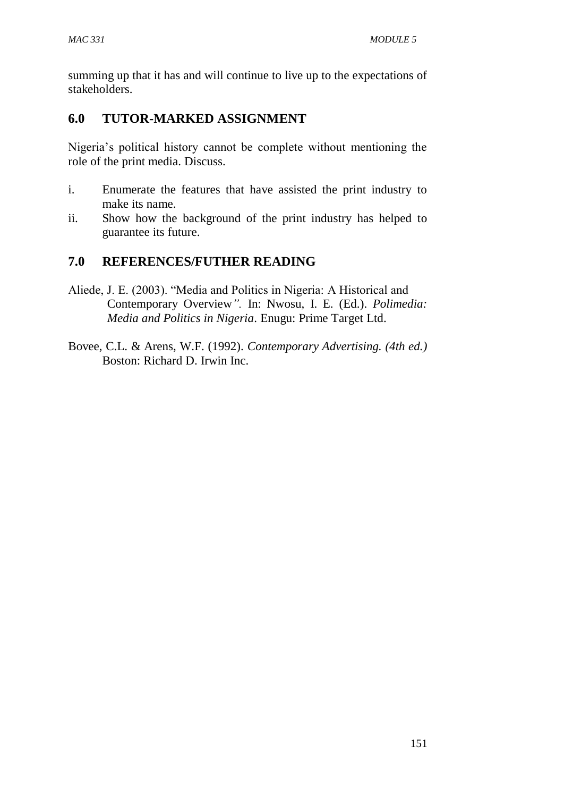summing up that it has and will continue to live up to the expectations of stakeholders.

# **6.0 TUTOR-MARKED ASSIGNMENT**

Nigeria's political history cannot be complete without mentioning the role of the print media. Discuss.

- i. Enumerate the features that have assisted the print industry to make its name.
- ii. Show how the background of the print industry has helped to guarantee its future.

# **7.0 REFERENCES/FUTHER READING**

- Aliede, J. E. (2003). "Media and Politics in Nigeria: A Historical and Contemporary Overview*".* In: Nwosu, I. E. (Ed.). *Polimedia: Media and Politics in Nigeria*. Enugu: Prime Target Ltd.
- Bovee, C.L. & Arens, W.F. (1992). *Contemporary Advertising. (4th ed.)* Boston: Richard D. Irwin Inc.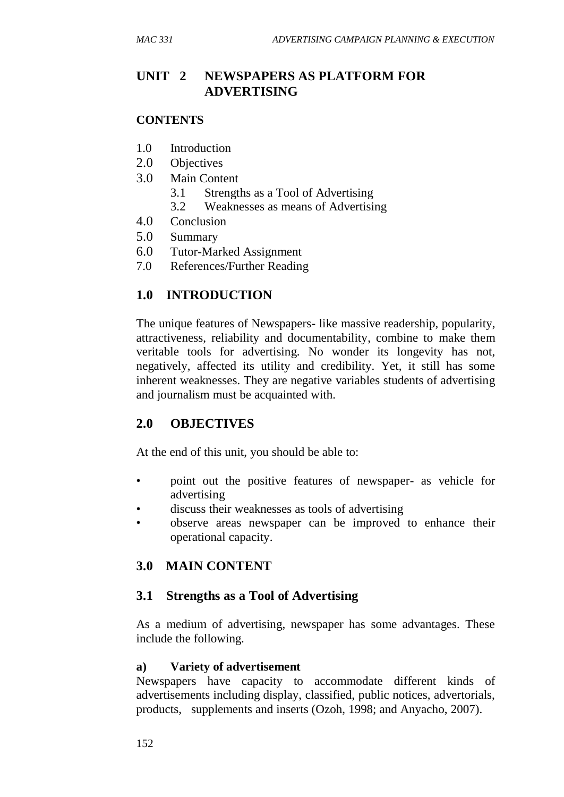# **UNIT 2 NEWSPAPERS AS PLATFORM FOR ADVERTISING**

#### **CONTENTS**

- 1.0 Introduction
- 2.0 Objectives
- 3.0 Main Content
	- 3.1 Strengths as a Tool of Advertising
	- 3.2 Weaknesses as means of Advertising
- 4.0 Conclusion
- 5.0 Summary
- 6.0 Tutor-Marked Assignment
- 7.0 References/Further Reading

# **1.0 INTRODUCTION**

The unique features of Newspapers- like massive readership, popularity, attractiveness, reliability and documentability, combine to make them veritable tools for advertising. No wonder its longevity has not, negatively, affected its utility and credibility. Yet, it still has some inherent weaknesses. They are negative variables students of advertising and journalism must be acquainted with.

# **2.0 OBJECTIVES**

At the end of this unit, you should be able to:

- point out the positive features of newspaper- as vehicle for advertising
- discuss their weaknesses as tools of advertising
- observe areas newspaper can be improved to enhance their operational capacity.

# **3.0 MAIN CONTENT**

# **3.1 Strengths as a Tool of Advertising**

As a medium of advertising, newspaper has some advantages. These include the following.

### **a) Variety of advertisement**

Newspapers have capacity to accommodate different kinds of advertisements including display, classified, public notices, advertorials, products, supplements and inserts (Ozoh, 1998; and Anyacho, 2007).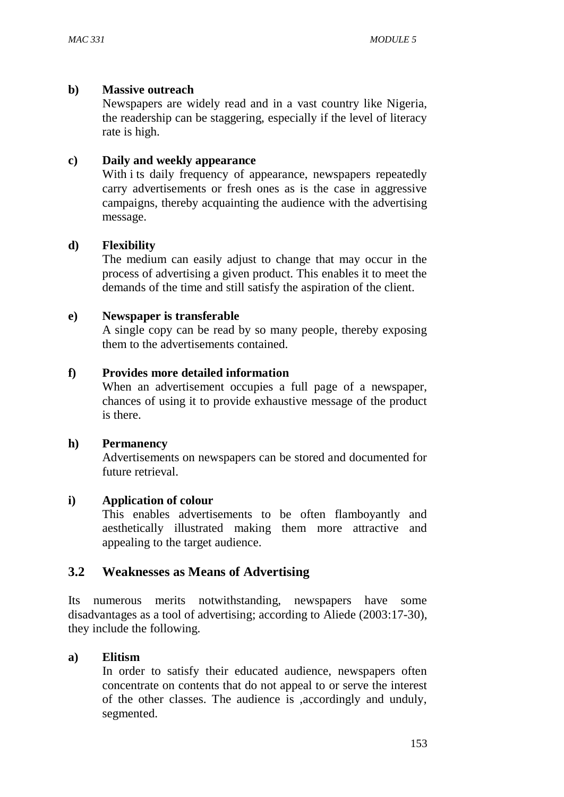#### **b) Massive outreach**

Newspapers are widely read and in a vast country like Nigeria, the readership can be staggering, especially if the level of literacy rate is high.

#### **c) Daily and weekly appearance**

With i ts daily frequency of appearance, newspapers repeatedly carry advertisements or fresh ones as is the case in aggressive campaigns, thereby acquainting the audience with the advertising message.

### **d) Flexibility**

The medium can easily adjust to change that may occur in the process of advertising a given product. This enables it to meet the demands of the time and still satisfy the aspiration of the client.

#### **e) Newspaper is transferable**

A single copy can be read by so many people, thereby exposing them to the advertisements contained.

#### **f) Provides more detailed information**

When an advertisement occupies a full page of a newspaper, chances of using it to provide exhaustive message of the product is there.

#### **h) Permanency**

Advertisements on newspapers can be stored and documented for future retrieval.

#### **i) Application of colour**

This enables advertisements to be often flamboyantly and aesthetically illustrated making them more attractive and appealing to the target audience.

### **3.2 Weaknesses as Means of Advertising**

Its numerous merits notwithstanding, newspapers have some disadvantages as a tool of advertising; according to Aliede (2003:17-30), they include the following.

#### **a) Elitism**

In order to satisfy their educated audience, newspapers often concentrate on contents that do not appeal to or serve the interest of the other classes. The audience is ,accordingly and unduly, segmented.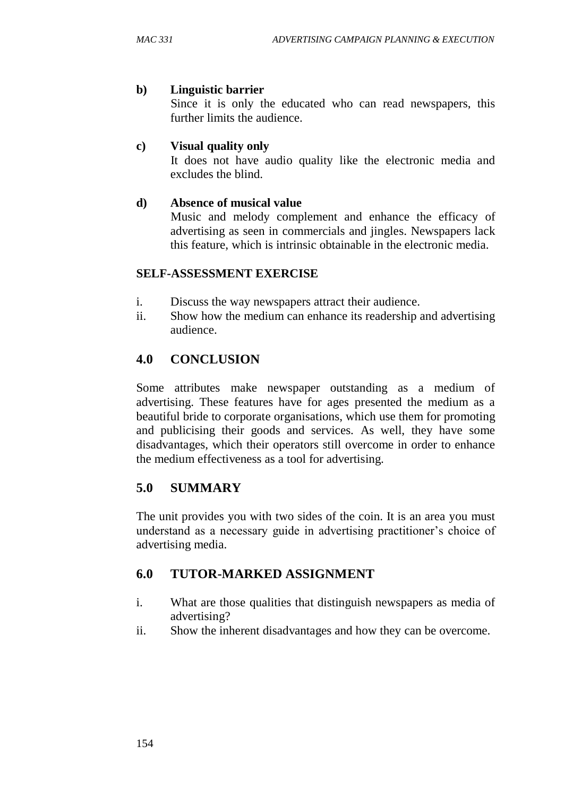#### **b) Linguistic barrier**

Since it is only the educated who can read newspapers, this further limits the audience.

### **c) Visual quality only**

It does not have audio quality like the electronic media and excludes the blind.

### **d) Absence of musical value**

Music and melody complement and enhance the efficacy of advertising as seen in commercials and jingles. Newspapers lack this feature, which is intrinsic obtainable in the electronic media.

#### **SELF-ASSESSMENT EXERCISE**

- i. Discuss the way newspapers attract their audience.
- ii. Show how the medium can enhance its readership and advertising audience.

# **4.0 CONCLUSION**

Some attributes make newspaper outstanding as a medium of advertising. These features have for ages presented the medium as a beautiful bride to corporate organisations, which use them for promoting and publicising their goods and services. As well, they have some disadvantages, which their operators still overcome in order to enhance the medium effectiveness as a tool for advertising.

# **5.0 SUMMARY**

The unit provides you with two sides of the coin. It is an area you must understand as a necessary guide in advertising practitioner's choice of advertising media.

# **6.0 TUTOR-MARKED ASSIGNMENT**

- i. What are those qualities that distinguish newspapers as media of advertising?
- ii. Show the inherent disadvantages and how they can be overcome.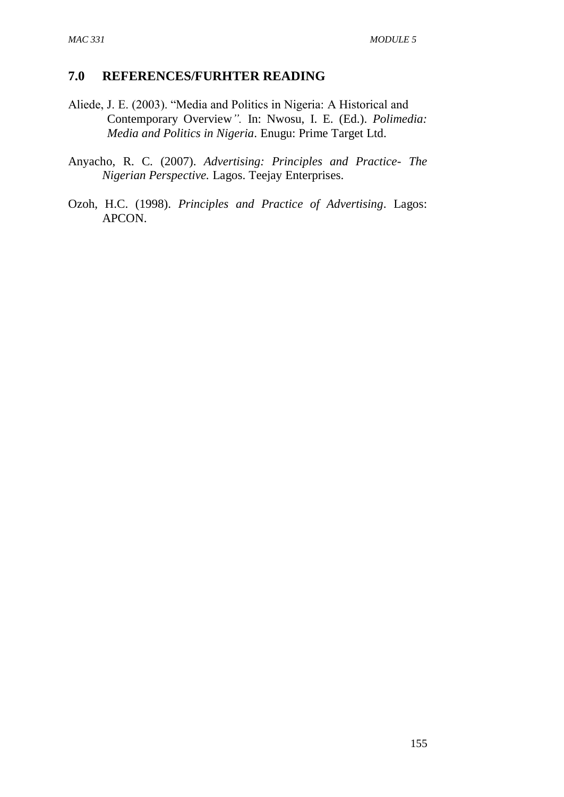### **7.0 REFERENCES/FURHTER READING**

- Aliede, J. E. (2003). "Media and Politics in Nigeria: A Historical and Contemporary Overview*".* In: Nwosu, I. E. (Ed.). *Polimedia: Media and Politics in Nigeria*. Enugu: Prime Target Ltd.
- Anyacho, R. C. (2007). *Advertising: Principles and Practice- The Nigerian Perspective.* Lagos. Teejay Enterprises.
- Ozoh, H.C. (1998). *Principles and Practice of Advertising*. Lagos: APCON.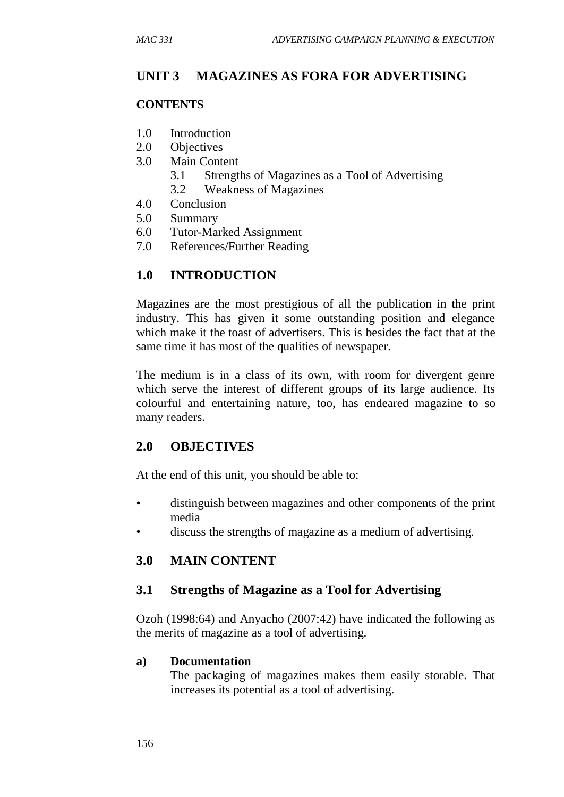# **UNIT 3 MAGAZINES AS FORA FOR ADVERTISING**

### **CONTENTS**

- 1.0 Introduction
- 2.0 Objectives
- 3.0 Main Content
	- 3.1 Strengths of Magazines as a Tool of Advertising
	- 3.2 Weakness of Magazines
- 4.0 Conclusion
- 5.0 Summary
- 6.0 Tutor-Marked Assignment
- 7.0 References/Further Reading

# **1.0 INTRODUCTION**

Magazines are the most prestigious of all the publication in the print industry. This has given it some outstanding position and elegance which make it the toast of advertisers. This is besides the fact that at the same time it has most of the qualities of newspaper.

The medium is in a class of its own, with room for divergent genre which serve the interest of different groups of its large audience. Its colourful and entertaining nature, too, has endeared magazine to so many readers.

# **2.0 OBJECTIVES**

At the end of this unit, you should be able to:

- distinguish between magazines and other components of the print media
- discuss the strengths of magazine as a medium of advertising.

# **3.0 MAIN CONTENT**

### **3.1 Strengths of Magazine as a Tool for Advertising**

Ozoh (1998:64) and Anyacho (2007:42) have indicated the following as the merits of magazine as a tool of advertising.

#### **a) Documentation**

The packaging of magazines makes them easily storable. That increases its potential as a tool of advertising.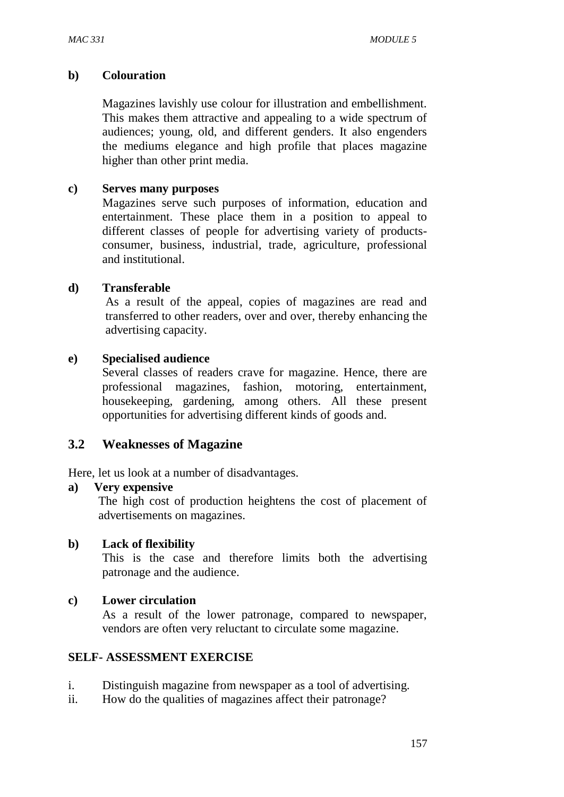#### **b) Colouration**

Magazines lavishly use colour for illustration and embellishment. This makes them attractive and appealing to a wide spectrum of audiences; young, old, and different genders. It also engenders the mediums elegance and high profile that places magazine higher than other print media.

#### **c) Serves many purposes**

Magazines serve such purposes of information, education and entertainment. These place them in a position to appeal to different classes of people for advertising variety of productsconsumer, business, industrial, trade, agriculture, professional and institutional.

#### **d) Transferable**

As a result of the appeal, copies of magazines are read and transferred to other readers, over and over, thereby enhancing the advertising capacity.

#### **e) Specialised audience**

Several classes of readers crave for magazine. Hence, there are professional magazines, fashion, motoring, entertainment, housekeeping, gardening, among others. All these present opportunities for advertising different kinds of goods and.

### **3.2 Weaknesses of Magazine**

Here, let us look at a number of disadvantages.

#### **a) Very expensive**

The high cost of production heightens the cost of placement of advertisements on magazines.

#### **b) Lack of flexibility**

This is the case and therefore limits both the advertising patronage and the audience.

#### **c) Lower circulation**

As a result of the lower patronage, compared to newspaper, vendors are often very reluctant to circulate some magazine.

#### **SELF- ASSESSMENT EXERCISE**

- i. Distinguish magazine from newspaper as a tool of advertising.
- ii. How do the qualities of magazines affect their patronage?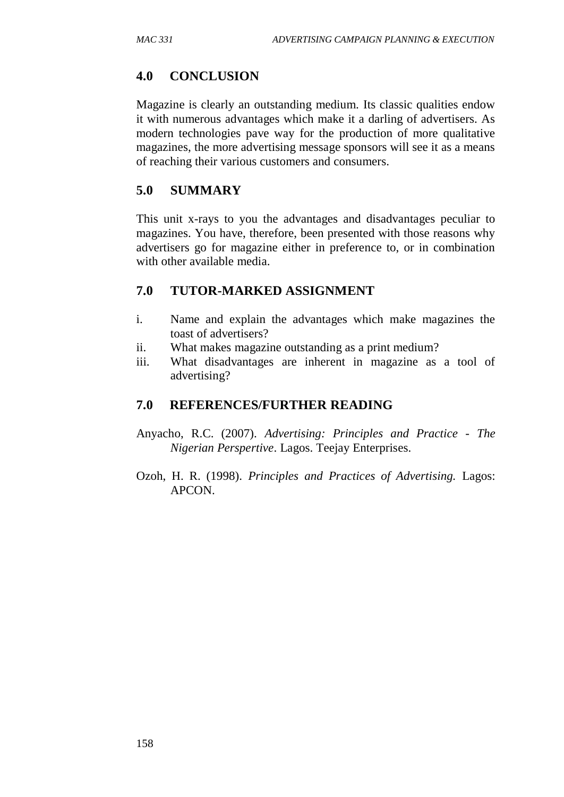# **4.0 CONCLUSION**

Magazine is clearly an outstanding medium. Its classic qualities endow it with numerous advantages which make it a darling of advertisers. As modern technologies pave way for the production of more qualitative magazines, the more advertising message sponsors will see it as a means of reaching their various customers and consumers.

# **5.0 SUMMARY**

This unit x-rays to you the advantages and disadvantages peculiar to magazines. You have, therefore, been presented with those reasons why advertisers go for magazine either in preference to, or in combination with other available media.

# **7.0 TUTOR-MARKED ASSIGNMENT**

- i. Name and explain the advantages which make magazines the toast of advertisers?
- ii. What makes magazine outstanding as a print medium?
- iii. What disadvantages are inherent in magazine as a tool of advertising?

# **7.0 REFERENCES/FURTHER READING**

- Anyacho, R.C. (2007). *Advertising: Principles and Practice - The Nigerian Perspertive*. Lagos. Teejay Enterprises.
- Ozoh, H. R. (1998). *Principles and Practices of Advertising.* Lagos: APCON.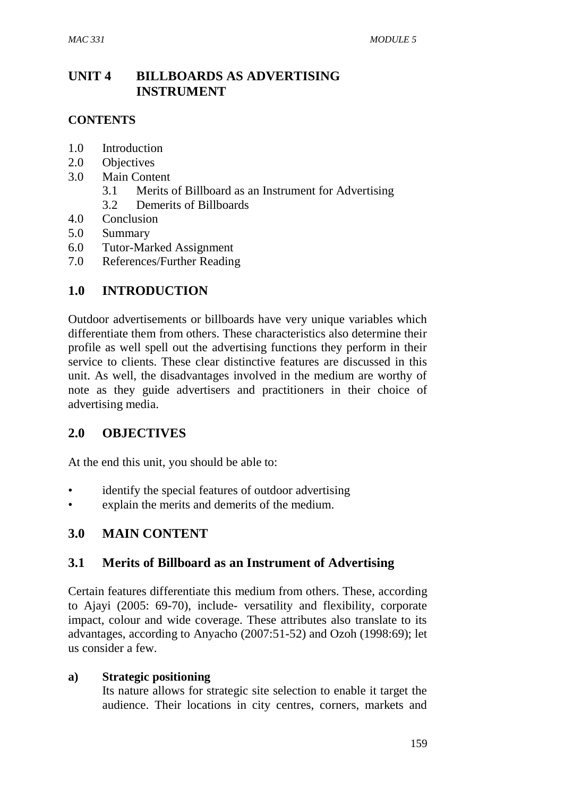# **UNIT 4 BILLBOARDS AS ADVERTISING INSTRUMENT**

### **CONTENTS**

- 1.0 Introduction
- 2.0 Objectives
- 3.0 Main Content
	- 3.1 Merits of Billboard as an Instrument for Advertising
	- 3.2 Demerits of Billboards
- 4.0 Conclusion
- 5.0 Summary
- 6.0 Tutor-Marked Assignment
- 7.0 References/Further Reading

## **1.0 INTRODUCTION**

Outdoor advertisements or billboards have very unique variables which differentiate them from others. These characteristics also determine their profile as well spell out the advertising functions they perform in their service to clients. These clear distinctive features are discussed in this unit. As well, the disadvantages involved in the medium are worthy of note as they guide advertisers and practitioners in their choice of advertising media.

### **2.0 OBJECTIVES**

At the end this unit, you should be able to:

- identify the special features of outdoor advertising
- explain the merits and demerits of the medium.

### **3.0 MAIN CONTENT**

### **3.1 Merits of Billboard as an Instrument of Advertising**

Certain features differentiate this medium from others. These, according to Ajayi (2005: 69-70), include- versatility and flexibility, corporate impact, colour and wide coverage. These attributes also translate to its advantages, according to Anyacho (2007:51-52) and Ozoh (1998:69); let us consider a few.

#### **a) Strategic positioning**

Its nature allows for strategic site selection to enable it target the audience. Their locations in city centres, corners, markets and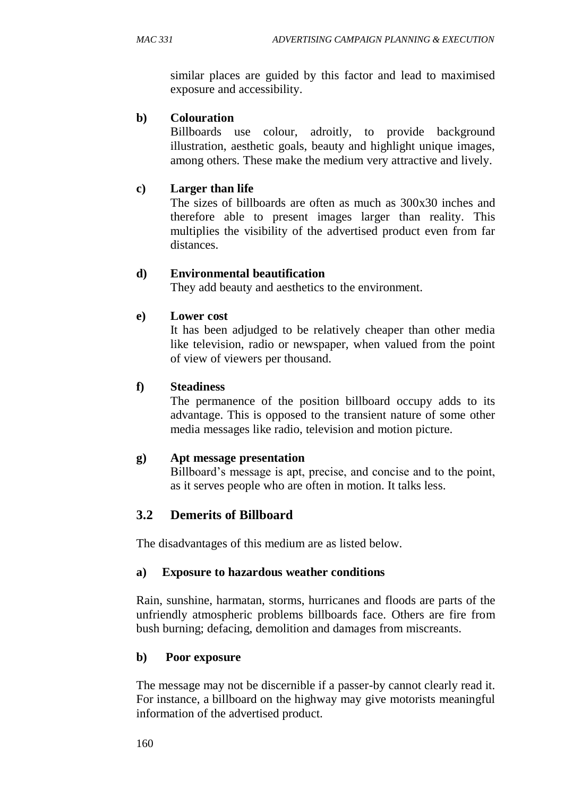similar places are guided by this factor and lead to maximised exposure and accessibility.

### **b) Colouration**

Billboards use colour, adroitly, to provide background illustration, aesthetic goals, beauty and highlight unique images, among others. These make the medium very attractive and lively.

## **c) Larger than life**

The sizes of billboards are often as much as 300x30 inches and therefore able to present images larger than reality. This multiplies the visibility of the advertised product even from far distances.

## **d) Environmental beautification**

They add beauty and aesthetics to the environment.

## **e) Lower cost**

It has been adjudged to be relatively cheaper than other media like television, radio or newspaper, when valued from the point of view of viewers per thousand.

## **f) Steadiness**

The permanence of the position billboard occupy adds to its advantage. This is opposed to the transient nature of some other media messages like radio, television and motion picture.

### **g) Apt message presentation**

Billboard's message is apt, precise, and concise and to the point, as it serves people who are often in motion. It talks less.

# **3.2 Demerits of Billboard**

The disadvantages of this medium are as listed below.

### **a) Exposure to hazardous weather conditions**

Rain, sunshine, harmatan, storms, hurricanes and floods are parts of the unfriendly atmospheric problems billboards face. Others are fire from bush burning; defacing, demolition and damages from miscreants.

### **b) Poor exposure**

The message may not be discernible if a passer-by cannot clearly read it. For instance, a billboard on the highway may give motorists meaningful information of the advertised product.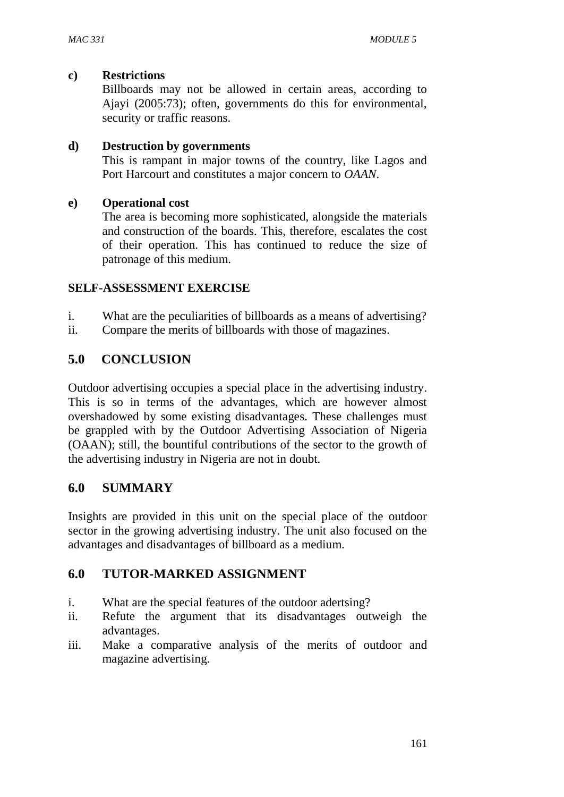#### **c) Restrictions**

Billboards may not be allowed in certain areas, according to Ajayi (2005:73); often, governments do this for environmental, security or traffic reasons.

#### **d) Destruction by governments**

This is rampant in major towns of the country, like Lagos and Port Harcourt and constitutes a major concern to *OAAN*.

#### **e) Operational cost**

The area is becoming more sophisticated, alongside the materials and construction of the boards. This, therefore, escalates the cost of their operation. This has continued to reduce the size of patronage of this medium.

### **SELF-ASSESSMENT EXERCISE**

- i. What are the peculiarities of billboards as a means of advertising?
- ii. Compare the merits of billboards with those of magazines.

## **5.0 CONCLUSION**

Outdoor advertising occupies a special place in the advertising industry. This is so in terms of the advantages, which are however almost overshadowed by some existing disadvantages. These challenges must be grappled with by the Outdoor Advertising Association of Nigeria (OAAN); still, the bountiful contributions of the sector to the growth of the advertising industry in Nigeria are not in doubt.

### **6.0 SUMMARY**

Insights are provided in this unit on the special place of the outdoor sector in the growing advertising industry. The unit also focused on the advantages and disadvantages of billboard as a medium.

### **6.0 TUTOR-MARKED ASSIGNMENT**

- i. What are the special features of the outdoor adertsing?
- ii. Refute the argument that its disadvantages outweigh the advantages.
- iii. Make a comparative analysis of the merits of outdoor and magazine advertising.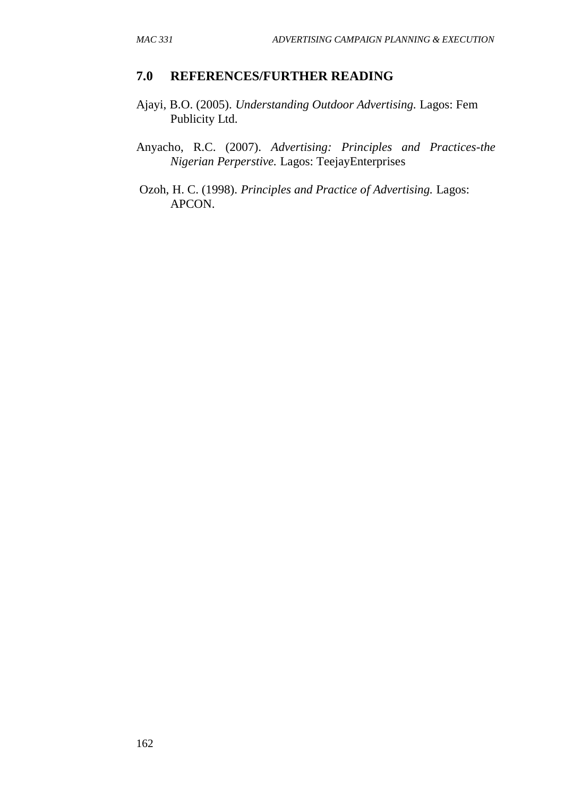### **7.0 REFERENCES/FURTHER READING**

- Ajayi, B.O. (2005). *Understanding Outdoor Advertising.* Lagos: Fem Publicity Ltd.
- Anyacho, R.C. (2007). *Advertising: Principles and Practices-the Nigerian Perperstive.* Lagos: TeejayEnterprises
- Ozoh, H. C. (1998). *Principles and Practice of Advertising.* Lagos: APCON.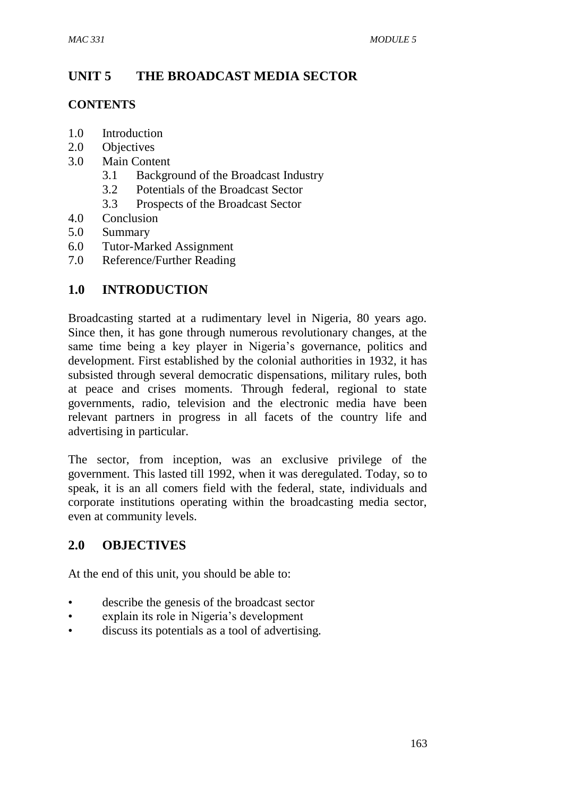# **UNIT 5 THE BROADCAST MEDIA SECTOR**

### **CONTENTS**

- 1.0 Introduction
- 2.0 Objectives
- 3.0 Main Content
	- 3.1 Background of the Broadcast Industry
	- 3.2 Potentials of the Broadcast Sector
	- 3.3 Prospects of the Broadcast Sector
- 4.0 Conclusion
- 5.0 Summary
- 6.0 Tutor-Marked Assignment
- 7.0 Reference/Further Reading

# **1.0 INTRODUCTION**

Broadcasting started at a rudimentary level in Nigeria, 80 years ago. Since then, it has gone through numerous revolutionary changes, at the same time being a key player in Nigeria's governance, politics and development. First established by the colonial authorities in 1932, it has subsisted through several democratic dispensations, military rules, both at peace and crises moments. Through federal, regional to state governments, radio, television and the electronic media have been relevant partners in progress in all facets of the country life and advertising in particular.

The sector, from inception, was an exclusive privilege of the government. This lasted till 1992, when it was deregulated. Today, so to speak, it is an all comers field with the federal, state, individuals and corporate institutions operating within the broadcasting media sector, even at community levels.

# **2.0 OBJECTIVES**

At the end of this unit, you should be able to:

- describe the genesis of the broadcast sector
- explain its role in Nigeria's development
- discuss its potentials as a tool of advertising.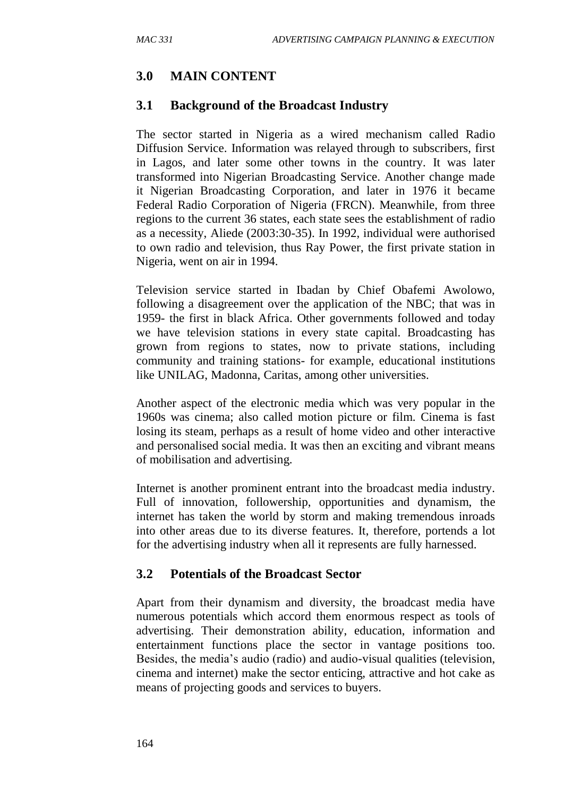# **3.0 MAIN CONTENT**

## **3.1 Background of the Broadcast Industry**

The sector started in Nigeria as a wired mechanism called Radio Diffusion Service. Information was relayed through to subscribers, first in Lagos, and later some other towns in the country. It was later transformed into Nigerian Broadcasting Service. Another change made it Nigerian Broadcasting Corporation, and later in 1976 it became Federal Radio Corporation of Nigeria (FRCN). Meanwhile, from three regions to the current 36 states, each state sees the establishment of radio as a necessity, Aliede (2003:30-35). In 1992, individual were authorised to own radio and television, thus Ray Power, the first private station in Nigeria, went on air in 1994.

Television service started in Ibadan by Chief Obafemi Awolowo, following a disagreement over the application of the NBC; that was in 1959- the first in black Africa. Other governments followed and today we have television stations in every state capital. Broadcasting has grown from regions to states, now to private stations, including community and training stations- for example, educational institutions like UNILAG, Madonna, Caritas, among other universities.

Another aspect of the electronic media which was very popular in the 1960s was cinema; also called motion picture or film. Cinema is fast losing its steam, perhaps as a result of home video and other interactive and personalised social media. It was then an exciting and vibrant means of mobilisation and advertising.

Internet is another prominent entrant into the broadcast media industry. Full of innovation, followership, opportunities and dynamism, the internet has taken the world by storm and making tremendous inroads into other areas due to its diverse features. It, therefore, portends a lot for the advertising industry when all it represents are fully harnessed.

# **3.2 Potentials of the Broadcast Sector**

Apart from their dynamism and diversity, the broadcast media have numerous potentials which accord them enormous respect as tools of advertising. Their demonstration ability, education, information and entertainment functions place the sector in vantage positions too. Besides, the media's audio (radio) and audio-visual qualities (television, cinema and internet) make the sector enticing, attractive and hot cake as means of projecting goods and services to buyers.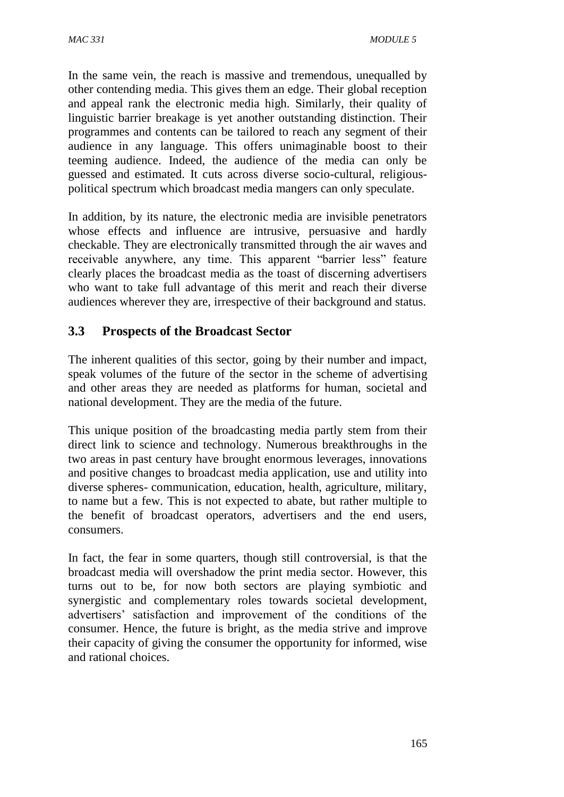In the same vein, the reach is massive and tremendous, unequalled by other contending media. This gives them an edge. Their global reception and appeal rank the electronic media high. Similarly, their quality of linguistic barrier breakage is yet another outstanding distinction. Their programmes and contents can be tailored to reach any segment of their audience in any language. This offers unimaginable boost to their teeming audience. Indeed, the audience of the media can only be guessed and estimated. It cuts across diverse socio-cultural, religiouspolitical spectrum which broadcast media mangers can only speculate.

In addition, by its nature, the electronic media are invisible penetrators whose effects and influence are intrusive, persuasive and hardly checkable. They are electronically transmitted through the air waves and receivable anywhere, any time. This apparent "barrier less" feature clearly places the broadcast media as the toast of discerning advertisers who want to take full advantage of this merit and reach their diverse audiences wherever they are, irrespective of their background and status.

# **3.3 Prospects of the Broadcast Sector**

The inherent qualities of this sector, going by their number and impact, speak volumes of the future of the sector in the scheme of advertising and other areas they are needed as platforms for human, societal and national development. They are the media of the future.

This unique position of the broadcasting media partly stem from their direct link to science and technology. Numerous breakthroughs in the two areas in past century have brought enormous leverages, innovations and positive changes to broadcast media application, use and utility into diverse spheres- communication, education, health, agriculture, military, to name but a few. This is not expected to abate, but rather multiple to the benefit of broadcast operators, advertisers and the end users, consumers.

In fact, the fear in some quarters, though still controversial, is that the broadcast media will overshadow the print media sector. However, this turns out to be, for now both sectors are playing symbiotic and synergistic and complementary roles towards societal development, advertisers' satisfaction and improvement of the conditions of the consumer. Hence, the future is bright, as the media strive and improve their capacity of giving the consumer the opportunity for informed, wise and rational choices.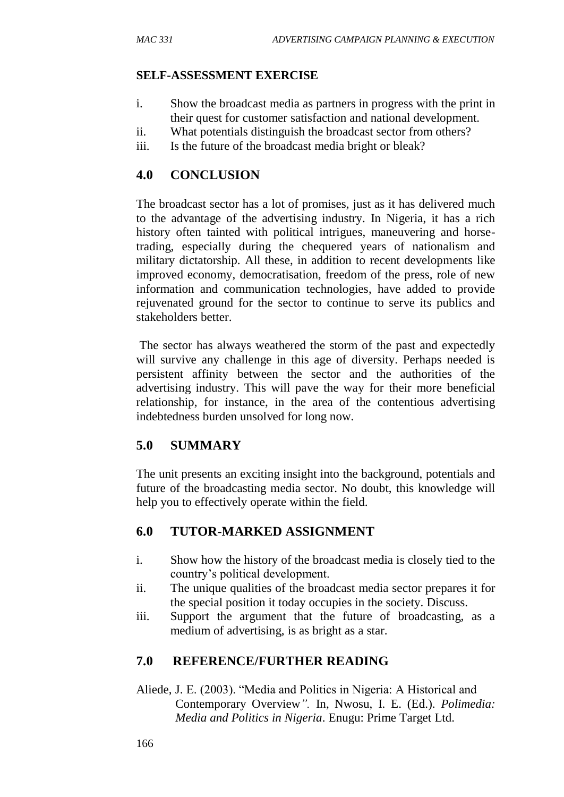#### **SELF-ASSESSMENT EXERCISE**

- i. Show the broadcast media as partners in progress with the print in their quest for customer satisfaction and national development.
- ii. What potentials distinguish the broadcast sector from others?
- iii. Is the future of the broadcast media bright or bleak?

# **4.0 CONCLUSION**

The broadcast sector has a lot of promises, just as it has delivered much to the advantage of the advertising industry. In Nigeria, it has a rich history often tainted with political intrigues, maneuvering and horsetrading, especially during the chequered years of nationalism and military dictatorship. All these, in addition to recent developments like improved economy, democratisation, freedom of the press, role of new information and communication technologies, have added to provide rejuvenated ground for the sector to continue to serve its publics and stakeholders better.

The sector has always weathered the storm of the past and expectedly will survive any challenge in this age of diversity. Perhaps needed is persistent affinity between the sector and the authorities of the advertising industry. This will pave the way for their more beneficial relationship, for instance, in the area of the contentious advertising indebtedness burden unsolved for long now.

# **5.0 SUMMARY**

The unit presents an exciting insight into the background, potentials and future of the broadcasting media sector. No doubt, this knowledge will help you to effectively operate within the field.

# **6.0 TUTOR-MARKED ASSIGNMENT**

- i. Show how the history of the broadcast media is closely tied to the country's political development.
- ii. The unique qualities of the broadcast media sector prepares it for the special position it today occupies in the society. Discuss.
- iii. Support the argument that the future of broadcasting, as a medium of advertising, is as bright as a star.

# **7.0 REFERENCE/FURTHER READING**

Aliede, J. E. (2003). "Media and Politics in Nigeria: A Historical and Contemporary Overview*".* In, Nwosu, I. E. (Ed.). *Polimedia: Media and Politics in Nigeria*. Enugu: Prime Target Ltd.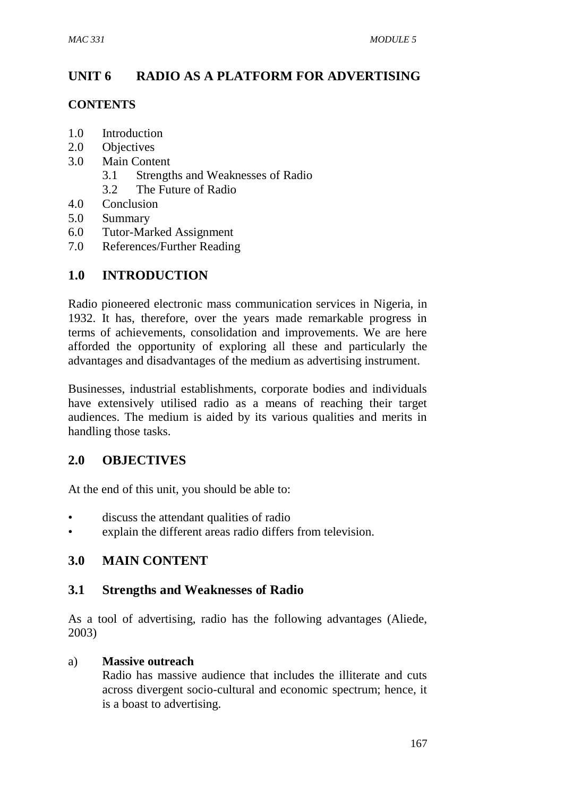# **UNIT 6 RADIO AS A PLATFORM FOR ADVERTISING**

### **CONTENTS**

- 1.0 Introduction
- 2.0 Objectives
- 3.0 Main Content
	- 3.1 Strengths and Weaknesses of Radio
	- 3.2 The Future of Radio
- 4.0 Conclusion
- 5.0 Summary
- 6.0 Tutor-Marked Assignment
- 7.0 References/Further Reading

# **1.0 INTRODUCTION**

Radio pioneered electronic mass communication services in Nigeria, in 1932. It has, therefore, over the years made remarkable progress in terms of achievements, consolidation and improvements. We are here afforded the opportunity of exploring all these and particularly the advantages and disadvantages of the medium as advertising instrument.

Businesses, industrial establishments, corporate bodies and individuals have extensively utilised radio as a means of reaching their target audiences. The medium is aided by its various qualities and merits in handling those tasks.

### **2.0 OBJECTIVES**

At the end of this unit, you should be able to:

- discuss the attendant qualities of radio
- explain the different areas radio differs from television.

### **3.0 MAIN CONTENT**

### **3.1 Strengths and Weaknesses of Radio**

As a tool of advertising, radio has the following advantages (Aliede, 2003)

#### a) **Massive outreach**

Radio has massive audience that includes the illiterate and cuts across divergent socio-cultural and economic spectrum; hence, it is a boast to advertising.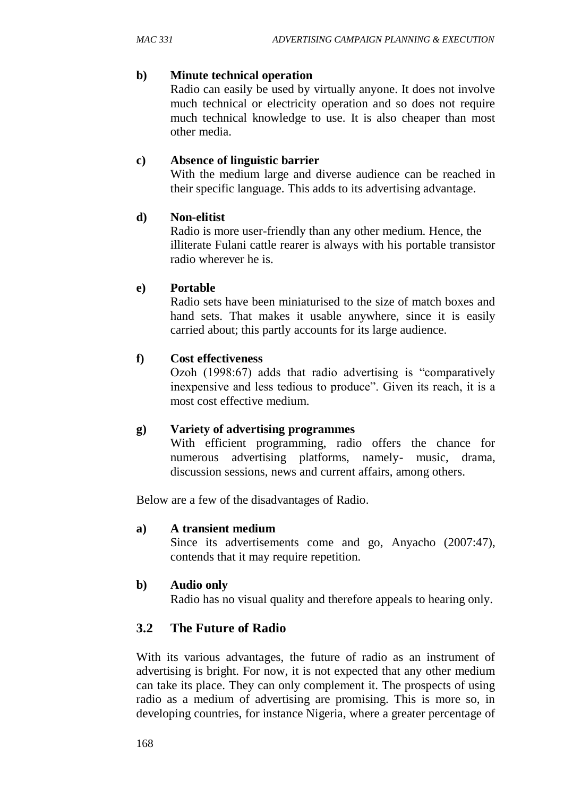#### **b) Minute technical operation**

Radio can easily be used by virtually anyone. It does not involve much technical or electricity operation and so does not require much technical knowledge to use. It is also cheaper than most other media.

#### **c) Absence of linguistic barrier**

With the medium large and diverse audience can be reached in their specific language. This adds to its advertising advantage.

#### **d) Non-elitist**

 Radio is more user-friendly than any other medium. Hence, the illiterate Fulani cattle rearer is always with his portable transistor radio wherever he is.

#### **e) Portable**

Radio sets have been miniaturised to the size of match boxes and hand sets. That makes it usable anywhere, since it is easily carried about; this partly accounts for its large audience.

#### **f) Cost effectiveness**

Ozoh (1998:67) adds that radio advertising is "comparatively inexpensive and less tedious to produce". Given its reach, it is a most cost effective medium.

### **g) Variety of advertising programmes**

With efficient programming, radio offers the chance for numerous advertising platforms, namely- music, drama, discussion sessions, news and current affairs, among others.

Below are a few of the disadvantages of Radio.

#### **a) A transient medium**

Since its advertisements come and go, Anyacho (2007:47), contends that it may require repetition.

### **b) Audio only**

Radio has no visual quality and therefore appeals to hearing only.

# **3.2 The Future of Radio**

With its various advantages, the future of radio as an instrument of advertising is bright. For now, it is not expected that any other medium can take its place. They can only complement it. The prospects of using radio as a medium of advertising are promising. This is more so, in developing countries, for instance Nigeria, where a greater percentage of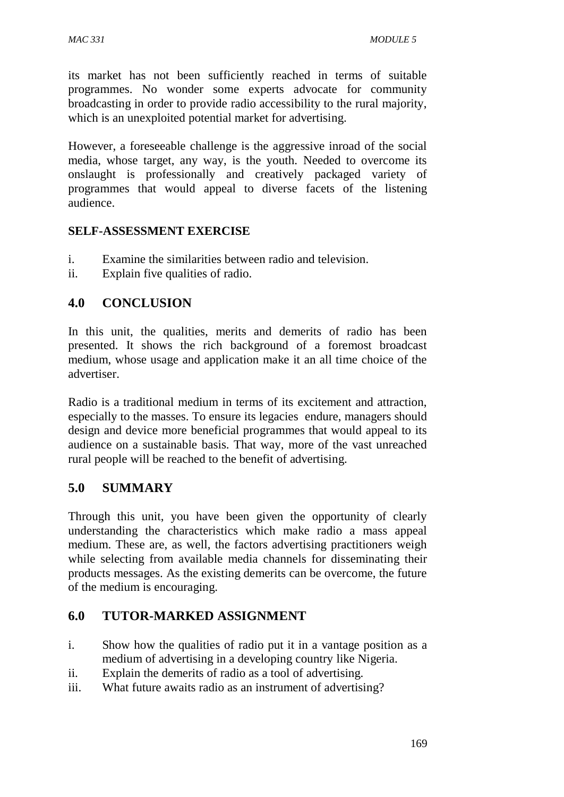its market has not been sufficiently reached in terms of suitable programmes. No wonder some experts advocate for community broadcasting in order to provide radio accessibility to the rural majority, which is an unexploited potential market for advertising.

However, a foreseeable challenge is the aggressive inroad of the social media, whose target, any way, is the youth. Needed to overcome its onslaught is professionally and creatively packaged variety of programmes that would appeal to diverse facets of the listening audience.

## **SELF-ASSESSMENT EXERCISE**

- i. Examine the similarities between radio and television.
- ii. Explain five qualities of radio.

# **4.0 CONCLUSION**

In this unit, the qualities, merits and demerits of radio has been presented. It shows the rich background of a foremost broadcast medium, whose usage and application make it an all time choice of the advertiser.

Radio is a traditional medium in terms of its excitement and attraction, especially to the masses. To ensure its legacies endure, managers should design and device more beneficial programmes that would appeal to its audience on a sustainable basis. That way, more of the vast unreached rural people will be reached to the benefit of advertising.

# **5.0 SUMMARY**

Through this unit, you have been given the opportunity of clearly understanding the characteristics which make radio a mass appeal medium. These are, as well, the factors advertising practitioners weigh while selecting from available media channels for disseminating their products messages. As the existing demerits can be overcome, the future of the medium is encouraging.

# **6.0 TUTOR-MARKED ASSIGNMENT**

- i. Show how the qualities of radio put it in a vantage position as a medium of advertising in a developing country like Nigeria.
- ii. Explain the demerits of radio as a tool of advertising.
- iii. What future awaits radio as an instrument of advertising?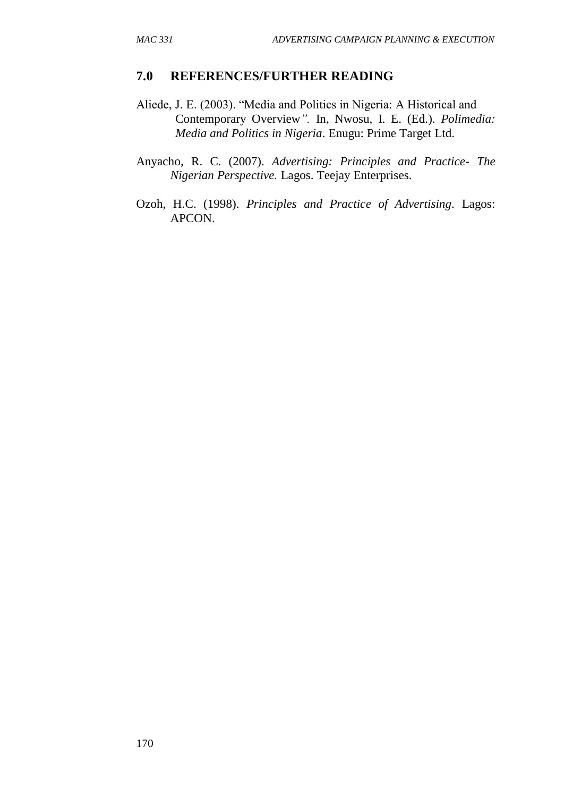#### **7.0 REFERENCES/FURTHER READING**

- Aliede, J. E. (2003). "Media and Politics in Nigeria: A Historical and Contemporary Overview*".* In, Nwosu, I. E. (Ed.). *Polimedia: Media and Politics in Nigeria*. Enugu: Prime Target Ltd.
- Anyacho, R. C. (2007). *Advertising: Principles and Practice- The Nigerian Perspective.* Lagos. Teejay Enterprises.
- Ozoh, H.C. (1998). *Principles and Practice of Advertising*. Lagos: APCON.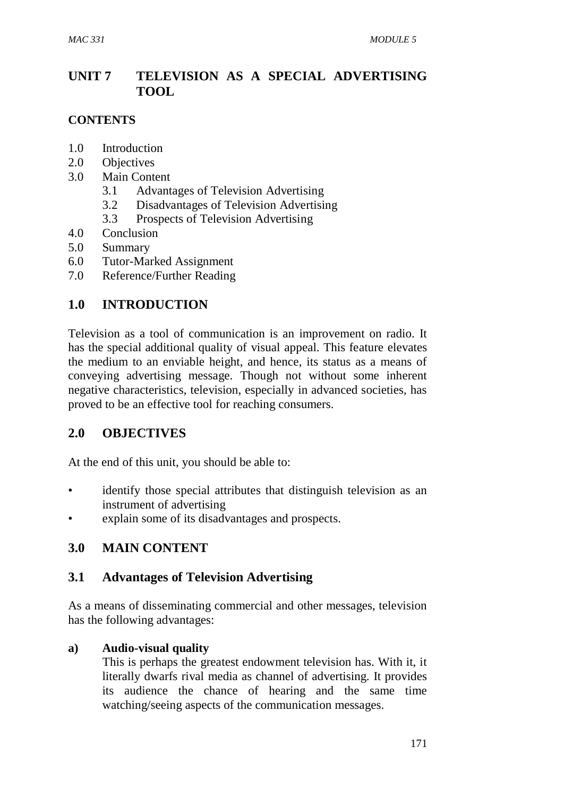# **UNIT 7 TELEVISION AS A SPECIAL ADVERTISING TOOL**

## **CONTENTS**

- 1.0 Introduction
- 2.0 Objectives
- 3.0 Main Content
	- 3.1 Advantages of Television Advertising
	- 3.2 Disadvantages of Television Advertising
	- 3.3 Prospects of Television Advertising
- 4.0 Conclusion
- 5.0 Summary
- 6.0 Tutor-Marked Assignment
- 7.0 Reference/Further Reading

# **1.0 INTRODUCTION**

Television as a tool of communication is an improvement on radio. It has the special additional quality of visual appeal. This feature elevates the medium to an enviable height, and hence, its status as a means of conveying advertising message. Though not without some inherent negative characteristics, television, especially in advanced societies, has proved to be an effective tool for reaching consumers.

# **2.0 OBJECTIVES**

At the end of this unit, you should be able to:

- identify those special attributes that distinguish television as an instrument of advertising
- explain some of its disadvantages and prospects.

# **3.0 MAIN CONTENT**

# **3.1 Advantages of Television Advertising**

As a means of disseminating commercial and other messages, television has the following advantages:

### **a) Audio-visual quality**

This is perhaps the greatest endowment television has. With it, it literally dwarfs rival media as channel of advertising. It provides its audience the chance of hearing and the same time watching/seeing aspects of the communication messages.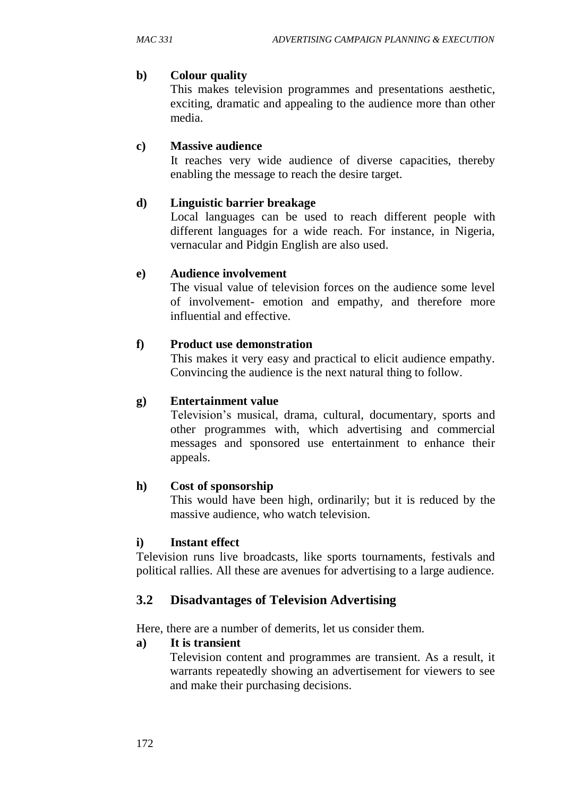## **b) Colour quality**

This makes television programmes and presentations aesthetic, exciting, dramatic and appealing to the audience more than other media.

# **c) Massive audience**

It reaches very wide audience of diverse capacities, thereby enabling the message to reach the desire target.

## **d) Linguistic barrier breakage**

Local languages can be used to reach different people with different languages for a wide reach. For instance, in Nigeria, vernacular and Pidgin English are also used.

### **e) Audience involvement**

The visual value of television forces on the audience some level of involvement- emotion and empathy, and therefore more influential and effective.

## **f) Product use demonstration**

This makes it very easy and practical to elicit audience empathy. Convincing the audience is the next natural thing to follow.

### **g) Entertainment value**

Television's musical, drama, cultural, documentary, sports and other programmes with, which advertising and commercial messages and sponsored use entertainment to enhance their appeals.

### **h) Cost of sponsorship**

This would have been high, ordinarily; but it is reduced by the massive audience, who watch television.

### **i) Instant effect**

Television runs live broadcasts, like sports tournaments, festivals and political rallies. All these are avenues for advertising to a large audience.

# **3.2 Disadvantages of Television Advertising**

Here, there are a number of demerits, let us consider them.

### **a) It is transient**

Television content and programmes are transient. As a result, it warrants repeatedly showing an advertisement for viewers to see and make their purchasing decisions.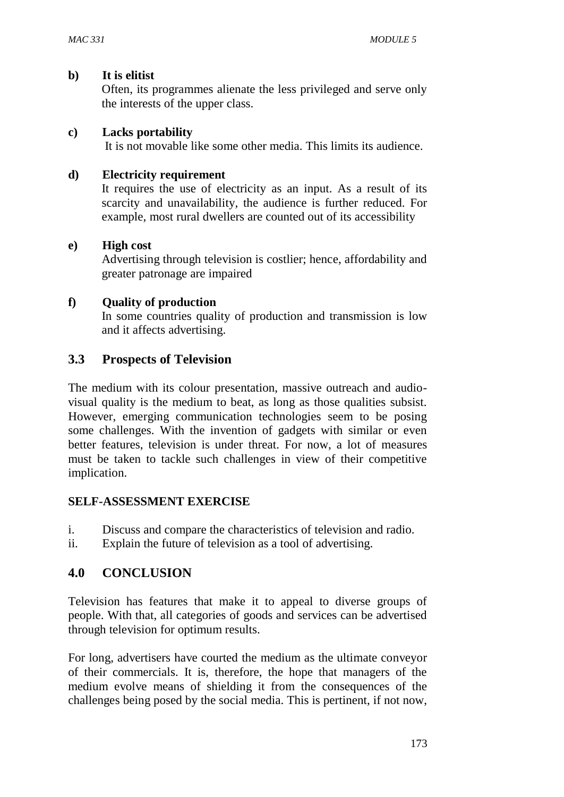#### **b) It is elitist**

Often, its programmes alienate the less privileged and serve only the interests of the upper class.

#### **c) Lacks portability**

It is not movable like some other media. This limits its audience.

#### **d) Electricity requirement**

It requires the use of electricity as an input. As a result of its scarcity and unavailability, the audience is further reduced. For example, most rural dwellers are counted out of its accessibility

#### **e) High cost**

Advertising through television is costlier; hence, affordability and greater patronage are impaired

### **f) Quality of production**

In some countries quality of production and transmission is low and it affects advertising.

## **3.3 Prospects of Television**

The medium with its colour presentation, massive outreach and audiovisual quality is the medium to beat, as long as those qualities subsist. However, emerging communication technologies seem to be posing some challenges. With the invention of gadgets with similar or even better features, television is under threat. For now, a lot of measures must be taken to tackle such challenges in view of their competitive implication.

#### **SELF-ASSESSMENT EXERCISE**

- i. Discuss and compare the characteristics of television and radio.
- ii. Explain the future of television as a tool of advertising.

# **4.0 CONCLUSION**

Television has features that make it to appeal to diverse groups of people. With that, all categories of goods and services can be advertised through television for optimum results.

For long, advertisers have courted the medium as the ultimate conveyor of their commercials. It is, therefore, the hope that managers of the medium evolve means of shielding it from the consequences of the challenges being posed by the social media. This is pertinent, if not now,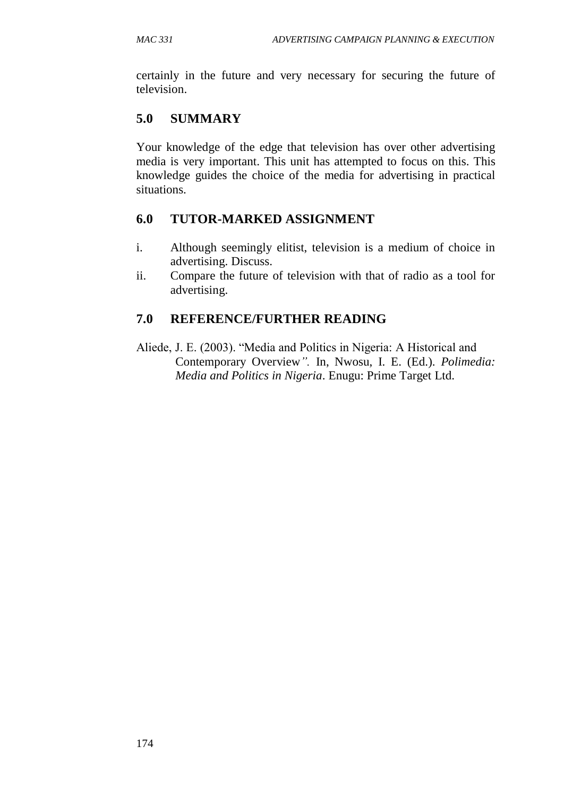certainly in the future and very necessary for securing the future of television.

# **5.0 SUMMARY**

Your knowledge of the edge that television has over other advertising media is very important. This unit has attempted to focus on this. This knowledge guides the choice of the media for advertising in practical situations.

# **6.0 TUTOR-MARKED ASSIGNMENT**

- i. Although seemingly elitist, television is a medium of choice in advertising. Discuss.
- ii. Compare the future of television with that of radio as a tool for advertising.

# **7.0 REFERENCE/FURTHER READING**

Aliede, J. E. (2003). "Media and Politics in Nigeria: A Historical and Contemporary Overview*".* In, Nwosu, I. E. (Ed.). *Polimedia: Media and Politics in Nigeria*. Enugu: Prime Target Ltd.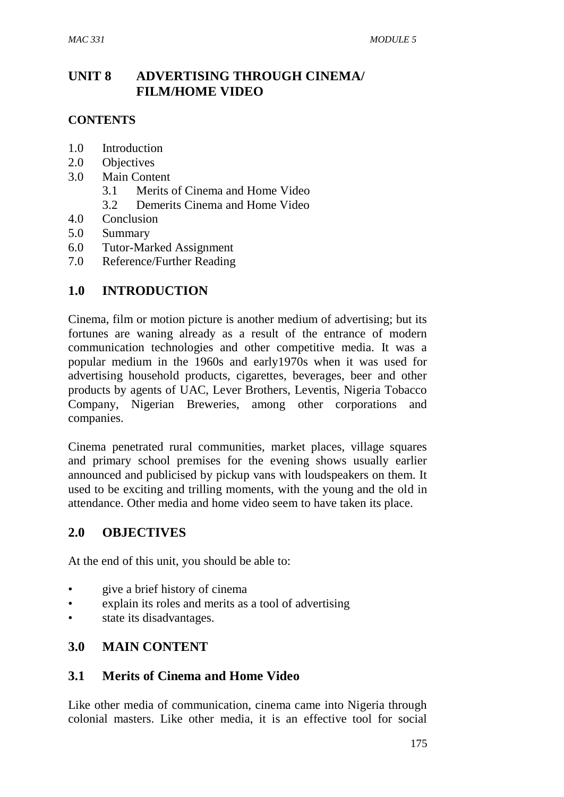# **UNIT 8 ADVERTISING THROUGH CINEMA/ FILM/HOME VIDEO**

### **CONTENTS**

- 1.0 Introduction
- 2.0 Objectives
- 3.0 Main Content
	- 3.1 Merits of Cinema and Home Video
	- 3.2 Demerits Cinema and Home Video
- 4.0 Conclusion
- 5.0 Summary
- 6.0 Tutor-Marked Assignment
- 7.0 Reference/Further Reading

## **1.0 INTRODUCTION**

Cinema, film or motion picture is another medium of advertising; but its fortunes are waning already as a result of the entrance of modern communication technologies and other competitive media. It was a popular medium in the 1960s and early1970s when it was used for advertising household products, cigarettes, beverages, beer and other products by agents of UAC, Lever Brothers, Leventis, Nigeria Tobacco Company, Nigerian Breweries, among other corporations and companies.

Cinema penetrated rural communities, market places, village squares and primary school premises for the evening shows usually earlier announced and publicised by pickup vans with loudspeakers on them. It used to be exciting and trilling moments, with the young and the old in attendance. Other media and home video seem to have taken its place.

### **2.0 OBJECTIVES**

At the end of this unit, you should be able to:

- give a brief history of cinema
- explain its roles and merits as a tool of advertising
- state its disadvantages.

### **3.0 MAIN CONTENT**

### **3.1 Merits of Cinema and Home Video**

Like other media of communication, cinema came into Nigeria through colonial masters. Like other media, it is an effective tool for social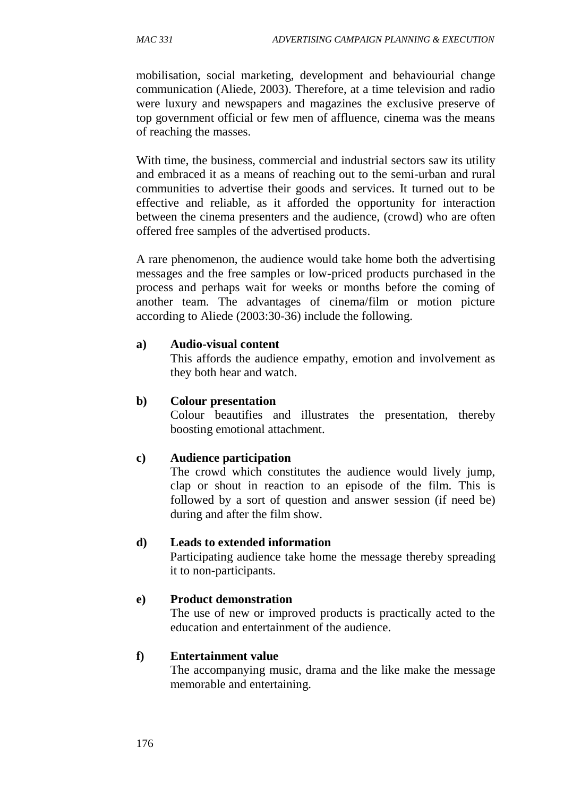mobilisation, social marketing, development and behaviourial change communication (Aliede, 2003). Therefore, at a time television and radio were luxury and newspapers and magazines the exclusive preserve of top government official or few men of affluence, cinema was the means of reaching the masses.

With time, the business, commercial and industrial sectors saw its utility and embraced it as a means of reaching out to the semi-urban and rural communities to advertise their goods and services. It turned out to be effective and reliable, as it afforded the opportunity for interaction between the cinema presenters and the audience, (crowd) who are often offered free samples of the advertised products.

A rare phenomenon, the audience would take home both the advertising messages and the free samples or low-priced products purchased in the process and perhaps wait for weeks or months before the coming of another team. The advantages of cinema/film or motion picture according to Aliede (2003:30-36) include the following.

#### **a) Audio-visual content**

This affords the audience empathy, emotion and involvement as they both hear and watch.

#### **b) Colour presentation**

Colour beautifies and illustrates the presentation, thereby boosting emotional attachment.

#### **c) Audience participation**

The crowd which constitutes the audience would lively jump, clap or shout in reaction to an episode of the film. This is followed by a sort of question and answer session (if need be) during and after the film show.

#### **d) Leads to extended information**

Participating audience take home the message thereby spreading it to non-participants.

#### **e) Product demonstration**

The use of new or improved products is practically acted to the education and entertainment of the audience.

#### **f) Entertainment value**

The accompanying music, drama and the like make the message memorable and entertaining.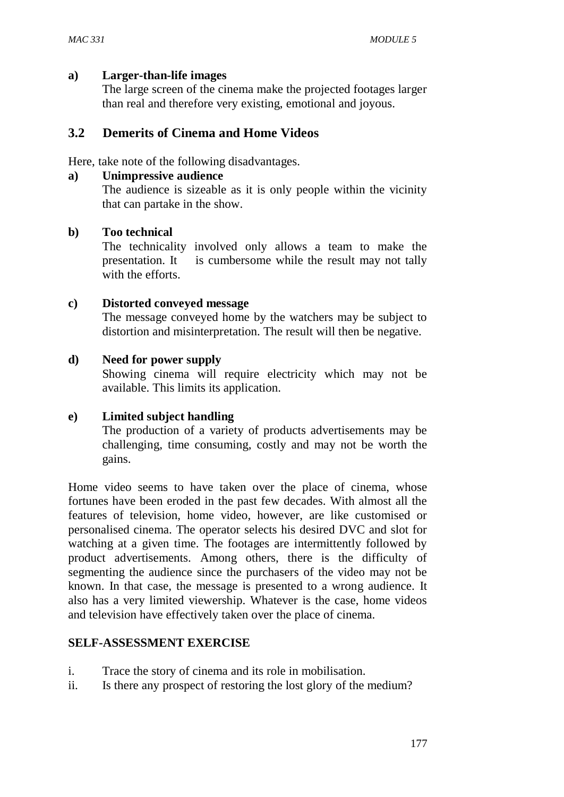#### **a) Larger-than-life images**

The large screen of the cinema make the projected footages larger than real and therefore very existing, emotional and joyous.

#### **3.2 Demerits of Cinema and Home Videos**

Here, take note of the following disadvantages.

#### **a) Unimpressive audience**

The audience is sizeable as it is only people within the vicinity that can partake in the show.

#### **b) Too technical**

The technicality involved only allows a team to make the presentation. It is cumbersome while the result may not tally with the efforts.

#### **c) Distorted conveyed message**

The message conveyed home by the watchers may be subject to distortion and misinterpretation. The result will then be negative.

#### **d) Need for power supply**

Showing cinema will require electricity which may not be available. This limits its application.

#### **e) Limited subject handling**

The production of a variety of products advertisements may be challenging, time consuming, costly and may not be worth the gains.

Home video seems to have taken over the place of cinema, whose fortunes have been eroded in the past few decades. With almost all the features of television, home video, however, are like customised or personalised cinema. The operator selects his desired DVC and slot for watching at a given time. The footages are intermittently followed by product advertisements. Among others, there is the difficulty of segmenting the audience since the purchasers of the video may not be known. In that case, the message is presented to a wrong audience. It also has a very limited viewership. Whatever is the case, home videos and television have effectively taken over the place of cinema.

#### **SELF-ASSESSMENT EXERCISE**

- i. Trace the story of cinema and its role in mobilisation.
- ii. Is there any prospect of restoring the lost glory of the medium?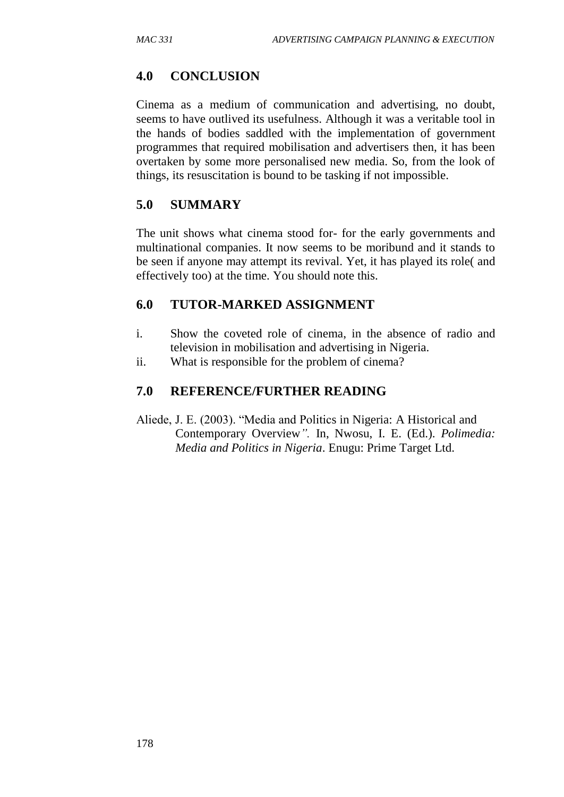# **4.0 CONCLUSION**

Cinema as a medium of communication and advertising, no doubt, seems to have outlived its usefulness. Although it was a veritable tool in the hands of bodies saddled with the implementation of government programmes that required mobilisation and advertisers then, it has been overtaken by some more personalised new media. So, from the look of things, its resuscitation is bound to be tasking if not impossible.

# **5.0 SUMMARY**

The unit shows what cinema stood for- for the early governments and multinational companies. It now seems to be moribund and it stands to be seen if anyone may attempt its revival. Yet, it has played its role( and effectively too) at the time. You should note this.

# **6.0 TUTOR-MARKED ASSIGNMENT**

- i. Show the coveted role of cinema, in the absence of radio and television in mobilisation and advertising in Nigeria.
- ii. What is responsible for the problem of cinema?

# **7.0 REFERENCE/FURTHER READING**

Aliede, J. E. (2003). "Media and Politics in Nigeria: A Historical and Contemporary Overview*".* In, Nwosu, I. E. (Ed.). *Polimedia: Media and Politics in Nigeria*. Enugu: Prime Target Ltd.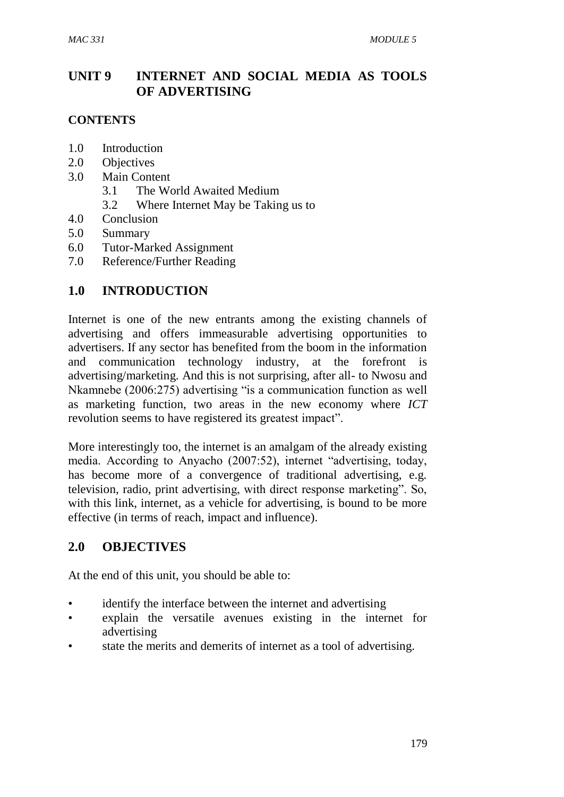# **UNIT 9 INTERNET AND SOCIAL MEDIA AS TOOLS OF ADVERTISING**

### **CONTENTS**

- 1.0 Introduction
- 2.0 Objectives
- 3.0 Main Content
	- 3.1 The World Awaited Medium
	- 3.2 Where Internet May be Taking us to
- 4.0 Conclusion
- 5.0 Summary
- 6.0 Tutor-Marked Assignment
- 7.0 Reference/Further Reading

## **1.0 INTRODUCTION**

Internet is one of the new entrants among the existing channels of advertising and offers immeasurable advertising opportunities to advertisers. If any sector has benefited from the boom in the information and communication technology industry, at the forefront is advertising/marketing. And this is not surprising, after all- to Nwosu and Nkamnebe (2006:275) advertising "is a communication function as well as marketing function, two areas in the new economy where *ICT* revolution seems to have registered its greatest impact".

More interestingly too, the internet is an amalgam of the already existing media. According to Anyacho (2007:52), internet "advertising, today, has become more of a convergence of traditional advertising, e.g. television, radio, print advertising, with direct response marketing". So, with this link, internet, as a vehicle for advertising, is bound to be more effective (in terms of reach, impact and influence).

# **2.0 OBJECTIVES**

At the end of this unit, you should be able to:

- identify the interface between the internet and advertising
- explain the versatile avenues existing in the internet for advertising
- state the merits and demerits of internet as a tool of advertising.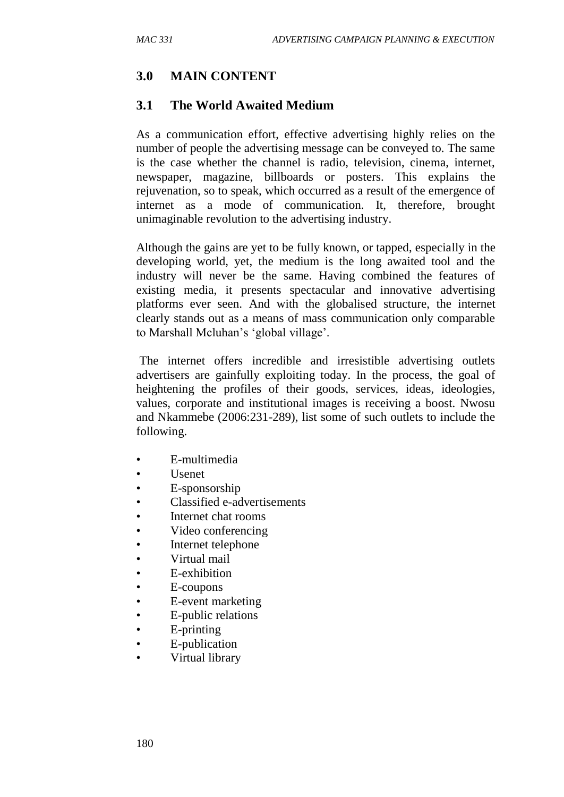# **3.0 MAIN CONTENT**

### **3.1 The World Awaited Medium**

As a communication effort, effective advertising highly relies on the number of people the advertising message can be conveyed to. The same is the case whether the channel is radio, television, cinema, internet, newspaper, magazine, billboards or posters. This explains the rejuvenation, so to speak, which occurred as a result of the emergence of internet as a mode of communication. It, therefore, brought unimaginable revolution to the advertising industry.

Although the gains are yet to be fully known, or tapped, especially in the developing world, yet, the medium is the long awaited tool and the industry will never be the same. Having combined the features of existing media, it presents spectacular and innovative advertising platforms ever seen. And with the globalised structure, the internet clearly stands out as a means of mass communication only comparable to Marshall Mcluhan's 'global village'.

The internet offers incredible and irresistible advertising outlets advertisers are gainfully exploiting today. In the process, the goal of heightening the profiles of their goods, services, ideas, ideologies, values, corporate and institutional images is receiving a boost. Nwosu and Nkammebe (2006:231-289), list some of such outlets to include the following.

- E-multimedia
- Usenet
- E-sponsorship
- Classified e-advertisements
- Internet chat rooms
- Video conferencing
- Internet telephone
- Virtual mail
- E-exhibition
- E-coupons
- E-event marketing
- E-public relations
- E-printing
- E-publication
- Virtual library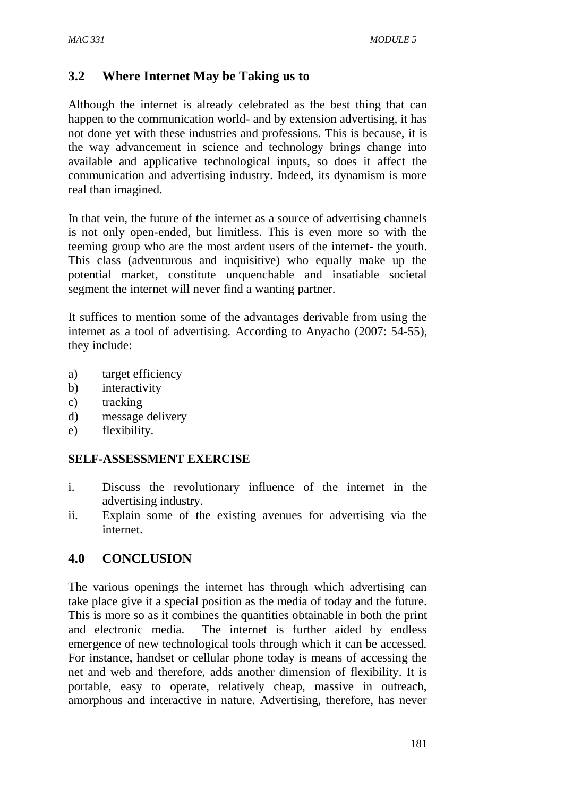## **3.2 Where Internet May be Taking us to**

Although the internet is already celebrated as the best thing that can happen to the communication world- and by extension advertising, it has not done yet with these industries and professions. This is because, it is the way advancement in science and technology brings change into available and applicative technological inputs, so does it affect the communication and advertising industry. Indeed, its dynamism is more real than imagined.

In that vein, the future of the internet as a source of advertising channels is not only open-ended, but limitless. This is even more so with the teeming group who are the most ardent users of the internet- the youth. This class (adventurous and inquisitive) who equally make up the potential market, constitute unquenchable and insatiable societal segment the internet will never find a wanting partner.

It suffices to mention some of the advantages derivable from using the internet as a tool of advertising. According to Anyacho (2007: 54-55), they include:

- a) target efficiency
- b) interactivity
- c) tracking
- d) message delivery
- e) flexibility.

### **SELF-ASSESSMENT EXERCISE**

- i. Discuss the revolutionary influence of the internet in the advertising industry.
- ii. Explain some of the existing avenues for advertising via the internet.

### **4.0 CONCLUSION**

The various openings the internet has through which advertising can take place give it a special position as the media of today and the future. This is more so as it combines the quantities obtainable in both the print and electronic media. The internet is further aided by endless emergence of new technological tools through which it can be accessed. For instance, handset or cellular phone today is means of accessing the net and web and therefore, adds another dimension of flexibility. It is portable, easy to operate, relatively cheap, massive in outreach, amorphous and interactive in nature. Advertising, therefore, has never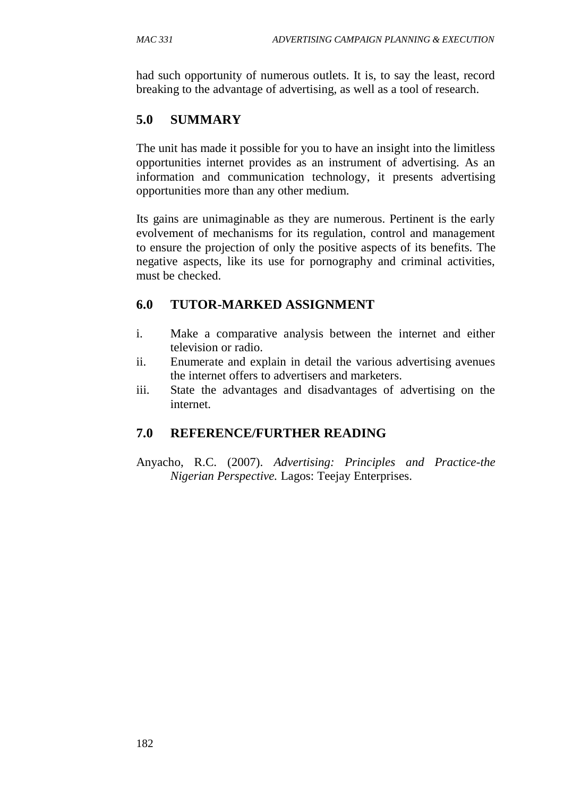had such opportunity of numerous outlets. It is, to say the least, record breaking to the advantage of advertising, as well as a tool of research.

# **5.0 SUMMARY**

The unit has made it possible for you to have an insight into the limitless opportunities internet provides as an instrument of advertising. As an information and communication technology, it presents advertising opportunities more than any other medium.

Its gains are unimaginable as they are numerous. Pertinent is the early evolvement of mechanisms for its regulation, control and management to ensure the projection of only the positive aspects of its benefits. The negative aspects, like its use for pornography and criminal activities, must be checked.

# **6.0 TUTOR-MARKED ASSIGNMENT**

- i. Make a comparative analysis between the internet and either television or radio.
- ii. Enumerate and explain in detail the various advertising avenues the internet offers to advertisers and marketers.
- iii. State the advantages and disadvantages of advertising on the internet.

# **7.0 REFERENCE/FURTHER READING**

Anyacho, R.C. (2007). *Advertising: Principles and Practice-the Nigerian Perspective.* Lagos: Teejay Enterprises.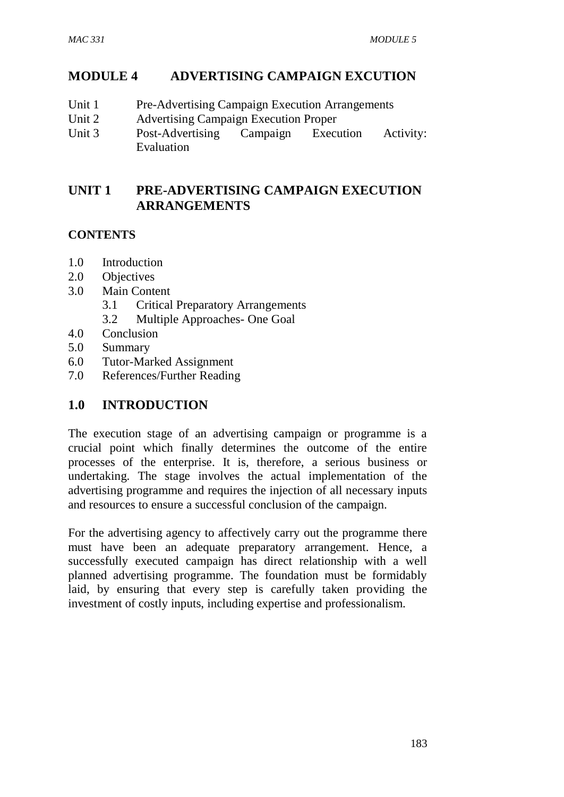# **MODULE 4 ADVERTISING CAMPAIGN EXCUTION**

- Unit 1 Pre-Advertising Campaign Execution Arrangements
- Unit 2 Advertising Campaign Execution Proper
- Unit 3 Post-Advertising Campaign Execution Activity: Evaluation

# **UNIT 1 PRE-ADVERTISING CAMPAIGN EXECUTION ARRANGEMENTS**

## **CONTENTS**

- 1.0 Introduction
- 2.0 Objectives
- 3.0 Main Content
	- 3.1 Critical Preparatory Arrangements
	- 3.2 Multiple Approaches- One Goal
- 4.0 Conclusion
- 5.0 Summary
- 6.0 Tutor-Marked Assignment
- 7.0 References/Further Reading

# **1.0 INTRODUCTION**

The execution stage of an advertising campaign or programme is a crucial point which finally determines the outcome of the entire processes of the enterprise. It is, therefore, a serious business or undertaking. The stage involves the actual implementation of the advertising programme and requires the injection of all necessary inputs and resources to ensure a successful conclusion of the campaign.

For the advertising agency to affectively carry out the programme there must have been an adequate preparatory arrangement. Hence, a successfully executed campaign has direct relationship with a well planned advertising programme. The foundation must be formidably laid, by ensuring that every step is carefully taken providing the investment of costly inputs, including expertise and professionalism.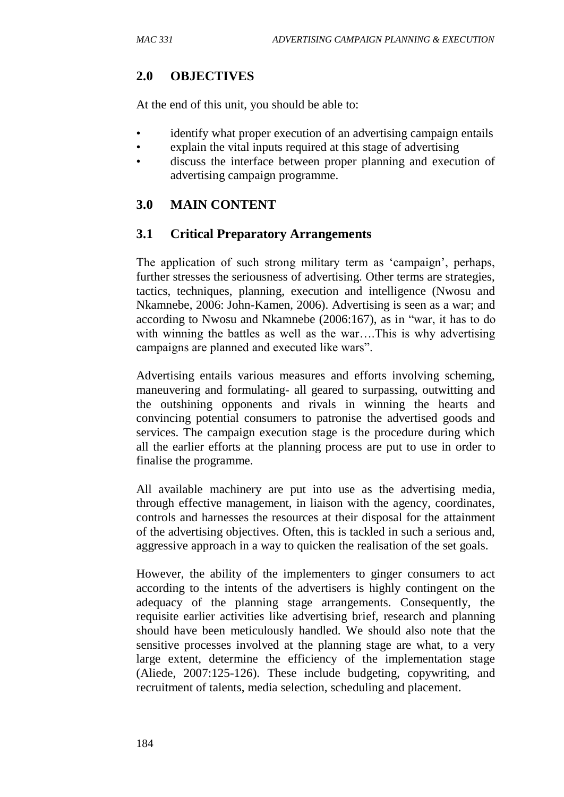# **2.0 OBJECTIVES**

At the end of this unit, you should be able to:

- identify what proper execution of an advertising campaign entails
- explain the vital inputs required at this stage of advertising
- discuss the interface between proper planning and execution of advertising campaign programme.

# **3.0 MAIN CONTENT**

## **3.1 Critical Preparatory Arrangements**

The application of such strong military term as 'campaign', perhaps, further stresses the seriousness of advertising. Other terms are strategies, tactics, techniques, planning, execution and intelligence (Nwosu and Nkamnebe, 2006: John-Kamen, 2006). Advertising is seen as a war; and according to Nwosu and Nkamnebe (2006:167), as in "war, it has to do with winning the battles as well as the war....This is why advertising campaigns are planned and executed like wars".

Advertising entails various measures and efforts involving scheming, maneuvering and formulating- all geared to surpassing, outwitting and the outshining opponents and rivals in winning the hearts and convincing potential consumers to patronise the advertised goods and services. The campaign execution stage is the procedure during which all the earlier efforts at the planning process are put to use in order to finalise the programme.

All available machinery are put into use as the advertising media, through effective management, in liaison with the agency, coordinates, controls and harnesses the resources at their disposal for the attainment of the advertising objectives. Often, this is tackled in such a serious and, aggressive approach in a way to quicken the realisation of the set goals.

However, the ability of the implementers to ginger consumers to act according to the intents of the advertisers is highly contingent on the adequacy of the planning stage arrangements. Consequently, the requisite earlier activities like advertising brief, research and planning should have been meticulously handled. We should also note that the sensitive processes involved at the planning stage are what, to a very large extent, determine the efficiency of the implementation stage (Aliede, 2007:125-126). These include budgeting, copywriting, and recruitment of talents, media selection, scheduling and placement.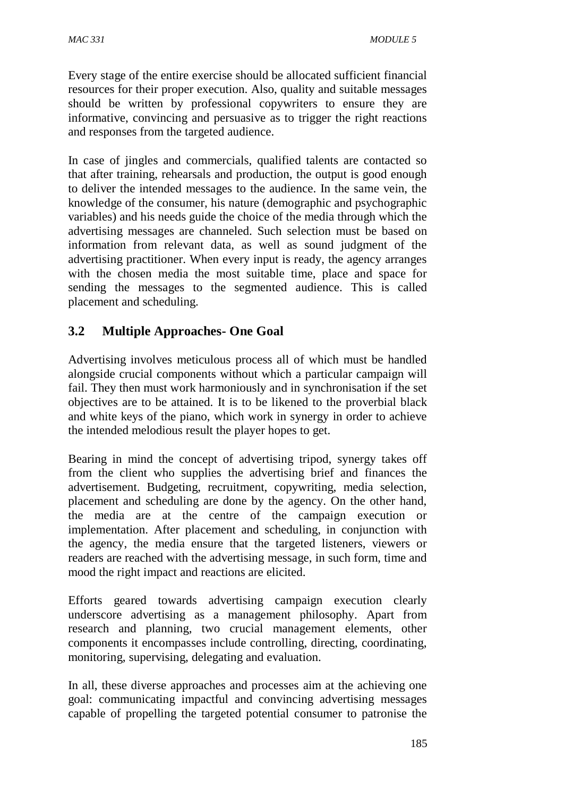Every stage of the entire exercise should be allocated sufficient financial resources for their proper execution. Also, quality and suitable messages should be written by professional copywriters to ensure they are informative, convincing and persuasive as to trigger the right reactions and responses from the targeted audience.

In case of jingles and commercials, qualified talents are contacted so that after training, rehearsals and production, the output is good enough to deliver the intended messages to the audience. In the same vein, the knowledge of the consumer, his nature (demographic and psychographic variables) and his needs guide the choice of the media through which the advertising messages are channeled. Such selection must be based on information from relevant data, as well as sound judgment of the advertising practitioner. When every input is ready, the agency arranges with the chosen media the most suitable time, place and space for sending the messages to the segmented audience. This is called placement and scheduling.

# **3.2 Multiple Approaches- One Goal**

Advertising involves meticulous process all of which must be handled alongside crucial components without which a particular campaign will fail. They then must work harmoniously and in synchronisation if the set objectives are to be attained. It is to be likened to the proverbial black and white keys of the piano, which work in synergy in order to achieve the intended melodious result the player hopes to get.

Bearing in mind the concept of advertising tripod, synergy takes off from the client who supplies the advertising brief and finances the advertisement. Budgeting, recruitment, copywriting, media selection, placement and scheduling are done by the agency. On the other hand, the media are at the centre of the campaign execution or implementation. After placement and scheduling, in conjunction with the agency, the media ensure that the targeted listeners, viewers or readers are reached with the advertising message, in such form, time and mood the right impact and reactions are elicited.

Efforts geared towards advertising campaign execution clearly underscore advertising as a management philosophy. Apart from research and planning, two crucial management elements, other components it encompasses include controlling, directing, coordinating, monitoring, supervising, delegating and evaluation.

In all, these diverse approaches and processes aim at the achieving one goal: communicating impactful and convincing advertising messages capable of propelling the targeted potential consumer to patronise the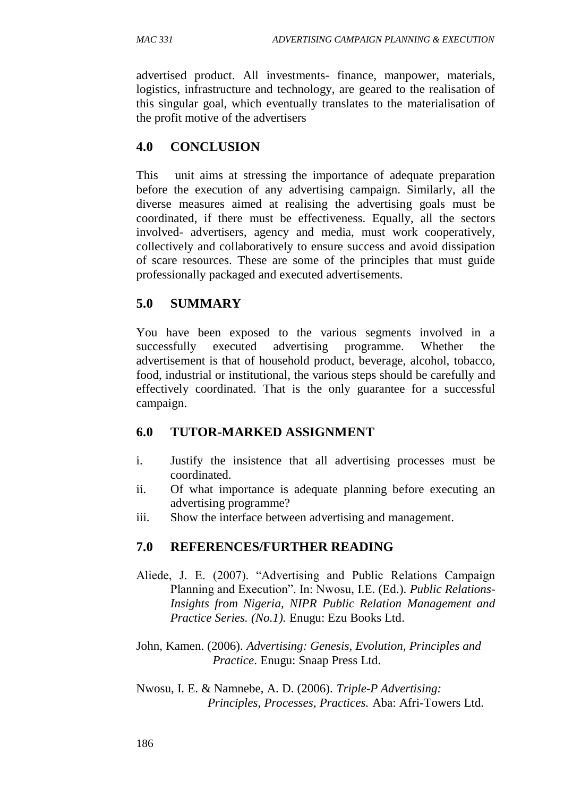advertised product. All investments- finance, manpower, materials, logistics, infrastructure and technology, are geared to the realisation of this singular goal, which eventually translates to the materialisation of the profit motive of the advertisers

# **4.0 CONCLUSION**

This unit aims at stressing the importance of adequate preparation before the execution of any advertising campaign. Similarly, all the diverse measures aimed at realising the advertising goals must be coordinated, if there must be effectiveness. Equally, all the sectors involved- advertisers, agency and media, must work cooperatively, collectively and collaboratively to ensure success and avoid dissipation of scare resources. These are some of the principles that must guide professionally packaged and executed advertisements.

# **5.0 SUMMARY**

You have been exposed to the various segments involved in a successfully executed advertising programme. Whether the advertisement is that of household product, beverage, alcohol, tobacco, food, industrial or institutional, the various steps should be carefully and effectively coordinated. That is the only guarantee for a successful campaign.

# **6.0 TUTOR-MARKED ASSIGNMENT**

- i. Justify the insistence that all advertising processes must be coordinated.
- ii. Of what importance is adequate planning before executing an advertising programme?
- iii. Show the interface between advertising and management.

# **7.0 REFERENCES/FURTHER READING**

Aliede, J. E. (2007). "Advertising and Public Relations Campaign Planning and Execution". In: Nwosu, I.E. (Ed.). *Public Relations-Insights from Nigeria, NIPR Public Relation Management and Practice Series. (No.1).* Enugu: Ezu Books Ltd.

John, Kamen. (2006). *Advertising: Genesis, Evolution, Principles and Practice*. Enugu: Snaap Press Ltd.

Nwosu, I. E. & Namnebe, A. D. (2006). *Triple-P Advertising: Principles, Processes, Practices.* Aba: Afri-Towers Ltd.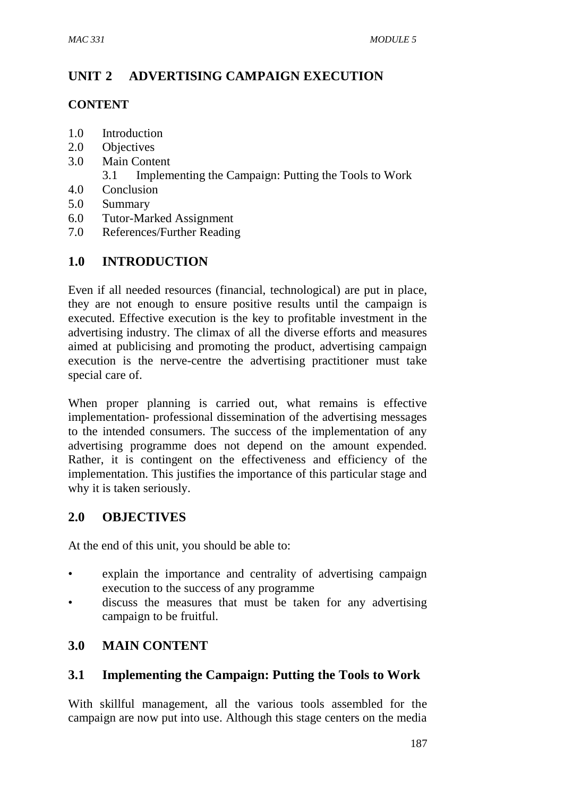# **UNIT 2 ADVERTISING CAMPAIGN EXECUTION**

## **CONTENT**

- 1.0 Introduction
- 2.0 Objectives
- 3.0 Main Content
	- 3.1 Implementing the Campaign: Putting the Tools to Work
- 4.0 Conclusion
- 5.0 Summary
- 6.0 Tutor-Marked Assignment
- 7.0 References/Further Reading

# **1.0 INTRODUCTION**

Even if all needed resources (financial, technological) are put in place, they are not enough to ensure positive results until the campaign is executed. Effective execution is the key to profitable investment in the advertising industry. The climax of all the diverse efforts and measures aimed at publicising and promoting the product, advertising campaign execution is the nerve-centre the advertising practitioner must take special care of.

When proper planning is carried out, what remains is effective implementation- professional dissemination of the advertising messages to the intended consumers. The success of the implementation of any advertising programme does not depend on the amount expended. Rather, it is contingent on the effectiveness and efficiency of the implementation. This justifies the importance of this particular stage and why it is taken seriously.

# **2.0 OBJECTIVES**

At the end of this unit, you should be able to:

- explain the importance and centrality of advertising campaign execution to the success of any programme
- discuss the measures that must be taken for any advertising campaign to be fruitful.

# **3.0 MAIN CONTENT**

# **3.1 Implementing the Campaign: Putting the Tools to Work**

With skillful management, all the various tools assembled for the campaign are now put into use. Although this stage centers on the media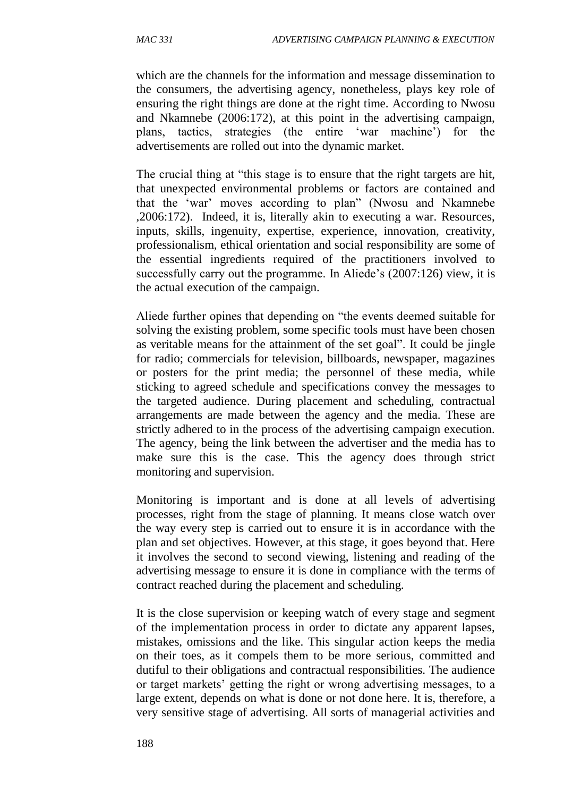which are the channels for the information and message dissemination to the consumers, the advertising agency, nonetheless, plays key role of ensuring the right things are done at the right time. According to Nwosu and Nkamnebe (2006:172), at this point in the advertising campaign, plans, tactics, strategies (the entire 'war machine') for the advertisements are rolled out into the dynamic market.

The crucial thing at "this stage is to ensure that the right targets are hit, that unexpected environmental problems or factors are contained and that the 'war' moves according to plan" (Nwosu and Nkamnebe ,2006:172). Indeed, it is, literally akin to executing a war. Resources, inputs, skills, ingenuity, expertise, experience, innovation, creativity, professionalism, ethical orientation and social responsibility are some of the essential ingredients required of the practitioners involved to successfully carry out the programme. In Aliede's (2007:126) view, it is the actual execution of the campaign.

Aliede further opines that depending on "the events deemed suitable for solving the existing problem, some specific tools must have been chosen as veritable means for the attainment of the set goal". It could be jingle for radio; commercials for television, billboards, newspaper, magazines or posters for the print media; the personnel of these media, while sticking to agreed schedule and specifications convey the messages to the targeted audience. During placement and scheduling, contractual arrangements are made between the agency and the media. These are strictly adhered to in the process of the advertising campaign execution. The agency, being the link between the advertiser and the media has to make sure this is the case. This the agency does through strict monitoring and supervision.

Monitoring is important and is done at all levels of advertising processes, right from the stage of planning. It means close watch over the way every step is carried out to ensure it is in accordance with the plan and set objectives. However, at this stage, it goes beyond that. Here it involves the second to second viewing, listening and reading of the advertising message to ensure it is done in compliance with the terms of contract reached during the placement and scheduling.

It is the close supervision or keeping watch of every stage and segment of the implementation process in order to dictate any apparent lapses, mistakes, omissions and the like. This singular action keeps the media on their toes, as it compels them to be more serious, committed and dutiful to their obligations and contractual responsibilities. The audience or target markets' getting the right or wrong advertising messages, to a large extent, depends on what is done or not done here. It is, therefore, a very sensitive stage of advertising. All sorts of managerial activities and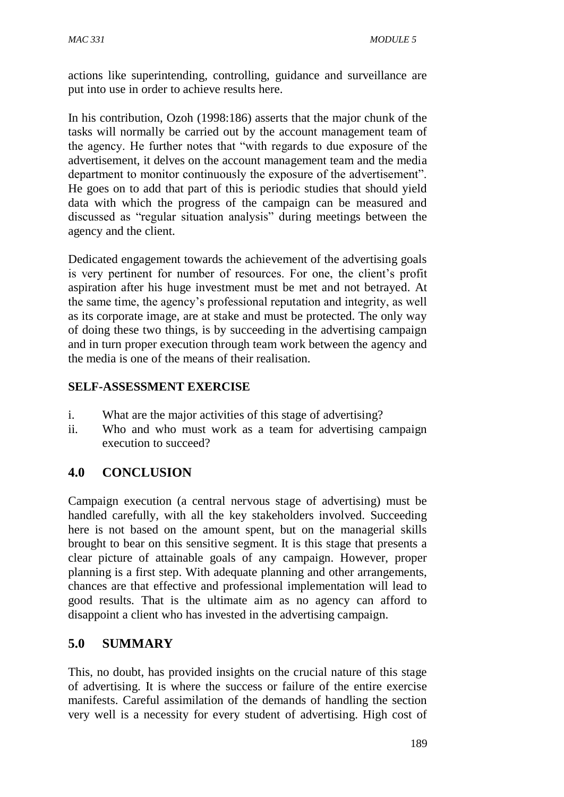actions like superintending, controlling, guidance and surveillance are put into use in order to achieve results here.

In his contribution, Ozoh (1998:186) asserts that the major chunk of the tasks will normally be carried out by the account management team of the agency. He further notes that "with regards to due exposure of the advertisement, it delves on the account management team and the media department to monitor continuously the exposure of the advertisement". He goes on to add that part of this is periodic studies that should yield data with which the progress of the campaign can be measured and discussed as "regular situation analysis" during meetings between the agency and the client.

Dedicated engagement towards the achievement of the advertising goals is very pertinent for number of resources. For one, the client's profit aspiration after his huge investment must be met and not betrayed. At the same time, the agency's professional reputation and integrity, as well as its corporate image, are at stake and must be protected. The only way of doing these two things, is by succeeding in the advertising campaign and in turn proper execution through team work between the agency and the media is one of the means of their realisation.

# **SELF-ASSESSMENT EXERCISE**

- i. What are the major activities of this stage of advertising?
- ii. Who and who must work as a team for advertising campaign execution to succeed?

# **4.0 CONCLUSION**

Campaign execution (a central nervous stage of advertising) must be handled carefully, with all the key stakeholders involved. Succeeding here is not based on the amount spent, but on the managerial skills brought to bear on this sensitive segment. It is this stage that presents a clear picture of attainable goals of any campaign. However, proper planning is a first step. With adequate planning and other arrangements, chances are that effective and professional implementation will lead to good results. That is the ultimate aim as no agency can afford to disappoint a client who has invested in the advertising campaign.

# **5.0 SUMMARY**

This, no doubt, has provided insights on the crucial nature of this stage of advertising. It is where the success or failure of the entire exercise manifests. Careful assimilation of the demands of handling the section very well is a necessity for every student of advertising. High cost of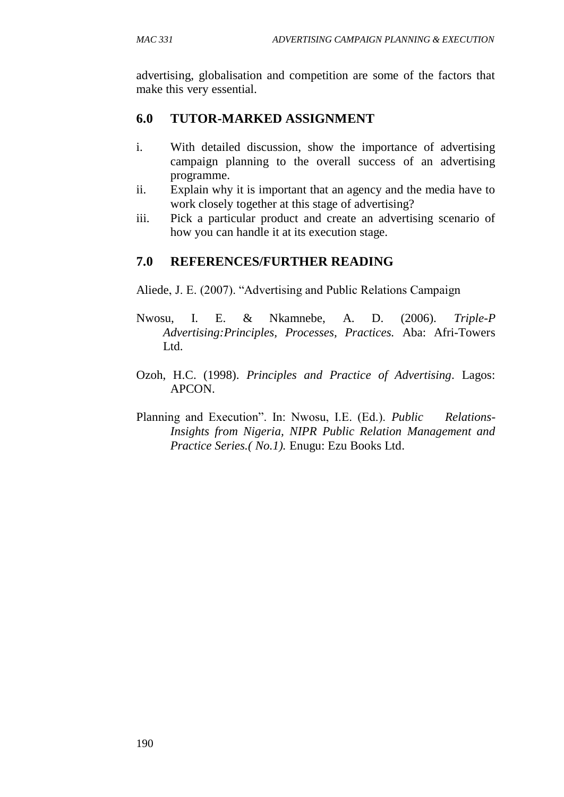advertising, globalisation and competition are some of the factors that make this very essential.

# **6.0 TUTOR-MARKED ASSIGNMENT**

- i. With detailed discussion, show the importance of advertising campaign planning to the overall success of an advertising programme.
- ii. Explain why it is important that an agency and the media have to work closely together at this stage of advertising?
- iii. Pick a particular product and create an advertising scenario of how you can handle it at its execution stage.

# **7.0 REFERENCES/FURTHER READING**

Aliede, J. E. (2007). "Advertising and Public Relations Campaign

- Nwosu, I. E. & Nkamnebe, A. D. (2006). *Triple-P Advertising:Principles, Processes, Practices.* Aba: Afri-Towers Ltd.
- Ozoh, H.C. (1998). *Principles and Practice of Advertising*. Lagos: APCON.
- Planning and Execution". In: Nwosu, I.E. (Ed.). *Public Relations-Insights from Nigeria, NIPR Public Relation Management and Practice Series.( No.1).* Enugu: Ezu Books Ltd.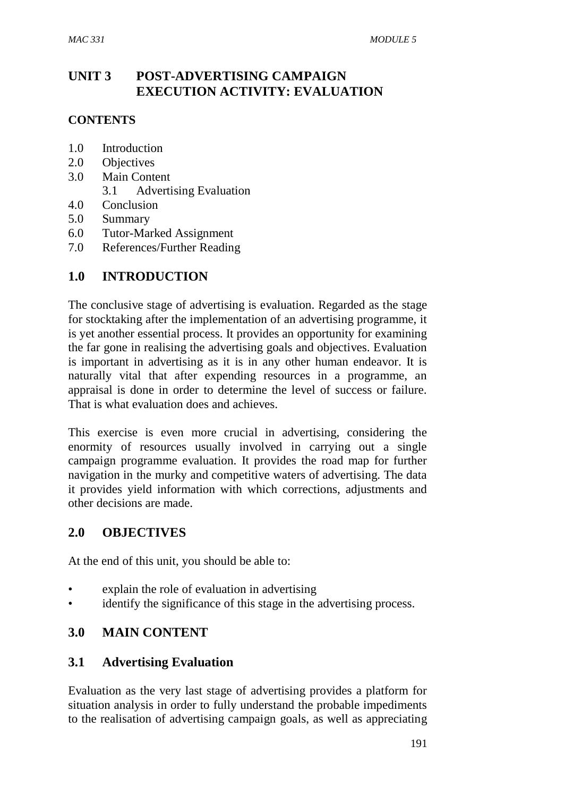# **UNIT 3 POST-ADVERTISING CAMPAIGN EXECUTION ACTIVITY: EVALUATION**

#### **CONTENTS**

- 1.0 Introduction
- 2.0 Objectives
- 3.0 Main Content
	- 3.1 Advertising Evaluation
- 4.0 Conclusion
- 5.0 Summary
- 6.0 Tutor-Marked Assignment
- 7.0 References/Further Reading

### **1.0 INTRODUCTION**

The conclusive stage of advertising is evaluation. Regarded as the stage for stocktaking after the implementation of an advertising programme, it is yet another essential process. It provides an opportunity for examining the far gone in realising the advertising goals and objectives. Evaluation is important in advertising as it is in any other human endeavor. It is naturally vital that after expending resources in a programme, an appraisal is done in order to determine the level of success or failure. That is what evaluation does and achieves.

This exercise is even more crucial in advertising, considering the enormity of resources usually involved in carrying out a single campaign programme evaluation. It provides the road map for further navigation in the murky and competitive waters of advertising. The data it provides yield information with which corrections, adjustments and other decisions are made.

#### **2.0 OBJECTIVES**

At the end of this unit, you should be able to:

- explain the role of evaluation in advertising
- identify the significance of this stage in the advertising process.

### **3.0 MAIN CONTENT**

#### **3.1 Advertising Evaluation**

Evaluation as the very last stage of advertising provides a platform for situation analysis in order to fully understand the probable impediments to the realisation of advertising campaign goals, as well as appreciating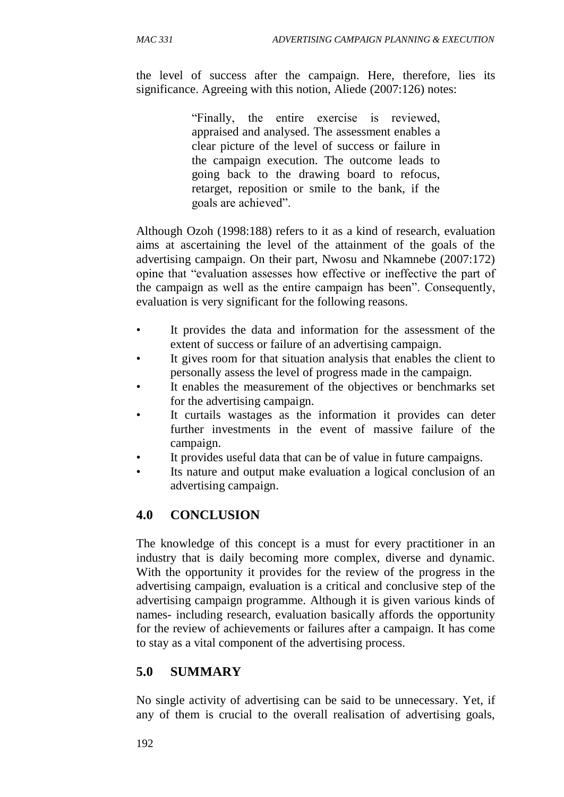the level of success after the campaign. Here, therefore, lies its significance. Agreeing with this notion, Aliede (2007:126) notes:

> "Finally, the entire exercise is reviewed, appraised and analysed. The assessment enables a clear picture of the level of success or failure in the campaign execution. The outcome leads to going back to the drawing board to refocus, retarget, reposition or smile to the bank, if the goals are achieved".

Although Ozoh (1998:188) refers to it as a kind of research, evaluation aims at ascertaining the level of the attainment of the goals of the advertising campaign. On their part, Nwosu and Nkamnebe (2007:172) opine that "evaluation assesses how effective or ineffective the part of the campaign as well as the entire campaign has been". Consequently, evaluation is very significant for the following reasons.

- It provides the data and information for the assessment of the extent of success or failure of an advertising campaign.
- It gives room for that situation analysis that enables the client to personally assess the level of progress made in the campaign.
- It enables the measurement of the objectives or benchmarks set for the advertising campaign.
- It curtails wastages as the information it provides can deter further investments in the event of massive failure of the campaign.
- It provides useful data that can be of value in future campaigns.
- Its nature and output make evaluation a logical conclusion of an advertising campaign.

# **4.0 CONCLUSION**

The knowledge of this concept is a must for every practitioner in an industry that is daily becoming more complex, diverse and dynamic. With the opportunity it provides for the review of the progress in the advertising campaign, evaluation is a critical and conclusive step of the advertising campaign programme. Although it is given various kinds of names- including research, evaluation basically affords the opportunity for the review of achievements or failures after a campaign. It has come to stay as a vital component of the advertising process.

### **5.0 SUMMARY**

No single activity of advertising can be said to be unnecessary. Yet, if any of them is crucial to the overall realisation of advertising goals,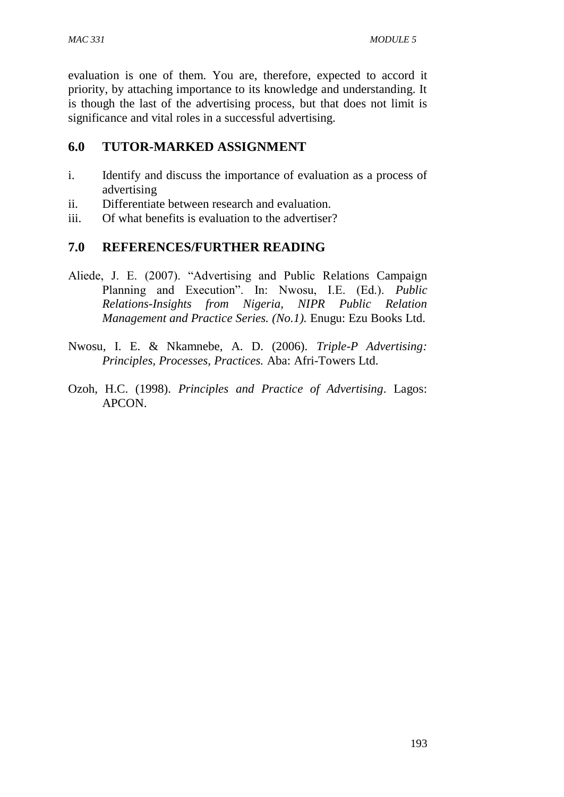evaluation is one of them. You are, therefore, expected to accord it priority, by attaching importance to its knowledge and understanding. It is though the last of the advertising process, but that does not limit is significance and vital roles in a successful advertising.

# **6.0 TUTOR-MARKED ASSIGNMENT**

- i. Identify and discuss the importance of evaluation as a process of advertising
- ii. Differentiate between research and evaluation.
- iii. Of what benefits is evaluation to the advertiser?

# **7.0 REFERENCES/FURTHER READING**

- Aliede, J. E. (2007). "Advertising and Public Relations Campaign Planning and Execution". In: Nwosu, I.E. (Ed.). *Public Relations-Insights from Nigeria, NIPR Public Relation Management and Practice Series. (No.1).* Enugu: Ezu Books Ltd.
- Nwosu, I. E. & Nkamnebe, A. D. (2006). *Triple-P Advertising: Principles, Processes, Practices.* Aba: Afri-Towers Ltd.
- Ozoh, H.C. (1998). *Principles and Practice of Advertising*. Lagos: APCON.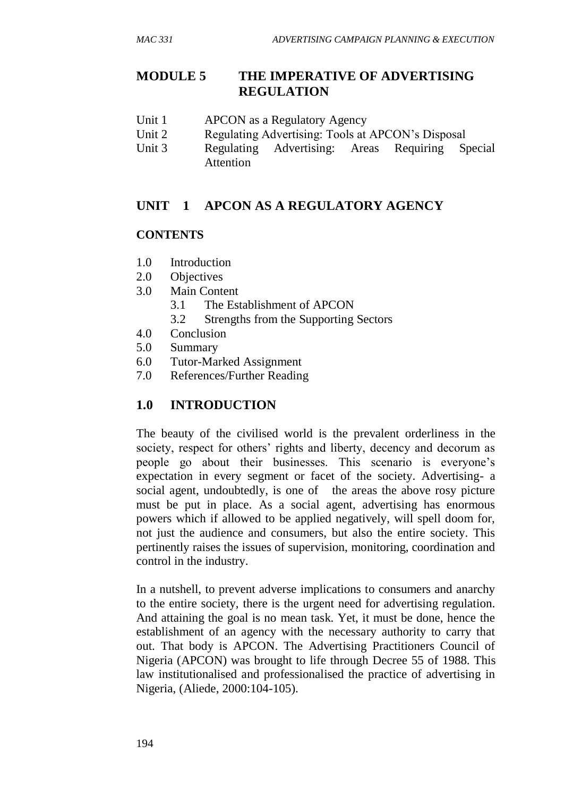# **MODULE 5 THE IMPERATIVE OF ADVERTISING REGULATION**

- Unit 1 APCON as a Regulatory Agency
- Unit 2 Regulating Advertising: Tools at APCON's Disposal
- Unit 3 Regulating Advertising: Areas Requiring Special Attention

# **UNIT 1 APCON AS A REGULATORY AGENCY**

## **CONTENTS**

- 1.0 Introduction
- 2.0 Objectives
- 3.0 Main Content
	- 3.1 The Establishment of APCON
	- 3.2 Strengths from the Supporting Sectors
- 4.0 Conclusion
- 5.0 Summary
- 6.0 Tutor-Marked Assignment
- 7.0 References/Further Reading

# **1.0 INTRODUCTION**

The beauty of the civilised world is the prevalent orderliness in the society, respect for others' rights and liberty, decency and decorum as people go about their businesses. This scenario is everyone's expectation in every segment or facet of the society. Advertising- a social agent, undoubtedly, is one of the areas the above rosy picture must be put in place. As a social agent, advertising has enormous powers which if allowed to be applied negatively, will spell doom for, not just the audience and consumers, but also the entire society. This pertinently raises the issues of supervision, monitoring, coordination and control in the industry.

In a nutshell, to prevent adverse implications to consumers and anarchy to the entire society, there is the urgent need for advertising regulation. And attaining the goal is no mean task. Yet, it must be done, hence the establishment of an agency with the necessary authority to carry that out. That body is APCON. The Advertising Practitioners Council of Nigeria (APCON) was brought to life through Decree 55 of 1988. This law institutionalised and professionalised the practice of advertising in Nigeria, (Aliede, 2000:104-105).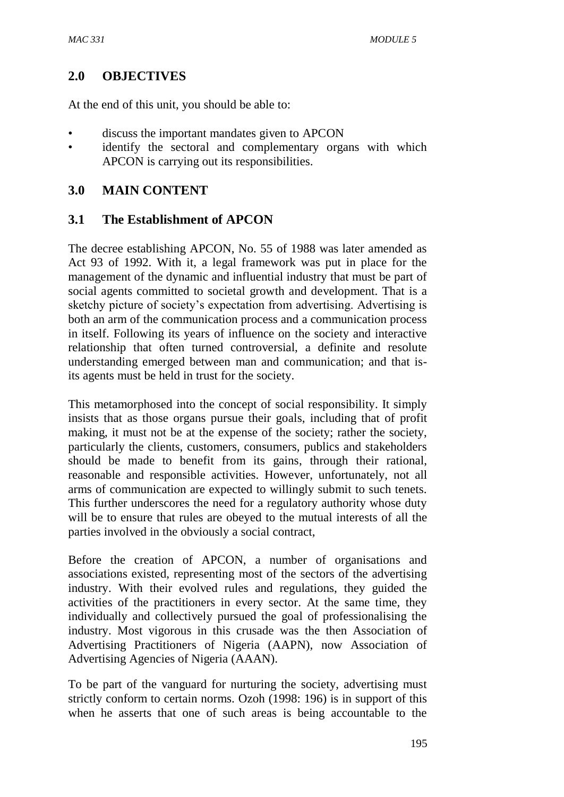#### **2.0 OBJECTIVES**

At the end of this unit, you should be able to:

- discuss the important mandates given to APCON
- identify the sectoral and complementary organs with which APCON is carrying out its responsibilities.

#### **3.0 MAIN CONTENT**

#### **3.1 The Establishment of APCON**

The decree establishing APCON, No. 55 of 1988 was later amended as Act 93 of 1992. With it, a legal framework was put in place for the management of the dynamic and influential industry that must be part of social agents committed to societal growth and development. That is a sketchy picture of society's expectation from advertising. Advertising is both an arm of the communication process and a communication process in itself. Following its years of influence on the society and interactive relationship that often turned controversial, a definite and resolute understanding emerged between man and communication; and that isits agents must be held in trust for the society.

This metamorphosed into the concept of social responsibility. It simply insists that as those organs pursue their goals, including that of profit making, it must not be at the expense of the society; rather the society, particularly the clients, customers, consumers, publics and stakeholders should be made to benefit from its gains, through their rational, reasonable and responsible activities. However, unfortunately, not all arms of communication are expected to willingly submit to such tenets. This further underscores the need for a regulatory authority whose duty will be to ensure that rules are obeyed to the mutual interests of all the parties involved in the obviously a social contract,

Before the creation of APCON, a number of organisations and associations existed, representing most of the sectors of the advertising industry. With their evolved rules and regulations, they guided the activities of the practitioners in every sector. At the same time, they individually and collectively pursued the goal of professionalising the industry. Most vigorous in this crusade was the then Association of Advertising Practitioners of Nigeria (AAPN), now Association of Advertising Agencies of Nigeria (AAAN).

To be part of the vanguard for nurturing the society, advertising must strictly conform to certain norms. Ozoh (1998: 196) is in support of this when he asserts that one of such areas is being accountable to the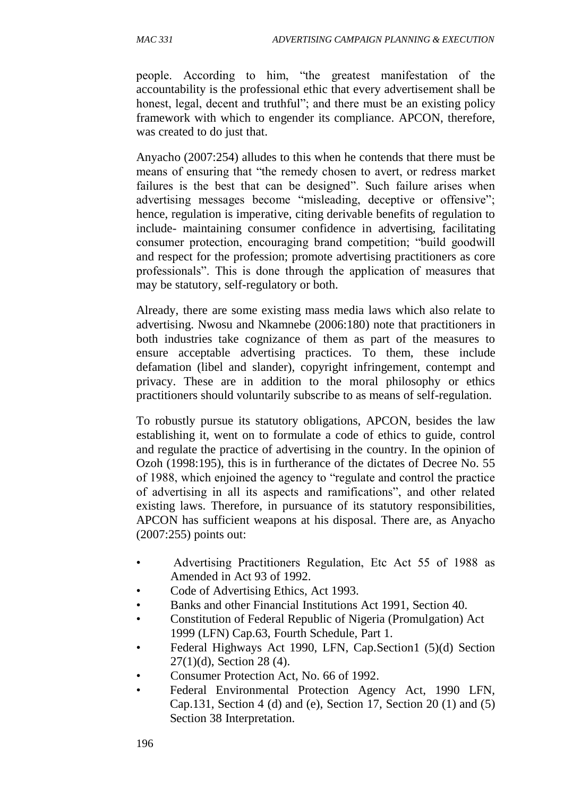people. According to him, "the greatest manifestation of the accountability is the professional ethic that every advertisement shall be honest, legal, decent and truthful"; and there must be an existing policy framework with which to engender its compliance. APCON, therefore, was created to do just that.

Anyacho (2007:254) alludes to this when he contends that there must be means of ensuring that "the remedy chosen to avert, or redress market failures is the best that can be designed". Such failure arises when advertising messages become "misleading, deceptive or offensive"; hence, regulation is imperative, citing derivable benefits of regulation to include- maintaining consumer confidence in advertising, facilitating consumer protection, encouraging brand competition; "build goodwill and respect for the profession; promote advertising practitioners as core professionals". This is done through the application of measures that may be statutory, self-regulatory or both.

Already, there are some existing mass media laws which also relate to advertising. Nwosu and Nkamnebe (2006:180) note that practitioners in both industries take cognizance of them as part of the measures to ensure acceptable advertising practices. To them, these include defamation (libel and slander), copyright infringement, contempt and privacy. These are in addition to the moral philosophy or ethics practitioners should voluntarily subscribe to as means of self-regulation.

To robustly pursue its statutory obligations, APCON, besides the law establishing it, went on to formulate a code of ethics to guide, control and regulate the practice of advertising in the country. In the opinion of Ozoh (1998:195), this is in furtherance of the dictates of Decree No. 55 of 1988, which enjoined the agency to "regulate and control the practice of advertising in all its aspects and ramifications", and other related existing laws. Therefore, in pursuance of its statutory responsibilities, APCON has sufficient weapons at his disposal. There are, as Anyacho (2007:255) points out:

- Advertising Practitioners Regulation, Etc Act 55 of 1988 as Amended in Act 93 of 1992.
- Code of Advertising Ethics, Act 1993.
- Banks and other Financial Institutions Act 1991, Section 40.
- Constitution of Federal Republic of Nigeria (Promulgation) Act 1999 (LFN) Cap.63, Fourth Schedule, Part 1.
- Federal Highways Act 1990, LFN, Cap. Section 1 (5)(d) Section 27(1)(d), Section 28 (4).
- Consumer Protection Act, No. 66 of 1992.
- Federal Environmental Protection Agency Act, 1990 LFN, Cap.131, Section 4 (d) and (e), Section 17, Section 20 (1) and (5) Section 38 Interpretation.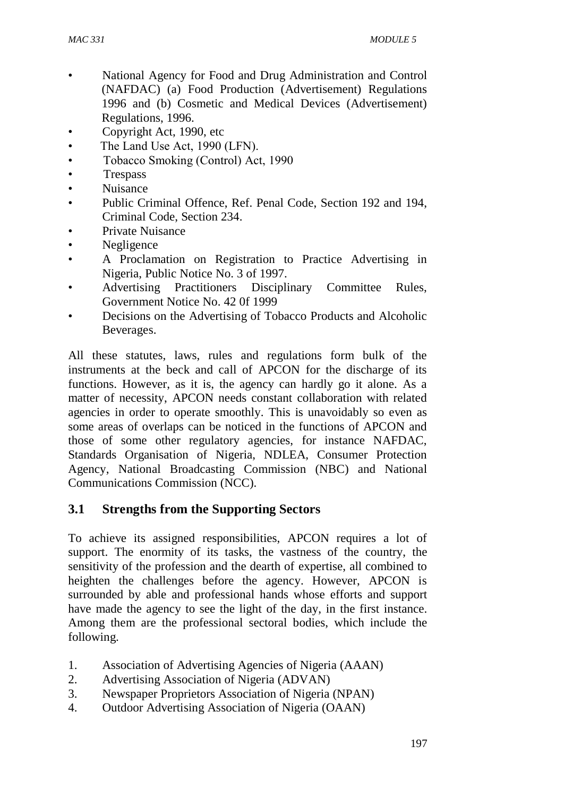- National Agency for Food and Drug Administration and Control (NAFDAC) (a) Food Production (Advertisement) Regulations 1996 and (b) Cosmetic and Medical Devices (Advertisement) Regulations, 1996.
- Copyright Act, 1990, etc
- The Land Use Act, 1990 (LFN).
- Tobacco Smoking (Control) Act, 1990
- **Trespass**
- Nuisance
- Public Criminal Offence, Ref. Penal Code, Section 192 and 194, Criminal Code, Section 234.
- Private Nuisance
- Negligence
- A Proclamation on Registration to Practice Advertising in Nigeria, Public Notice No. 3 of 1997.
- Advertising Practitioners Disciplinary Committee Rules, Government Notice No. 42 0f 1999
- Decisions on the Advertising of Tobacco Products and Alcoholic Beverages.

All these statutes, laws, rules and regulations form bulk of the instruments at the beck and call of APCON for the discharge of its functions. However, as it is, the agency can hardly go it alone. As a matter of necessity, APCON needs constant collaboration with related agencies in order to operate smoothly. This is unavoidably so even as some areas of overlaps can be noticed in the functions of APCON and those of some other regulatory agencies, for instance NAFDAC, Standards Organisation of Nigeria, NDLEA, Consumer Protection Agency, National Broadcasting Commission (NBC) and National Communications Commission (NCC).

### **3.1 Strengths from the Supporting Sectors**

To achieve its assigned responsibilities, APCON requires a lot of support. The enormity of its tasks, the vastness of the country, the sensitivity of the profession and the dearth of expertise, all combined to heighten the challenges before the agency. However, APCON is surrounded by able and professional hands whose efforts and support have made the agency to see the light of the day, in the first instance. Among them are the professional sectoral bodies, which include the following.

- 1. Association of Advertising Agencies of Nigeria (AAAN)
- 2. Advertising Association of Nigeria (ADVAN)
- 3. Newspaper Proprietors Association of Nigeria (NPAN)
- 4. Outdoor Advertising Association of Nigeria (OAAN)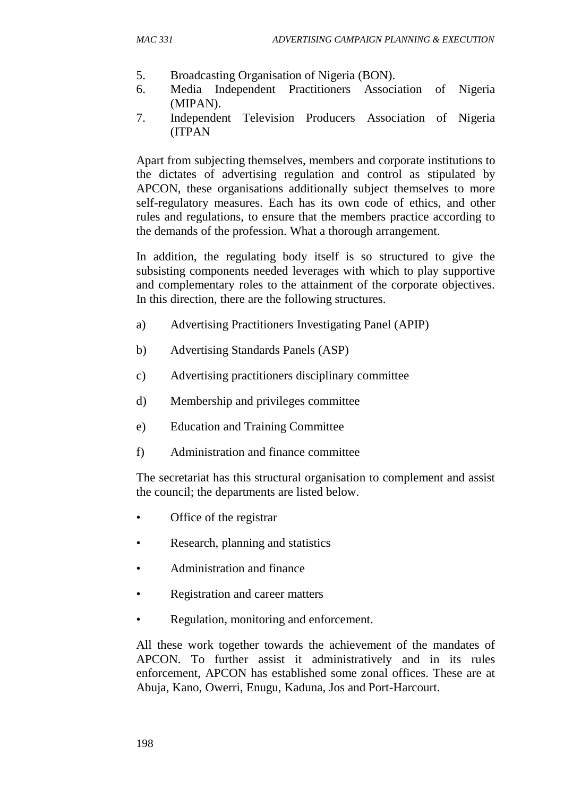- 5. Broadcasting Organisation of Nigeria (BON).
- 6. Media Independent Practitioners Association of Nigeria (MIPAN).
- 7. Independent Television Producers Association of Nigeria (ITPAN

Apart from subjecting themselves, members and corporate institutions to the dictates of advertising regulation and control as stipulated by APCON, these organisations additionally subject themselves to more self-regulatory measures. Each has its own code of ethics, and other rules and regulations, to ensure that the members practice according to the demands of the profession. What a thorough arrangement.

In addition, the regulating body itself is so structured to give the subsisting components needed leverages with which to play supportive and complementary roles to the attainment of the corporate objectives. In this direction, there are the following structures.

- a) Advertising Practitioners Investigating Panel (APIP)
- b) Advertising Standards Panels (ASP)
- c) Advertising practitioners disciplinary committee
- d) Membership and privileges committee
- e) Education and Training Committee
- f) Administration and finance committee

The secretariat has this structural organisation to complement and assist the council; the departments are listed below.

- Office of the registrar
- Research, planning and statistics
- Administration and finance
- Registration and career matters
- Regulation, monitoring and enforcement.

All these work together towards the achievement of the mandates of APCON. To further assist it administratively and in its rules enforcement, APCON has established some zonal offices. These are at Abuja, Kano, Owerri, Enugu, Kaduna, Jos and Port-Harcourt.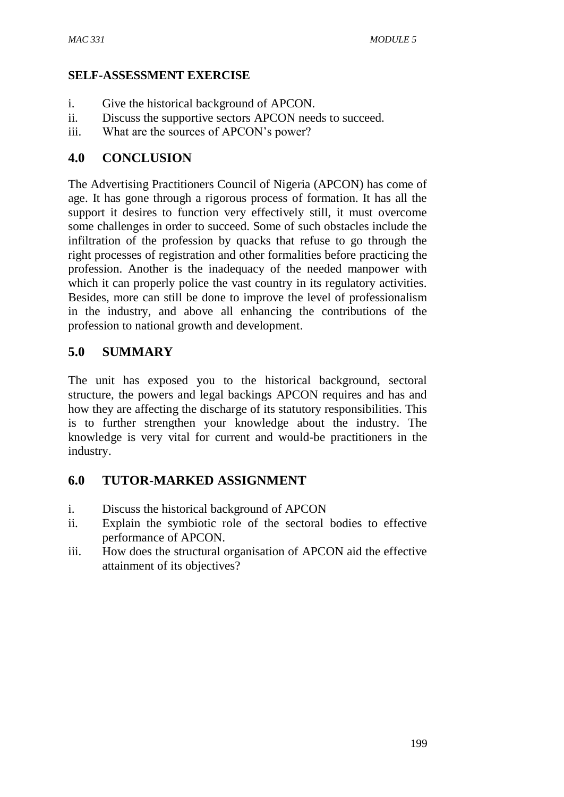#### **SELF-ASSESSMENT EXERCISE**

- i. Give the historical background of APCON.
- ii. Discuss the supportive sectors APCON needs to succeed.
- iii. What are the sources of APCON's power?

### **4.0 CONCLUSION**

The Advertising Practitioners Council of Nigeria (APCON) has come of age. It has gone through a rigorous process of formation. It has all the support it desires to function very effectively still, it must overcome some challenges in order to succeed. Some of such obstacles include the infiltration of the profession by quacks that refuse to go through the right processes of registration and other formalities before practicing the profession. Another is the inadequacy of the needed manpower with which it can properly police the vast country in its regulatory activities. Besides, more can still be done to improve the level of professionalism in the industry, and above all enhancing the contributions of the profession to national growth and development.

# **5.0 SUMMARY**

The unit has exposed you to the historical background, sectoral structure, the powers and legal backings APCON requires and has and how they are affecting the discharge of its statutory responsibilities. This is to further strengthen your knowledge about the industry. The knowledge is very vital for current and would-be practitioners in the industry.

# **6.0 TUTOR-MARKED ASSIGNMENT**

- i. Discuss the historical background of APCON
- ii. Explain the symbiotic role of the sectoral bodies to effective performance of APCON.
- iii. How does the structural organisation of APCON aid the effective attainment of its objectives?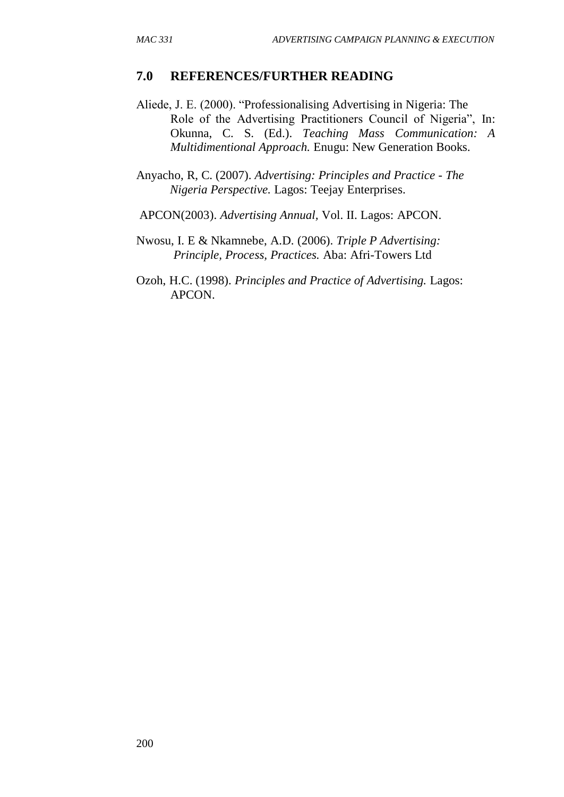#### **7.0 REFERENCES/FURTHER READING**

Aliede, J. E. (2000). "Professionalising Advertising in Nigeria: The Role of the Advertising Practitioners Council of Nigeria", In: Okunna, C. S. (Ed.). *Teaching Mass Communication: A Multidimentional Approach.* Enugu: New Generation Books.

Anyacho, R, C. (2007). *Advertising: Principles and Practice - The Nigeria Perspective.* Lagos: Teejay Enterprises.

APCON(2003). *Advertising Annual,* Vol. II. Lagos: APCON.

Nwosu, I. E & Nkamnebe, A.D. (2006). *Triple P Advertising: Principle, Process, Practices.* Aba: Afri-Towers Ltd

Ozoh, H.C. (1998). *Principles and Practice of Advertising.* Lagos: APCON.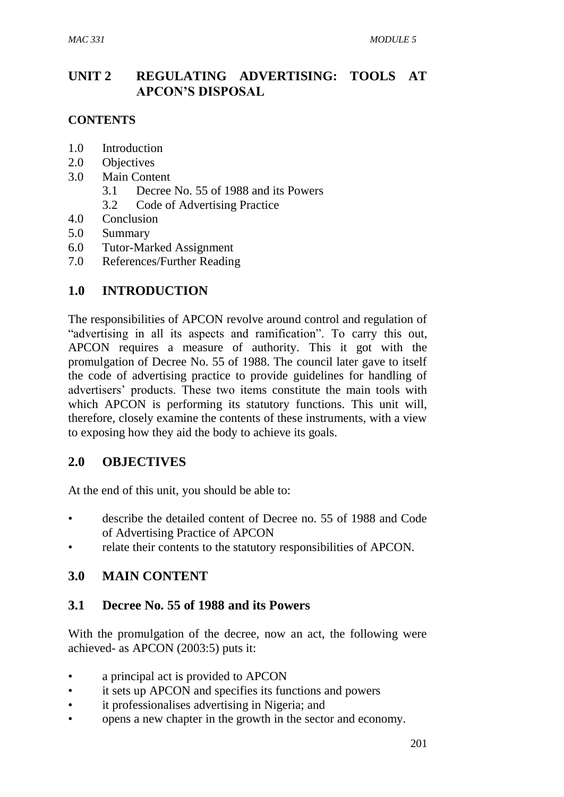# **UNIT 2 REGULATING ADVERTISING: TOOLS AT APCON'S DISPOSAL**

#### **CONTENTS**

- 1.0 Introduction
- 2.0 Objectives
- 3.0 Main Content
	- 3.1 Decree No. 55 of 1988 and its Powers
	- 3.2 Code of Advertising Practice
- 4.0 Conclusion
- 5.0 Summary
- 6.0 Tutor-Marked Assignment
- 7.0 References/Further Reading

### **1.0 INTRODUCTION**

The responsibilities of APCON revolve around control and regulation of "advertising in all its aspects and ramification". To carry this out, APCON requires a measure of authority. This it got with the promulgation of Decree No. 55 of 1988. The council later gave to itself the code of advertising practice to provide guidelines for handling of advertisers' products. These two items constitute the main tools with which APCON is performing its statutory functions. This unit will, therefore, closely examine the contents of these instruments, with a view to exposing how they aid the body to achieve its goals.

### **2.0 OBJECTIVES**

At the end of this unit, you should be able to:

- describe the detailed content of Decree no. 55 of 1988 and Code of Advertising Practice of APCON
- relate their contents to the statutory responsibilities of APCON.

### **3.0 MAIN CONTENT**

### **3.1 Decree No. 55 of 1988 and its Powers**

With the promulgation of the decree, now an act, the following were achieved- as APCON (2003:5) puts it:

- a principal act is provided to APCON
- it sets up APCON and specifies its functions and powers
- it professionalises advertising in Nigeria; and
- opens a new chapter in the growth in the sector and economy.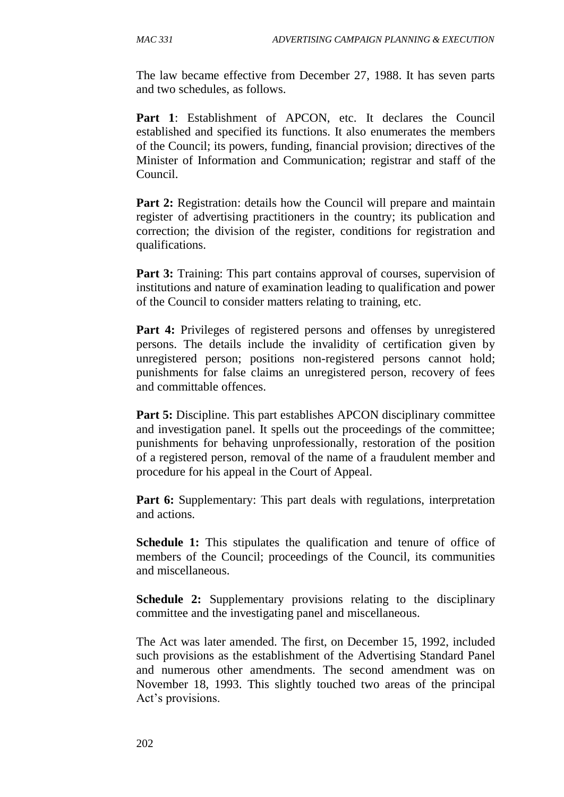The law became effective from December 27, 1988. It has seven parts and two schedules, as follows.

Part 1: Establishment of APCON, etc. It declares the Council established and specified its functions. It also enumerates the members of the Council; its powers, funding, financial provision; directives of the Minister of Information and Communication; registrar and staff of the Council.

**Part 2:** Registration: details how the Council will prepare and maintain register of advertising practitioners in the country; its publication and correction; the division of the register, conditions for registration and qualifications.

**Part 3:** Training: This part contains approval of courses, supervision of institutions and nature of examination leading to qualification and power of the Council to consider matters relating to training, etc.

Part 4: Privileges of registered persons and offenses by unregistered persons. The details include the invalidity of certification given by unregistered person; positions non-registered persons cannot hold; punishments for false claims an unregistered person, recovery of fees and committable offences.

**Part 5:** Discipline. This part establishes APCON disciplinary committee and investigation panel. It spells out the proceedings of the committee; punishments for behaving unprofessionally, restoration of the position of a registered person, removal of the name of a fraudulent member and procedure for his appeal in the Court of Appeal.

**Part 6:** Supplementary: This part deals with regulations, interpretation and actions.

**Schedule 1:** This stipulates the qualification and tenure of office of members of the Council; proceedings of the Council, its communities and miscellaneous.

**Schedule 2:** Supplementary provisions relating to the disciplinary committee and the investigating panel and miscellaneous.

The Act was later amended. The first, on December 15, 1992, included such provisions as the establishment of the Advertising Standard Panel and numerous other amendments. The second amendment was on November 18, 1993. This slightly touched two areas of the principal Act's provisions.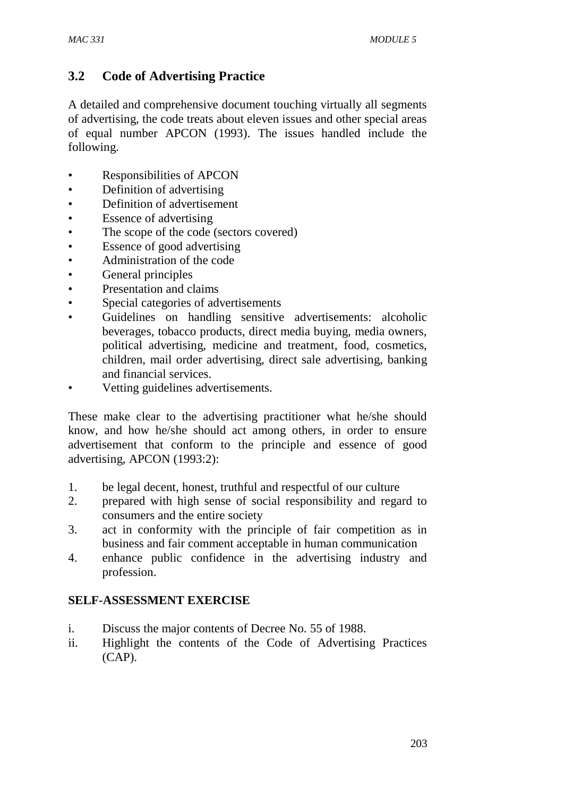# **3.2 Code of Advertising Practice**

A detailed and comprehensive document touching virtually all segments of advertising, the code treats about eleven issues and other special areas of equal number APCON (1993). The issues handled include the following.

- Responsibilities of APCON
- Definition of advertising
- Definition of advertisement
- Essence of advertising
- The scope of the code (sectors covered)
- Essence of good advertising
- Administration of the code
- General principles
- Presentation and claims
- Special categories of advertisements
- Guidelines on handling sensitive advertisements: alcoholic beverages, tobacco products, direct media buying, media owners, political advertising, medicine and treatment, food, cosmetics, children, mail order advertising, direct sale advertising, banking and financial services.
- Vetting guidelines advertisements.

These make clear to the advertising practitioner what he/she should know, and how he/she should act among others, in order to ensure advertisement that conform to the principle and essence of good advertising, APCON (1993:2):

- 1. be legal decent, honest, truthful and respectful of our culture
- 2. prepared with high sense of social responsibility and regard to consumers and the entire society
- 3. act in conformity with the principle of fair competition as in business and fair comment acceptable in human communication
- 4. enhance public confidence in the advertising industry and profession.

### **SELF-ASSESSMENT EXERCISE**

- i. Discuss the major contents of Decree No. 55 of 1988.
- ii. Highlight the contents of the Code of Advertising Practices (CAP).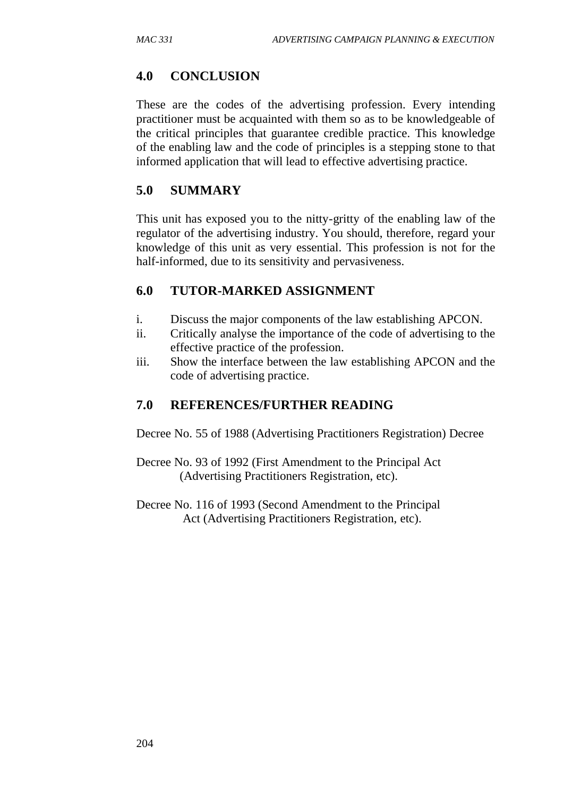### **4.0 CONCLUSION**

These are the codes of the advertising profession. Every intending practitioner must be acquainted with them so as to be knowledgeable of the critical principles that guarantee credible practice. This knowledge of the enabling law and the code of principles is a stepping stone to that informed application that will lead to effective advertising practice.

### **5.0 SUMMARY**

This unit has exposed you to the nitty-gritty of the enabling law of the regulator of the advertising industry. You should, therefore, regard your knowledge of this unit as very essential. This profession is not for the half-informed, due to its sensitivity and pervasiveness.

### **6.0 TUTOR-MARKED ASSIGNMENT**

- i. Discuss the major components of the law establishing APCON.
- ii. Critically analyse the importance of the code of advertising to the effective practice of the profession.
- iii. Show the interface between the law establishing APCON and the code of advertising practice.

### **7.0 REFERENCES/FURTHER READING**

Decree No. 55 of 1988 (Advertising Practitioners Registration) Decree

Decree No. 93 of 1992 (First Amendment to the Principal Act (Advertising Practitioners Registration, etc).

Decree No. 116 of 1993 (Second Amendment to the Principal Act (Advertising Practitioners Registration, etc).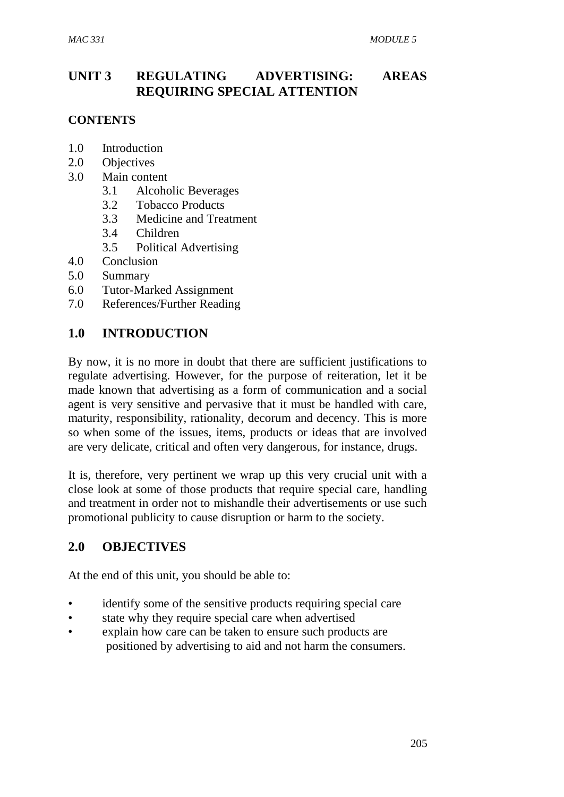# **UNIT 3 REGULATING ADVERTISING: AREAS REQUIRING SPECIAL ATTENTION**

#### **CONTENTS**

- 1.0Introduction
- 2.0 Objectives
- 3.0 Main content
	- 3.1 Alcoholic Beverages
	- 3.2 Tobacco Products
	- 3.3 Medicine and Treatment
	- 3.4 Children
	- 3.5 Political Advertising
- 4.0 Conclusion
- 5.0 Summary
- 6.0 Tutor-Marked Assignment
- 7.0 References/Further Reading

### **1.0 INTRODUCTION**

By now, it is no more in doubt that there are sufficient justifications to regulate advertising. However, for the purpose of reiteration, let it be made known that advertising as a form of communication and a social agent is very sensitive and pervasive that it must be handled with care, maturity, responsibility, rationality, decorum and decency. This is more so when some of the issues, items, products or ideas that are involved are very delicate, critical and often very dangerous, for instance, drugs.

It is, therefore, very pertinent we wrap up this very crucial unit with a close look at some of those products that require special care, handling and treatment in order not to mishandle their advertisements or use such promotional publicity to cause disruption or harm to the society.

### **2.0 OBJECTIVES**

At the end of this unit, you should be able to:

- identify some of the sensitive products requiring special care
- state why they require special care when advertised
- explain how care can be taken to ensure such products are positioned by advertising to aid and not harm the consumers.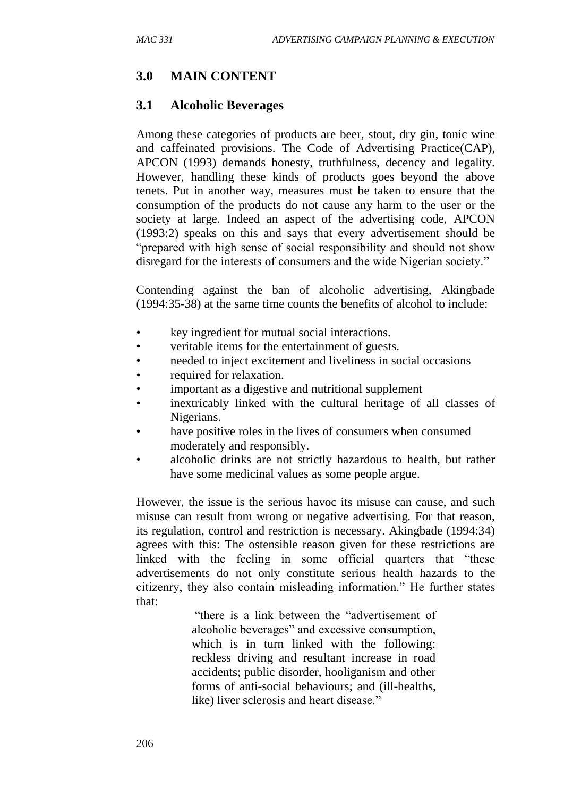### **3.0 MAIN CONTENT**

#### **3.1 Alcoholic Beverages**

Among these categories of products are beer, stout, dry gin, tonic wine and caffeinated provisions. The Code of Advertising Practice(CAP), APCON (1993) demands honesty, truthfulness, decency and legality. However, handling these kinds of products goes beyond the above tenets. Put in another way, measures must be taken to ensure that the consumption of the products do not cause any harm to the user or the society at large. Indeed an aspect of the advertising code, APCON (1993:2) speaks on this and says that every advertisement should be "prepared with high sense of social responsibility and should not show disregard for the interests of consumers and the wide Nigerian society."

Contending against the ban of alcoholic advertising, Akingbade (1994:35-38) at the same time counts the benefits of alcohol to include:

- key ingredient for mutual social interactions.
- veritable items for the entertainment of guests.
- needed to inject excitement and liveliness in social occasions
- required for relaxation.
- important as a digestive and nutritional supplement
- inextricably linked with the cultural heritage of all classes of Nigerians.
- have positive roles in the lives of consumers when consumed moderately and responsibly.
- alcoholic drinks are not strictly hazardous to health, but rather have some medicinal values as some people argue.

However, the issue is the serious havoc its misuse can cause, and such misuse can result from wrong or negative advertising. For that reason, its regulation, control and restriction is necessary. Akingbade (1994:34) agrees with this: The ostensible reason given for these restrictions are linked with the feeling in some official quarters that "these advertisements do not only constitute serious health hazards to the citizenry, they also contain misleading information." He further states that:

> "there is a link between the "advertisement of alcoholic beverages" and excessive consumption, which is in turn linked with the following: reckless driving and resultant increase in road accidents; public disorder, hooliganism and other forms of anti-social behaviours; and (ill-healths, like) liver sclerosis and heart disease."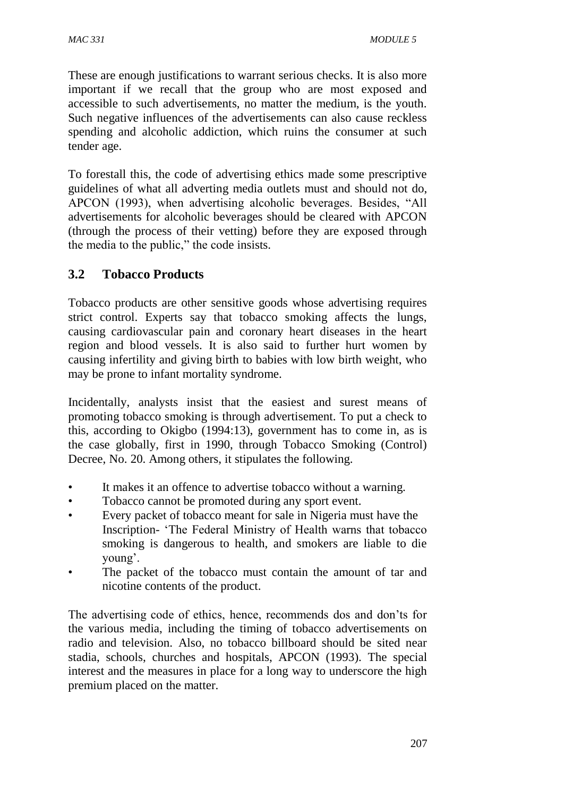These are enough justifications to warrant serious checks. It is also more important if we recall that the group who are most exposed and accessible to such advertisements, no matter the medium, is the youth. Such negative influences of the advertisements can also cause reckless spending and alcoholic addiction, which ruins the consumer at such tender age.

To forestall this, the code of advertising ethics made some prescriptive guidelines of what all adverting media outlets must and should not do, APCON (1993), when advertising alcoholic beverages. Besides, "All advertisements for alcoholic beverages should be cleared with APCON (through the process of their vetting) before they are exposed through the media to the public," the code insists.

# **3.2 Tobacco Products**

Tobacco products are other sensitive goods whose advertising requires strict control. Experts say that tobacco smoking affects the lungs, causing cardiovascular pain and coronary heart diseases in the heart region and blood vessels. It is also said to further hurt women by causing infertility and giving birth to babies with low birth weight, who may be prone to infant mortality syndrome.

Incidentally, analysts insist that the easiest and surest means of promoting tobacco smoking is through advertisement. To put a check to this, according to Okigbo (1994:13), government has to come in, as is the case globally, first in 1990, through Tobacco Smoking (Control) Decree, No. 20. Among others, it stipulates the following.

- It makes it an offence to advertise tobacco without a warning.
- Tobacco cannot be promoted during any sport event.
- Every packet of tobacco meant for sale in Nigeria must have the Inscription- 'The Federal Ministry of Health warns that tobacco smoking is dangerous to health, and smokers are liable to die young'.
- The packet of the tobacco must contain the amount of tar and nicotine contents of the product.

The advertising code of ethics, hence, recommends dos and don'ts for the various media, including the timing of tobacco advertisements on radio and television. Also, no tobacco billboard should be sited near stadia, schools, churches and hospitals, APCON (1993). The special interest and the measures in place for a long way to underscore the high premium placed on the matter.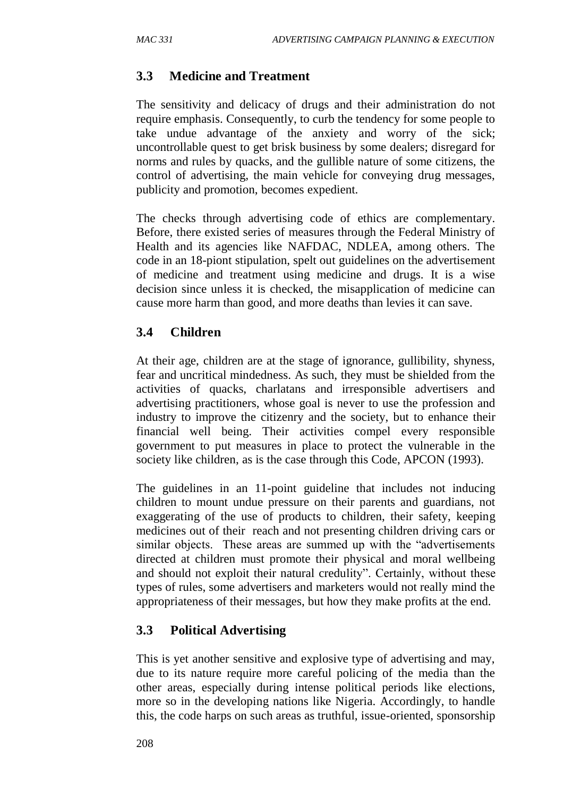### **3.3 Medicine and Treatment**

The sensitivity and delicacy of drugs and their administration do not require emphasis. Consequently, to curb the tendency for some people to take undue advantage of the anxiety and worry of the sick; uncontrollable quest to get brisk business by some dealers; disregard for norms and rules by quacks, and the gullible nature of some citizens, the control of advertising, the main vehicle for conveying drug messages, publicity and promotion, becomes expedient.

The checks through advertising code of ethics are complementary. Before, there existed series of measures through the Federal Ministry of Health and its agencies like NAFDAC, NDLEA, among others. The code in an 18-piont stipulation, spelt out guidelines on the advertisement of medicine and treatment using medicine and drugs. It is a wise decision since unless it is checked, the misapplication of medicine can cause more harm than good, and more deaths than levies it can save.

### **3.4 Children**

At their age, children are at the stage of ignorance, gullibility, shyness, fear and uncritical mindedness. As such, they must be shielded from the activities of quacks, charlatans and irresponsible advertisers and advertising practitioners, whose goal is never to use the profession and industry to improve the citizenry and the society, but to enhance their financial well being. Their activities compel every responsible government to put measures in place to protect the vulnerable in the society like children, as is the case through this Code, APCON (1993).

The guidelines in an 11-point guideline that includes not inducing children to mount undue pressure on their parents and guardians, not exaggerating of the use of products to children, their safety, keeping medicines out of their reach and not presenting children driving cars or similar objects. These areas are summed up with the "advertisements directed at children must promote their physical and moral wellbeing and should not exploit their natural credulity". Certainly, without these types of rules, some advertisers and marketers would not really mind the appropriateness of their messages, but how they make profits at the end.

# **3.3 Political Advertising**

This is yet another sensitive and explosive type of advertising and may, due to its nature require more careful policing of the media than the other areas, especially during intense political periods like elections, more so in the developing nations like Nigeria. Accordingly, to handle this, the code harps on such areas as truthful, issue-oriented, sponsorship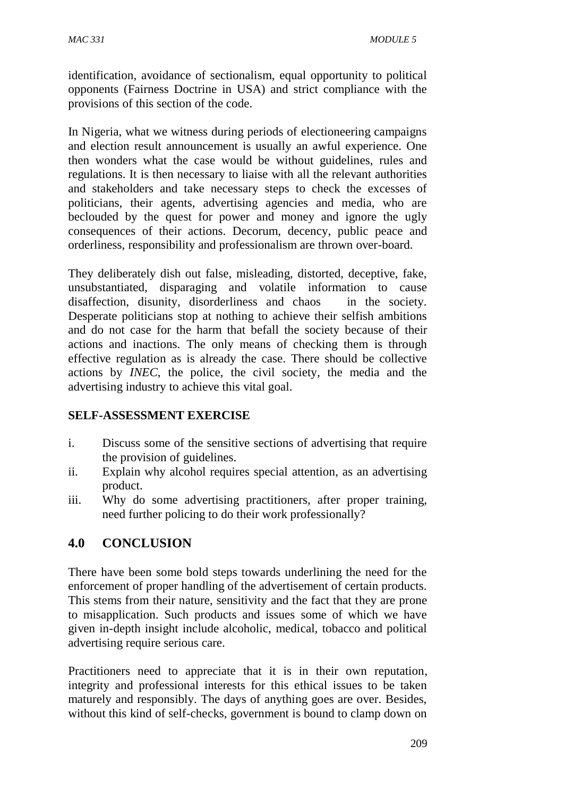identification, avoidance of sectionalism, equal opportunity to political opponents (Fairness Doctrine in USA) and strict compliance with the provisions of this section of the code.

In Nigeria, what we witness during periods of electioneering campaigns and election result announcement is usually an awful experience. One then wonders what the case would be without guidelines, rules and regulations. It is then necessary to liaise with all the relevant authorities and stakeholders and take necessary steps to check the excesses of politicians, their agents, advertising agencies and media, who are beclouded by the quest for power and money and ignore the ugly consequences of their actions. Decorum, decency, public peace and orderliness, responsibility and professionalism are thrown over-board.

They deliberately dish out false, misleading, distorted, deceptive, fake, unsubstantiated, disparaging and volatile information to cause disaffection, disunity, disorderliness and chaos in the society. Desperate politicians stop at nothing to achieve their selfish ambitions and do not case for the harm that befall the society because of their actions and inactions. The only means of checking them is through effective regulation as is already the case. There should be collective actions by *INEC*, the police, the civil society, the media and the advertising industry to achieve this vital goal.

#### **SELF-ASSESSMENT EXERCISE**

- i. Discuss some of the sensitive sections of advertising that require the provision of guidelines.
- ii. Explain why alcohol requires special attention, as an advertising product.
- iii. Why do some advertising practitioners, after proper training, need further policing to do their work professionally?

# **4.0 CONCLUSION**

There have been some bold steps towards underlining the need for the enforcement of proper handling of the advertisement of certain products. This stems from their nature, sensitivity and the fact that they are prone to misapplication. Such products and issues some of which we have given in-depth insight include alcoholic, medical, tobacco and political advertising require serious care.

Practitioners need to appreciate that it is in their own reputation, integrity and professional interests for this ethical issues to be taken maturely and responsibly. The days of anything goes are over. Besides, without this kind of self-checks, government is bound to clamp down on